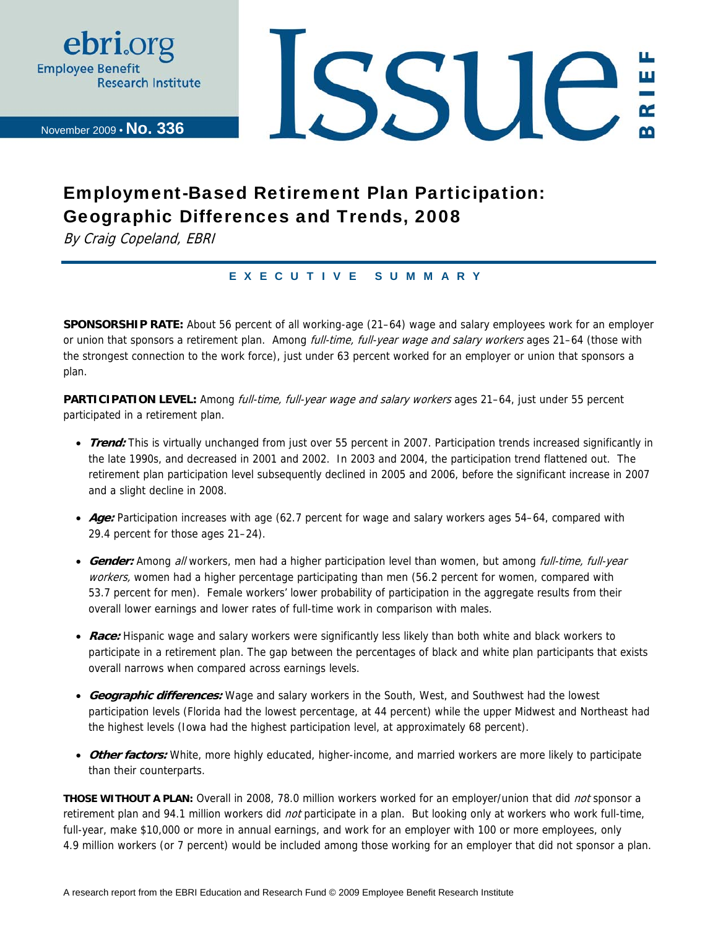

November 2009 • **No. 336**

**SSUE** Щ

# Employment-Based Retirement Plan Participation: Geographic Differences and Trends, 2008

By Craig Copeland, EBRI

### EXECUTIVE SUMMARY

**SPONSORSHIP RATE:** About 56 percent of all working-age (21–64) wage and salary employees work for an employer or union that sponsors a retirement plan. Among *full-time, full-year wage and salary workers* ages 21–64 (those with the strongest connection to the work force), just under 63 percent worked for an employer or union that sponsors a plan.

PARTICIPATION LEVEL: Among *full-time, full-year wage and salary workers* ages 21-64, just under 55 percent participated in a retirement plan.

- **Trend:** This is virtually unchanged from just over 55 percent in 2007. Participation trends increased significantly in the late 1990s, and decreased in 2001 and 2002. In 2003 and 2004, the participation trend flattened out. The retirement plan participation level subsequently declined in 2005 and 2006, before the significant increase in 2007 and a slight decline in 2008.
- **Age:** Participation increases with age (62.7 percent for wage and salary workers ages 54–64, compared with 29.4 percent for those ages 21–24).
- **Gender:** Among all workers, men had a higher participation level than women, but among full-time, full-year workers, women had a higher percentage participating than men (56.2 percent for women, compared with 53.7 percent for men). Female workers' lower probability of participation in the aggregate results from their overall lower earnings and lower rates of full-time work in comparison with males.
- **Race:** Hispanic wage and salary workers were significantly less likely than both white and black workers to participate in a retirement plan. The gap between the percentages of black and white plan participants that exists overall narrows when compared across earnings levels.
- **Geographic differences:** Wage and salary workers in the South, West, and Southwest had the lowest participation levels (Florida had the lowest percentage, at 44 percent) while the upper Midwest and Northeast had the highest levels (Iowa had the highest participation level, at approximately 68 percent).
- **Other factors:** White, more highly educated, higher-income, and married workers are more likely to participate than their counterparts.

**THOSE WITHOUT A PLAN:** Overall in 2008, 78.0 million workers worked for an employer/union that did not sponsor a retirement plan and 94.1 million workers did *not* participate in a plan. But looking only at workers who work full-time, full-year, make \$10,000 or more in annual earnings, and work for an employer with 100 or more employees, only 4.9 million workers (or 7 percent) would be included among those working for an employer that did not sponsor a plan.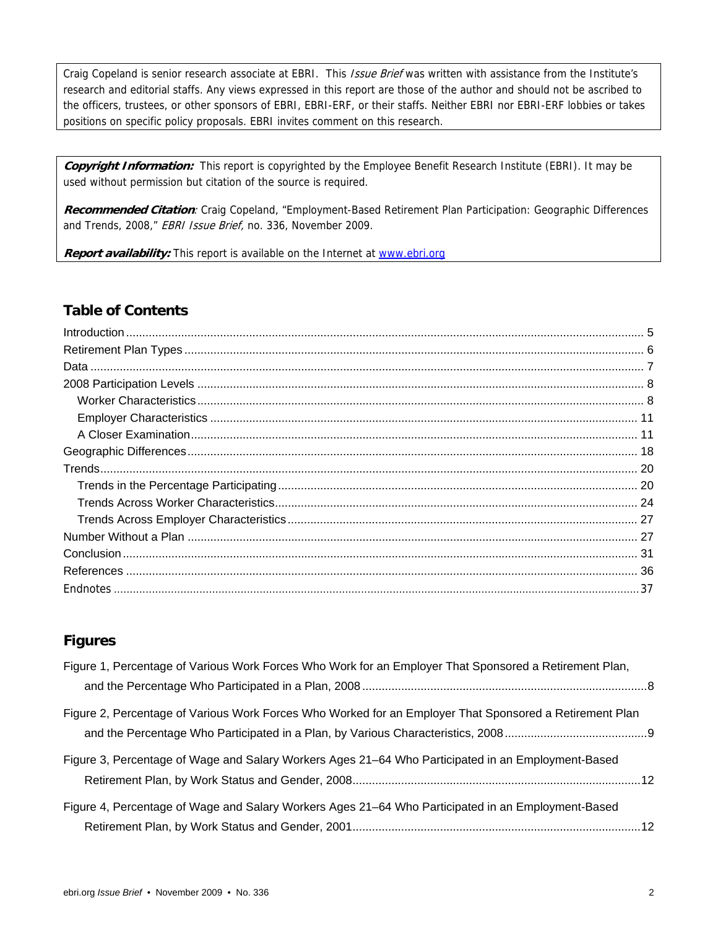Craig Copeland is senior research associate at EBRI. This *Issue Brief* was written with assistance from the Institute's research and editorial staffs. Any views expressed in this report are those of the author and should not be ascribed to the officers, trustees, or other sponsors of EBRI, EBRI-ERF, or their staffs. Neither EBRI nor EBRI-ERF lobbies or takes positions on specific policy proposals. EBRI invites comment on this research.

**Copyright Information:** This report is copyrighted by the Employee Benefit Research Institute (EBRI). It may be used without permission but citation of the source is required.

**Recommended Citation**: Craig Copeland, "Employment-Based Retirement Plan Participation: Geographic Differences and Trends, 2008," EBRI Issue Brief, no. 336, November 2009.

**Report availability:** This report is available on the Internet at www.ebri.org

### **Table of Contents**

### **Figures**

| Figure 1, Percentage of Various Work Forces Who Work for an Employer That Sponsored a Retirement Plan,  |  |
|---------------------------------------------------------------------------------------------------------|--|
|                                                                                                         |  |
| Figure 2, Percentage of Various Work Forces Who Worked for an Employer That Sponsored a Retirement Plan |  |
|                                                                                                         |  |
| Figure 3, Percentage of Wage and Salary Workers Ages 21–64 Who Participated in an Employment-Based      |  |
|                                                                                                         |  |
| Figure 4, Percentage of Wage and Salary Workers Ages 21–64 Who Participated in an Employment-Based      |  |
|                                                                                                         |  |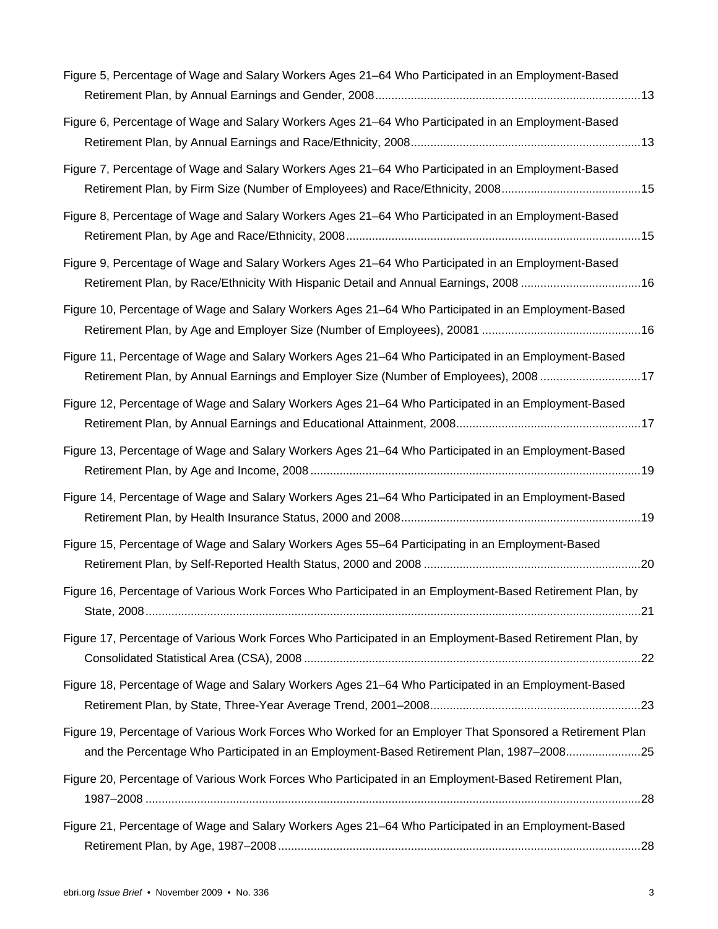| Figure 5, Percentage of Wage and Salary Workers Ages 21–64 Who Participated in an Employment-Based                                                                                                  |
|-----------------------------------------------------------------------------------------------------------------------------------------------------------------------------------------------------|
| Figure 6, Percentage of Wage and Salary Workers Ages 21–64 Who Participated in an Employment-Based                                                                                                  |
| Figure 7, Percentage of Wage and Salary Workers Ages 21–64 Who Participated in an Employment-Based                                                                                                  |
| Figure 8, Percentage of Wage and Salary Workers Ages 21–64 Who Participated in an Employment-Based                                                                                                  |
| Figure 9, Percentage of Wage and Salary Workers Ages 21–64 Who Participated in an Employment-Based<br>Retirement Plan, by Race/Ethnicity With Hispanic Detail and Annual Earnings, 2008 16          |
| Figure 10, Percentage of Wage and Salary Workers Ages 21–64 Who Participated in an Employment-Based                                                                                                 |
| Figure 11, Percentage of Wage and Salary Workers Ages 21–64 Who Participated in an Employment-Based<br>Retirement Plan, by Annual Earnings and Employer Size (Number of Employees), 2008 17         |
| Figure 12, Percentage of Wage and Salary Workers Ages 21–64 Who Participated in an Employment-Based                                                                                                 |
| Figure 13, Percentage of Wage and Salary Workers Ages 21–64 Who Participated in an Employment-Based                                                                                                 |
| Figure 14, Percentage of Wage and Salary Workers Ages 21–64 Who Participated in an Employment-Based                                                                                                 |
| Figure 15, Percentage of Wage and Salary Workers Ages 55–64 Participating in an Employment-Based                                                                                                    |
| Figure 16, Percentage of Various Work Forces Who Participated in an Employment-Based Retirement Plan, by                                                                                            |
| Figure 17, Percentage of Various Work Forces Who Participated in an Employment-Based Retirement Plan, by                                                                                            |
| Figure 18, Percentage of Wage and Salary Workers Ages 21–64 Who Participated in an Employment-Based                                                                                                 |
| Figure 19, Percentage of Various Work Forces Who Worked for an Employer That Sponsored a Retirement Plan<br>and the Percentage Who Participated in an Employment-Based Retirement Plan, 1987-200825 |
| Figure 20, Percentage of Various Work Forces Who Participated in an Employment-Based Retirement Plan,                                                                                               |
| Figure 21, Percentage of Wage and Salary Workers Ages 21-64 Who Participated in an Employment-Based                                                                                                 |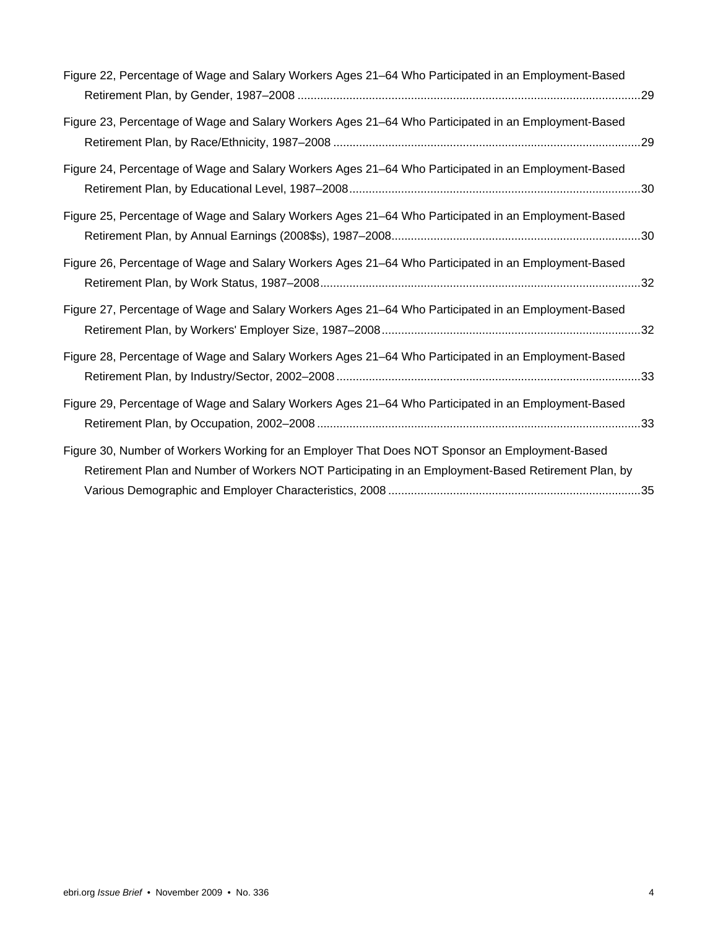| Figure 22, Percentage of Wage and Salary Workers Ages 21–64 Who Participated in an Employment-Based                                                                                                  |  |
|------------------------------------------------------------------------------------------------------------------------------------------------------------------------------------------------------|--|
| Figure 23, Percentage of Wage and Salary Workers Ages 21–64 Who Participated in an Employment-Based                                                                                                  |  |
| Figure 24, Percentage of Wage and Salary Workers Ages 21–64 Who Participated in an Employment-Based                                                                                                  |  |
| Figure 25, Percentage of Wage and Salary Workers Ages 21–64 Who Participated in an Employment-Based                                                                                                  |  |
| Figure 26, Percentage of Wage and Salary Workers Ages 21–64 Who Participated in an Employment-Based                                                                                                  |  |
| Figure 27, Percentage of Wage and Salary Workers Ages 21–64 Who Participated in an Employment-Based                                                                                                  |  |
| Figure 28, Percentage of Wage and Salary Workers Ages 21–64 Who Participated in an Employment-Based                                                                                                  |  |
| Figure 29, Percentage of Wage and Salary Workers Ages 21–64 Who Participated in an Employment-Based                                                                                                  |  |
| Figure 30, Number of Workers Working for an Employer That Does NOT Sponsor an Employment-Based<br>Retirement Plan and Number of Workers NOT Participating in an Employment-Based Retirement Plan, by |  |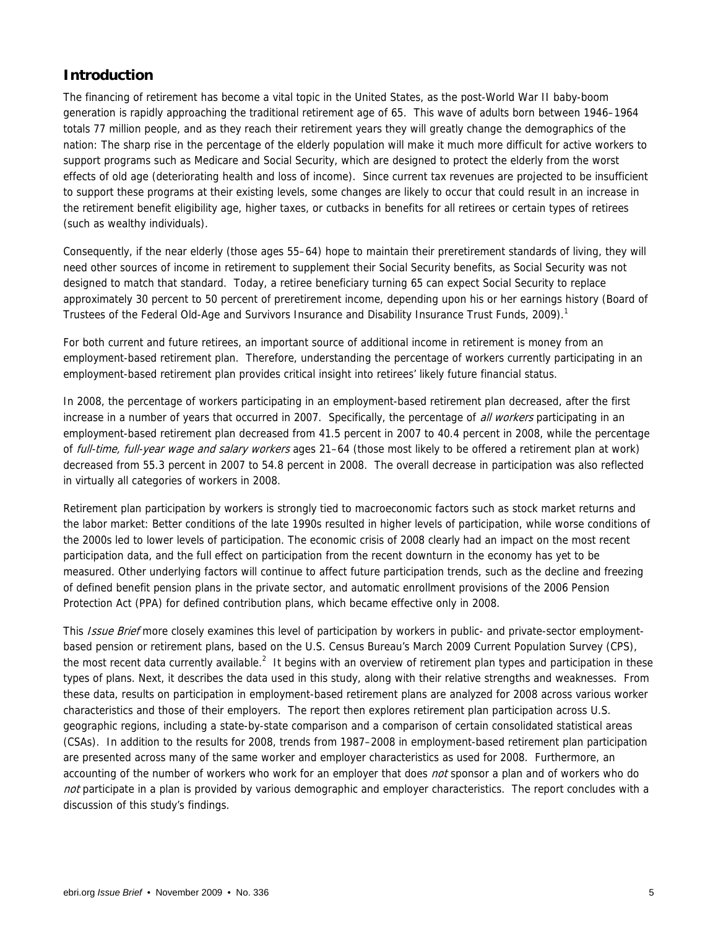### **Introduction**

The financing of retirement has become a vital topic in the United States, as the post-World War II baby-boom generation is rapidly approaching the traditional retirement age of 65. This wave of adults born between 1946–1964 totals 77 million people, and as they reach their retirement years they will greatly change the demographics of the nation: The sharp rise in the percentage of the elderly population will make it much more difficult for active workers to support programs such as Medicare and Social Security, which are designed to protect the elderly from the worst effects of old age (deteriorating health and loss of income). Since current tax revenues are projected to be insufficient to support these programs at their existing levels, some changes are likely to occur that could result in an increase in the retirement benefit eligibility age, higher taxes, or cutbacks in benefits for all retirees or certain types of retirees (such as wealthy individuals).

Consequently, if the near elderly (those ages 55–64) hope to maintain their preretirement standards of living, they will need other sources of income in retirement to supplement their Social Security benefits, as Social Security was not designed to match that standard. Today, a retiree beneficiary turning 65 can expect Social Security to replace approximately 30 percent to 50 percent of preretirement income, depending upon his or her earnings history (Board of Trustees of the Federal Old-Age and Survivors Insurance and Disability Insurance Trust Funds, 2009).<sup>1</sup>

For both current and future retirees, an important source of additional income in retirement is money from an employment-based retirement plan. Therefore, understanding the percentage of workers currently participating in an employment-based retirement plan provides critical insight into retirees' likely future financial status.

In 2008, the percentage of workers participating in an employment-based retirement plan decreased, after the first increase in a number of years that occurred in 2007. Specifically, the percentage of all workers participating in an employment-based retirement plan decreased from 41.5 percent in 2007 to 40.4 percent in 2008, while the percentage of full-time, full-year wage and salary workers ages 21–64 (those most likely to be offered a retirement plan at work) decreased from 55.3 percent in 2007 to 54.8 percent in 2008. The overall decrease in participation was also reflected in virtually all categories of workers in 2008.

Retirement plan participation by workers is strongly tied to macroeconomic factors such as stock market returns and the labor market: Better conditions of the late 1990s resulted in higher levels of participation, while worse conditions of the 2000s led to lower levels of participation. The economic crisis of 2008 clearly had an impact on the most recent participation data, and the full effect on participation from the recent downturn in the economy has yet to be measured. Other underlying factors will continue to affect future participation trends, such as the decline and freezing of defined benefit pension plans in the private sector, and automatic enrollment provisions of the 2006 Pension Protection Act (PPA) for defined contribution plans, which became effective only in 2008.

This Issue Brief more closely examines this level of participation by workers in public- and private-sector employmentbased pension or retirement plans, based on the U.S. Census Bureau's March 2009 Current Population Survey (CPS), the most recent data currently available.<sup>2</sup> It begins with an overview of retirement plan types and participation in these types of plans. Next, it describes the data used in this study, along with their relative strengths and weaknesses. From these data, results on participation in employment-based retirement plans are analyzed for 2008 across various worker characteristics and those of their employers. The report then explores retirement plan participation across U.S. geographic regions, including a state-by-state comparison and a comparison of certain consolidated statistical areas (CSAs). In addition to the results for 2008, trends from 1987–2008 in employment-based retirement plan participation are presented across many of the same worker and employer characteristics as used for 2008. Furthermore, an accounting of the number of workers who work for an employer that does not sponsor a plan and of workers who do not participate in a plan is provided by various demographic and employer characteristics. The report concludes with a discussion of this study's findings.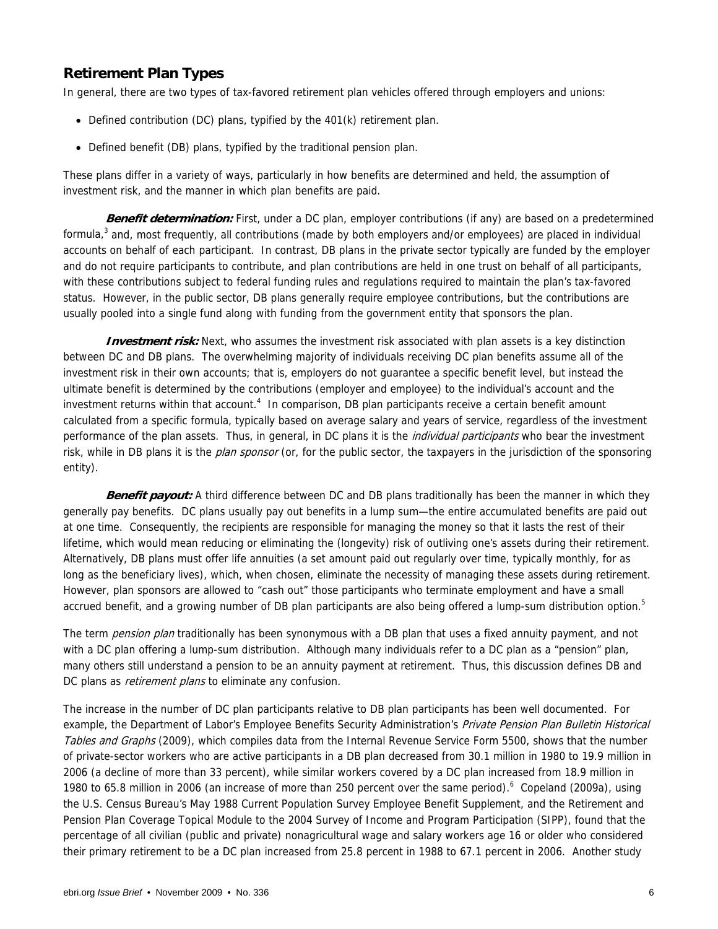### **Retirement Plan Types**

In general, there are two types of tax-favored retirement plan vehicles offered through employers and unions:

- Defined contribution (DC) plans, typified by the 401(k) retirement plan.
- Defined benefit (DB) plans, typified by the traditional pension plan.

These plans differ in a variety of ways, particularly in how benefits are determined and held, the assumption of investment risk, and the manner in which plan benefits are paid.

**Benefit determination:** First, under a DC plan, employer contributions (if any) are based on a predetermined formula,<sup>3</sup> and, most frequently, all contributions (made by both employers and/or employees) are placed in individual accounts on behalf of each participant. In contrast, DB plans in the private sector typically are funded by the employer and do not require participants to contribute, and plan contributions are held in one trust on behalf of all participants, with these contributions subject to federal funding rules and regulations required to maintain the plan's tax-favored status. However, in the public sector, DB plans generally require employee contributions, but the contributions are usually pooled into a single fund along with funding from the government entity that sponsors the plan.

**Investment risk:** Next, who assumes the investment risk associated with plan assets is a key distinction between DC and DB plans. The overwhelming majority of individuals receiving DC plan benefits assume all of the investment risk in their own accounts; that is, employers do not guarantee a specific benefit level, but instead the ultimate benefit is determined by the contributions (employer and employee) to the individual's account and the investment returns within that account.<sup>4</sup> In comparison, DB plan participants receive a certain benefit amount calculated from a specific formula, typically based on average salary and years of service, regardless of the investment performance of the plan assets. Thus, in general, in DC plans it is the *individual participants* who bear the investment risk, while in DB plans it is the *plan sponsor* (or, for the public sector, the taxpayers in the jurisdiction of the sponsoring entity).

**Benefit payout:** A third difference between DC and DB plans traditionally has been the manner in which they generally pay benefits. DC plans usually pay out benefits in a lump sum—the entire accumulated benefits are paid out at one time. Consequently, the recipients are responsible for managing the money so that it lasts the rest of their lifetime, which would mean reducing or eliminating the (longevity) risk of outliving one's assets during their retirement. Alternatively, DB plans must offer life annuities (a set amount paid out regularly over time, typically monthly, for as long as the beneficiary lives), which, when chosen, eliminate the necessity of managing these assets during retirement. However, plan sponsors are allowed to "cash out" those participants who terminate employment and have a small accrued benefit, and a growing number of DB plan participants are also being offered a lump-sum distribution option.<sup>5</sup>

The term *pension plan* traditionally has been synonymous with a DB plan that uses a fixed annuity payment, and not with a DC plan offering a lump-sum distribution. Although many individuals refer to a DC plan as a "pension" plan, many others still understand a pension to be an annuity payment at retirement. Thus, this discussion defines DB and DC plans as *retirement plans* to eliminate any confusion.

The increase in the number of DC plan participants relative to DB plan participants has been well documented. For example, the Department of Labor's Employee Benefits Security Administration's Private Pension Plan Bulletin Historical Tables and Graphs (2009), which compiles data from the Internal Revenue Service Form 5500, shows that the number of private-sector workers who are active participants in a DB plan decreased from 30.1 million in 1980 to 19.9 million in 2006 (a decline of more than 33 percent), while similar workers covered by a DC plan increased from 18.9 million in 1980 to 65.8 million in 2006 (an increase of more than 250 percent over the same period). Copeland (2009a), using the U.S. Census Bureau's May 1988 Current Population Survey Employee Benefit Supplement, and the Retirement and Pension Plan Coverage Topical Module to the 2004 Survey of Income and Program Participation (SIPP), found that the percentage of all civilian (public and private) nonagricultural wage and salary workers age 16 or older who considered their primary retirement to be a DC plan increased from 25.8 percent in 1988 to 67.1 percent in 2006. Another study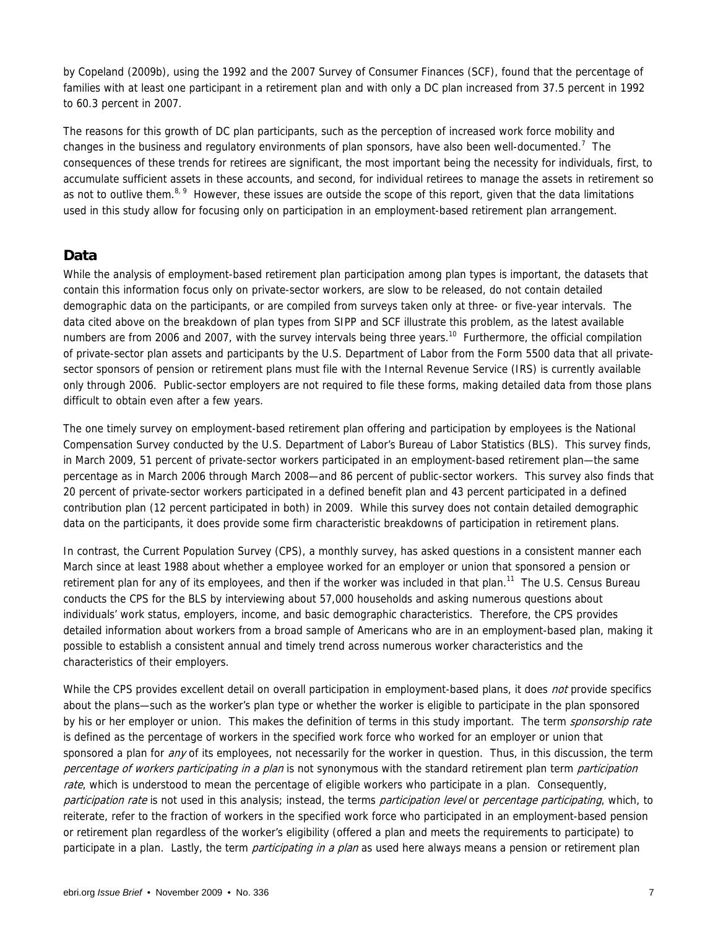by Copeland (2009b), using the 1992 and the 2007 Survey of Consumer Finances (SCF), found that the percentage of families with at least one participant in a retirement plan and with only a DC plan increased from 37.5 percent in 1992 to 60.3 percent in 2007.

The reasons for this growth of DC plan participants, such as the perception of increased work force mobility and changes in the business and regulatory environments of plan sponsors, have also been well-documented.<sup>7</sup> The consequences of these trends for retirees are significant, the most important being the necessity for individuals, first, to accumulate sufficient assets in these accounts, and second, for individual retirees to manage the assets in retirement so as not to outlive them.<sup>8, 9</sup> However, these issues are outside the scope of this report, given that the data limitations used in this study allow for focusing only on participation in an employment-based retirement plan arrangement.

### **Data**

While the analysis of employment-based retirement plan participation among plan types is important, the datasets that contain this information focus only on private-sector workers, are slow to be released, do not contain detailed demographic data on the participants, or are compiled from surveys taken only at three- or five-year intervals. The data cited above on the breakdown of plan types from SIPP and SCF illustrate this problem, as the latest available numbers are from 2006 and 2007, with the survey intervals being three years.<sup>10</sup> Furthermore, the official compilation of private-sector plan assets and participants by the U.S. Department of Labor from the Form 5500 data that all privatesector sponsors of pension or retirement plans must file with the Internal Revenue Service (IRS) is currently available only through 2006. Public-sector employers are not required to file these forms, making detailed data from those plans difficult to obtain even after a few years.

The one timely survey on employment-based retirement plan offering and participation by employees is the National Compensation Survey conducted by the U.S. Department of Labor's Bureau of Labor Statistics (BLS). This survey finds, in March 2009, 51 percent of private-sector workers participated in an employment-based retirement plan—the same percentage as in March 2006 through March 2008—and 86 percent of public-sector workers. This survey also finds that 20 percent of private-sector workers participated in a defined benefit plan and 43 percent participated in a defined contribution plan (12 percent participated in both) in 2009. While this survey does not contain detailed demographic data on the participants, it does provide some firm characteristic breakdowns of participation in retirement plans.

In contrast, the Current Population Survey (CPS), a monthly survey, has asked questions in a consistent manner each March since at least 1988 about whether a employee worked for an employer or union that sponsored a pension or retirement plan for any of its employees, and then if the worker was included in that plan.<sup>11</sup> The U.S. Census Bureau conducts the CPS for the BLS by interviewing about 57,000 households and asking numerous questions about individuals' work status, employers, income, and basic demographic characteristics. Therefore, the CPS provides detailed information about workers from a broad sample of Americans who are in an employment-based plan, making it possible to establish a consistent annual and timely trend across numerous worker characteristics and the characteristics of their employers.

While the CPS provides excellent detail on overall participation in employment-based plans, it does *not* provide specifics about the plans—such as the worker's plan type or whether the worker is eligible to participate in the plan sponsored by his or her employer or union. This makes the definition of terms in this study important. The term *sponsorship rate* is defined as the percentage of workers in the specified work force who worked for an employer or union that sponsored a plan for *any* of its employees, not necessarily for the worker in question. Thus, in this discussion, the term percentage of workers participating in a plan is not synonymous with the standard retirement plan term participation rate, which is understood to mean the percentage of eligible workers who participate in a plan. Consequently, participation rate is not used in this analysis; instead, the terms participation level or percentage participating, which, to reiterate, refer to the fraction of workers in the specified work force who participated in an employment-based pension or retirement plan regardless of the worker's eligibility (offered a plan and meets the requirements to participate) to participate in a plan. Lastly, the term *participating in a plan* as used here always means a pension or retirement plan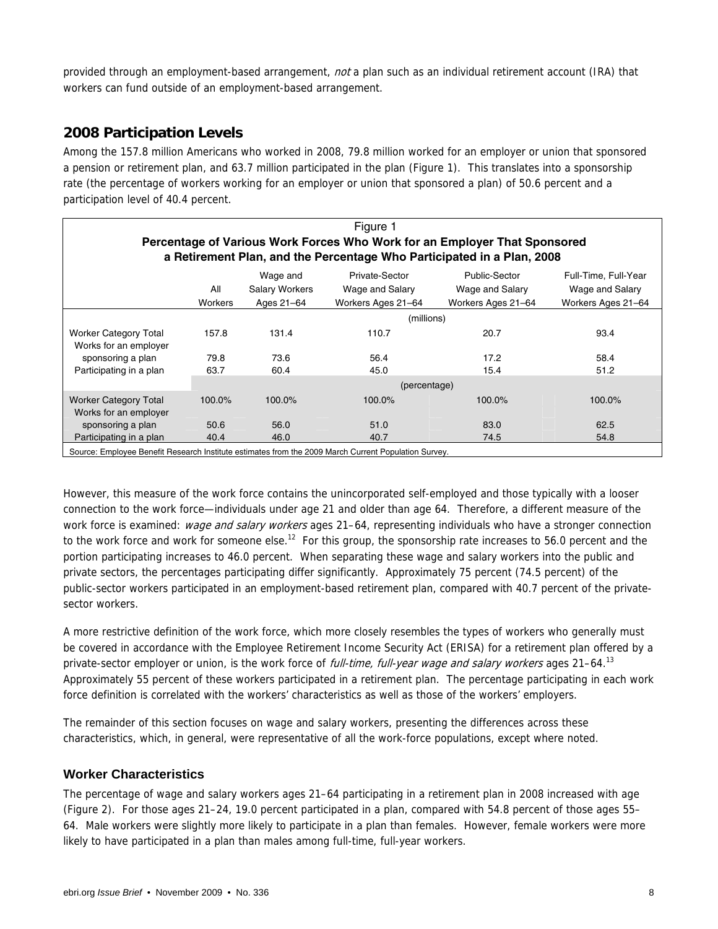provided through an employment-based arrangement, not a plan such as an individual retirement account (IRA) that workers can fund outside of an employment-based arrangement.

### **2008 Participation Levels**

Among the 157.8 million Americans who worked in 2008, 79.8 million worked for an employer or union that sponsored a pension or retirement plan, and 63.7 million participated in the plan (Figure 1). This translates into a sponsorship rate (the percentage of workers working for an employer or union that sponsored a plan) of 50.6 percent and a participation level of 40.4 percent.

|                                                                                                      |                                                |                                                 | Figure 1                                                |                                                                           |                                                               |
|------------------------------------------------------------------------------------------------------|------------------------------------------------|-------------------------------------------------|---------------------------------------------------------|---------------------------------------------------------------------------|---------------------------------------------------------------|
|                                                                                                      |                                                |                                                 |                                                         | Percentage of Various Work Forces Who Work for an Employer That Sponsored |                                                               |
|                                                                                                      |                                                |                                                 |                                                         | a Retirement Plan, and the Percentage Who Participated in a Plan, 2008    |                                                               |
|                                                                                                      | All<br><b>Workers</b>                          | Wage and<br><b>Salary Workers</b><br>Ages 21-64 | Private-Sector<br>Wage and Salary<br>Workers Ages 21-64 | Public-Sector<br>Wage and Salary<br>Workers Ages 21-64                    | Full-Time, Full-Year<br>Wage and Salary<br>Workers Ages 21-64 |
|                                                                                                      |                                                |                                                 | (millions)                                              |                                                                           |                                                               |
| <b>Worker Category Total</b><br>Works for an employer                                                | 157.8                                          | 131.4                                           | 110.7                                                   | 20.7                                                                      | 93.4                                                          |
| sponsoring a plan                                                                                    | 79.8                                           | 73.6                                            | 56.4                                                    | 17.2                                                                      | 58.4                                                          |
| Participating in a plan                                                                              | 63.7                                           | 60.4                                            | 45.0                                                    | 15.4                                                                      | 51.2                                                          |
|                                                                                                      |                                                | (percentage)                                    |                                                         |                                                                           |                                                               |
| <b>Worker Category Total</b><br>Works for an employer                                                | 100.0%<br>100.0%<br>100.0%<br>100.0%<br>100.0% |                                                 |                                                         |                                                                           |                                                               |
| sponsoring a plan                                                                                    | 50.6                                           | 56.0                                            | 51.0                                                    | 83.0                                                                      | 62.5                                                          |
| Participating in a plan                                                                              | 40.4                                           | 46.0                                            | 40.7                                                    | 74.5                                                                      | 54.8                                                          |
| Source: Employee Benefit Research Institute estimates from the 2009 March Current Population Survey. |                                                |                                                 |                                                         |                                                                           |                                                               |

However, this measure of the work force contains the unincorporated self-employed and those typically with a looser connection to the work force—individuals under age 21 and older than age 64. Therefore, a different measure of the work force is examined: wage and salary workers ages 21–64, representing individuals who have a stronger connection to the work force and work for someone else.<sup>12</sup> For this group, the sponsorship rate increases to 56.0 percent and the portion participating increases to 46.0 percent. When separating these wage and salary workers into the public and private sectors, the percentages participating differ significantly. Approximately 75 percent (74.5 percent) of the public-sector workers participated in an employment-based retirement plan, compared with 40.7 percent of the privatesector workers.

A more restrictive definition of the work force, which more closely resembles the types of workers who generally must be covered in accordance with the Employee Retirement Income Security Act (ERISA) for a retirement plan offered by a private-sector employer or union, is the work force of *full-time, full-year wage and salary workers* ages 21–64.<sup>13</sup> Approximately 55 percent of these workers participated in a retirement plan. The percentage participating in each work force definition is correlated with the workers' characteristics as well as those of the workers' employers.

The remainder of this section focuses on wage and salary workers, presenting the differences across these characteristics, which, in general, were representative of all the work-force populations, except where noted.

### **Worker Characteristics**

The percentage of wage and salary workers ages 21–64 participating in a retirement plan in 2008 increased with age (Figure 2). For those ages 21–24, 19.0 percent participated in a plan, compared with 54.8 percent of those ages 55– 64. Male workers were slightly more likely to participate in a plan than females. However, female workers were more likely to have participated in a plan than males among full-time, full-year workers.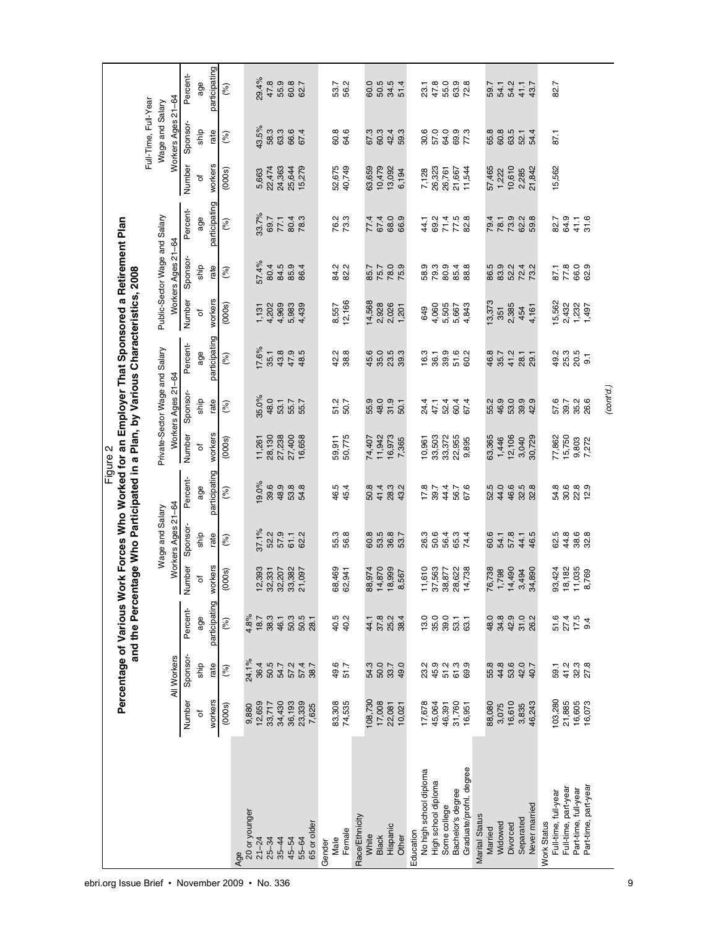|                                              |                  |                                               |                        |                                         |                                       |                  | Figure 2         |                                                      | Percentage of Various Work Forces Who Worked for an Employer That Sponsored a Retirement Plan<br>and the Percentage Who Participated in a Plan, by Various Characteristics, 2008 |                         |                                                     |               |                                 |                                       |                           |
|----------------------------------------------|------------------|-----------------------------------------------|------------------------|-----------------------------------------|---------------------------------------|------------------|------------------|------------------------------------------------------|----------------------------------------------------------------------------------------------------------------------------------------------------------------------------------|-------------------------|-----------------------------------------------------|---------------|---------------------------------|---------------------------------------|---------------------------|
|                                              |                  |                                               |                        |                                         |                                       |                  |                  |                                                      |                                                                                                                                                                                  |                         |                                                     |               |                                 | Full-Time, Full-Year                  |                           |
|                                              |                  | All Workers                                   |                        |                                         | Workers Ages 21-64<br>Wage and Salary |                  |                  | Private-Sector Wage and Salary<br>Workers Ages 21-64 |                                                                                                                                                                                  |                         | Public-Sector Wage and Salary<br>Workers Ages 21-64 |               |                                 | Workers Ages 21-64<br>Wage and Salary |                           |
|                                              | Number           | Sponsor-                                      | Percent-               | Number                                  | Sponsor-                              | Percent-         | Number           | Sponsor-                                             | Percent-                                                                                                                                                                         | Number                  | Sponsor-                                            | Percent-      | Number                          | Sponsor-                              | Percent-                  |
|                                              | ৳                | ship                                          | age                    | $\ddot{\sigma}$                         | ship                                  | age              | ৳                | ghip                                                 | age                                                                                                                                                                              | $\overline{\sigma}$     | ship                                                | age           | đ                               | ship                                  | age                       |
|                                              | workers          | rate                                          | participating          | workers                                 | rate                                  | participating    | workers          | rate                                                 | participating                                                                                                                                                                    | workers                 | rate                                                | participating | workers                         | rate                                  | participating             |
| Age                                          | (000s)           | (%)                                           | (%)                    | (000s)                                  | (%)                                   | (%)              | (000s)           | (%)                                                  | (%)                                                                                                                                                                              | (000s)                  | (%)                                                 | (%)           | (000s)                          | (%)                                   | (%)                       |
| 20 or younger                                | 9,880            | 24.1%                                         | 4.8%                   |                                         |                                       |                  |                  |                                                      |                                                                                                                                                                                  |                         |                                                     |               |                                 |                                       |                           |
| $21 - 24$                                    | 12,659           | 36.4                                          | 18.7                   | ,393<br>$\frac{1}{2}$                   | 37.1%                                 | 19.0%            | 11,261           | 35.0%                                                | 17.6%                                                                                                                                                                            | 1,131                   | 57.4%                                               | 33.7%         | 5,663                           | 43.5%                                 | 29.4%                     |
| $25 - 34$                                    | 33,717           | 50.5                                          | 38.3                   | , 331                                   | 52.2                                  | 39.6             | 28,130           | 48.0                                                 | 35.1                                                                                                                                                                             | 4,202                   | 80.4                                                | 69.7          | 22,474                          | 58.3                                  | 47.8                      |
| $35 - 44$                                    | 34,430           | 54.7                                          | 46.1                   | ,207                                    | 57.9                                  | 48.9             | 27,238           | 53.1                                                 | 43.8                                                                                                                                                                             |                         | 84.5                                                | 77.1          | 24,363                          | 63.3                                  | 55.9                      |
| 55-64<br>45-54                               | 36,193<br>23,339 | 57.2                                          | 50.3<br>50.5           | 1,382<br>097<br><u>នួន ដ</u>            | 61.1<br>62.2                          | 53.8<br>54.8     | 27,400<br>16,658 | 55.7<br>55.7                                         | 47.9<br>48.5                                                                                                                                                                     | 4,969<br>5,983<br>4,439 | 85.9<br>86.4                                        | 80.4<br>78.3  | 25,644<br>15,279                | 66.6<br>67.4                          | 60.8<br>62.7              |
| 65 or older                                  | 7,625            | 57.4<br>38.7                                  | 28.1                   |                                         |                                       |                  |                  |                                                      |                                                                                                                                                                                  |                         |                                                     |               |                                 |                                       |                           |
| Gender                                       |                  |                                               |                        |                                         |                                       |                  |                  |                                                      |                                                                                                                                                                                  |                         |                                                     |               |                                 |                                       |                           |
| Male                                         | 83,308<br>74,535 | 49.7<br>51.7                                  | 40.2<br>40.2           | 68,469<br>62,941                        | 55.3<br>56.8                          | 46.5<br>45.4     | 59,911<br>50,775 | 51.2<br>50.7                                         | $42.8$<br>38.8                                                                                                                                                                   | 8,557<br>12,166         | 34 2<br>82 3                                        | 76.3<br>73.3  | 52,675<br>40,749                | 60.8<br>64.6                          | 53.7<br>56.2              |
| Female                                       |                  |                                               |                        |                                         |                                       |                  |                  |                                                      |                                                                                                                                                                                  |                         |                                                     |               |                                 |                                       |                           |
| Race/Ethnicity                               |                  |                                               |                        |                                         |                                       |                  |                  |                                                      |                                                                                                                                                                                  |                         |                                                     |               |                                 |                                       |                           |
| White                                        | 108,730          | 54.3                                          | 44.1                   | 88,974                                  | 60.8                                  | 50.8             | 74,407           | 55.9                                                 | 45.6                                                                                                                                                                             | 14,568                  | 85.7                                                | 77.4          | 63,659                          | 67.3                                  |                           |
| <b>Black</b>                                 | 17,008           | 50.0                                          | 37.8                   | ,870<br>$\frac{4}{7}$                   | 53.5                                  | 41.4             | 11,942           | 48.0                                                 | 35.0                                                                                                                                                                             |                         | 75.7                                                | 67.4          |                                 | 60.3                                  |                           |
| Hispanic                                     | 22,081           | 33.7                                          | 25.2                   | ,999<br>$\frac{\infty}{\infty}$         | 36.8<br>53.7                          | 28.3<br>43.2     | 16,973           | 31.9                                                 | 23.3<br>39.3                                                                                                                                                                     | 2,928<br>2,026<br>1,201 | 78.9                                                | 68.0          | $10,479$<br>$13,092$<br>$6,194$ | 42.4                                  |                           |
| Other                                        | 10,021           |                                               | 38.4                   | 567<br>$\infty$                         |                                       |                  | 7,365            | 50.1                                                 |                                                                                                                                                                                  |                         |                                                     | 66.9          |                                 | 59.3                                  |                           |
| Education                                    |                  |                                               |                        |                                         |                                       |                  |                  |                                                      |                                                                                                                                                                                  |                         |                                                     |               |                                 |                                       |                           |
| No high school diploma                       | 17,678           |                                               | 13.0                   | ,610<br>Ξ                               | 26.3<br>50.6                          | 17.8<br>39.7     | 10,961           | 24.4<br>47.1                                         | 16.3                                                                                                                                                                             | 649                     | 58.9<br>79.3                                        | 44.1          | 7,128                           | 30.6                                  | 23.1                      |
| High school diploma                          | 45,064           |                                               | 35.0                   | ,563<br>$\mathcal{E}$                   |                                       |                  | 33,503           |                                                      | 36.1                                                                                                                                                                             | 4,060                   |                                                     | 69.2          | 26,323                          | 57.0                                  | 47.8                      |
| Some college                                 | 46,391           |                                               | 39.0                   | ,877<br>38                              | 56.4                                  | 44.4             | 33,372           | 52.4                                                 | 39.9                                                                                                                                                                             | 5,505<br>5,667          | 80.9                                                | 71.4          | 26,761                          | 64.0                                  |                           |
| Graduate/profnl. degree<br>Bachelor's degree | 31,760<br>16,951 | 2<br>2 3 4 5 6 9<br>2 4 5 6 9                 | 53.1<br>63.1           | 28,622<br>14,738                        | 65.3<br>74.4                          | 56.7<br>67.6     | 22,955<br>9,895  | 67.4<br>67.4                                         | 51.6<br>60.2                                                                                                                                                                     | 4,843                   | 85.4<br>88.8                                        | 77.5<br>82.8  | 11,544<br>21,667                | 69.9<br>77.3                          | 0<br>50<br>50<br>72<br>72 |
| Marital Status                               |                  |                                               |                        |                                         |                                       |                  |                  |                                                      |                                                                                                                                                                                  |                         |                                                     |               |                                 |                                       |                           |
| Married                                      | 88,080           |                                               | 48.0                   | 76,738<br>1,798                         | 60.6                                  | 52.5             | 63,365           |                                                      | 46.8                                                                                                                                                                             | 13,373                  |                                                     | 79.4          | 57,465                          | 65.8                                  |                           |
| Widowed                                      | 3,075            | $54.5$<br>$3.3$                               | 34.8                   |                                         | 54.1                                  | 44.0             | 1,446            | 55.2<br>46.9                                         | 35.7                                                                                                                                                                             | 351                     | 86.5<br>83.9                                        | 78.1          | 1,222                           | 60.8                                  |                           |
| Divorced                                     | 16,610           |                                               | 42.9                   | 1,490<br>$rac{4}{4}$ ယ္                 | 57.8                                  | 46.6             | 12,106           | 53.0                                                 | 41.2                                                                                                                                                                             | 2,385                   | 52.2                                                | 73.9          | 10,610                          | 63.5                                  |                           |
| Separated                                    | 3,835            | 42.0<br>40.7                                  | 31.0                   | 494                                     | 44.1                                  | 32.5<br>32.8     | 3,040            | 39.9<br>42.9                                         | 28.1                                                                                                                                                                             | 454                     | 72.4<br>73.2                                        | 62.2          | 2,285                           | 52.1                                  | 41.1                      |
| Never married                                | 46,243           |                                               | 26.2                   | .890<br>$\mathfrak{F}$                  | 46.5                                  |                  | 30,729           |                                                      | 29.1                                                                                                                                                                             | 4,161                   |                                                     | 59.8          | 21,842                          | 54.4                                  | 43.7                      |
| Full-time, full-year<br><b>Work Status</b>   | 103,280          |                                               | 51.6                   |                                         |                                       | 54.8             | 77,862           |                                                      | 49.2                                                                                                                                                                             | 15,562                  | 87.1                                                | 82.7          | 15,562                          | 87.1                                  | 82.7                      |
| Full-time, part-year                         | 21,885           |                                               |                        |                                         |                                       |                  | 15,750           | 57.6<br>39.7                                         |                                                                                                                                                                                  |                         |                                                     | 64.9          |                                 |                                       |                           |
| Part-time, full-year                         | 16,605<br>16,073 | 5<br>8 <del>1</del> 8 2<br>8 <del>1</del> 8 2 | $274$<br>$75$<br>$9.4$ | 93, 424<br>18, 182<br>11, 035<br>8, 769 | 6<br>24 80 90<br>14 90 90             | 90<br>9029<br>12 | 9,803            | 35.2<br>26.6                                         | 25.3<br>20.5                                                                                                                                                                     | 2,432<br>1,232<br>1,497 | 789<br>789                                          | 41.1          |                                 |                                       |                           |
| Part-time, part-year                         |                  |                                               |                        |                                         |                                       |                  | 7,272            |                                                      | $\overline{9}$                                                                                                                                                                   |                         |                                                     | 31.6          |                                 |                                       |                           |
|                                              |                  |                                               |                        |                                         |                                       |                  |                  | (constd)                                             |                                                                                                                                                                                  |                         |                                                     |               |                                 |                                       |                           |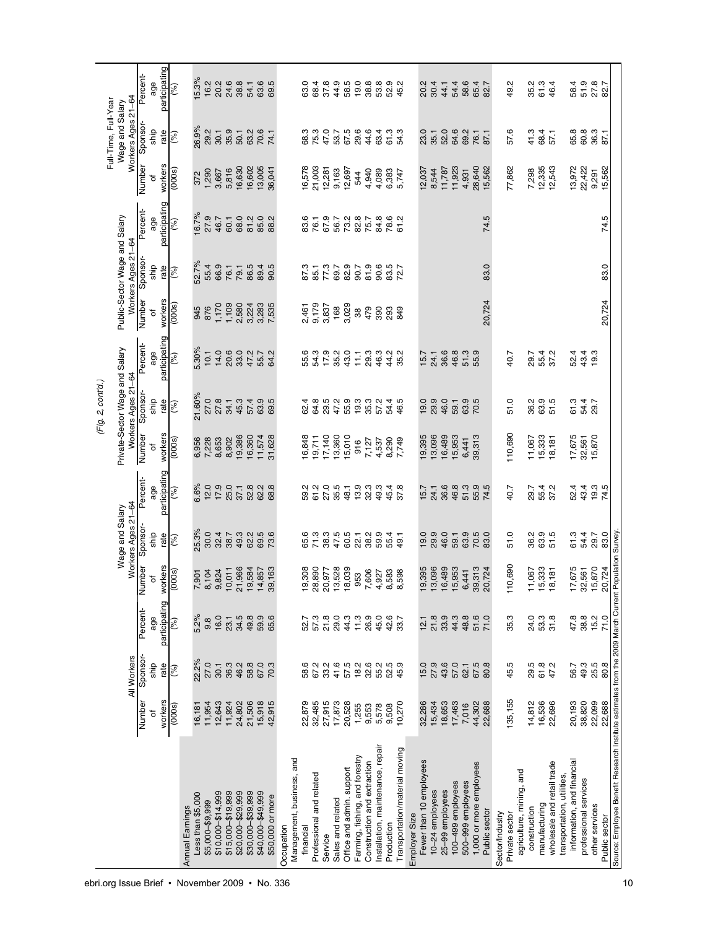|                                                                                                     |         |                  |                     |                |                      |                |                  | (Fig. 2, cont'd.)              |                      |                         |                                                     |                           |                            | Full-Time, Full-Year                  |               |
|-----------------------------------------------------------------------------------------------------|---------|------------------|---------------------|----------------|----------------------|----------------|------------------|--------------------------------|----------------------|-------------------------|-----------------------------------------------------|---------------------------|----------------------------|---------------------------------------|---------------|
|                                                                                                     |         | All Workers      |                     |                | Wage and Salary      |                |                  | Private-Sector Wage and Salary |                      |                         | Public-Sector Wage and Salary                       |                           |                            | Workers Ages 21-64<br>Wage and Salary |               |
|                                                                                                     | Numbe   |                  | Percent-            | Number         | Workers Ages 21-64   | Percent-       | Number           | Workers Ages 21-64<br>Sponsor- | Percent-             | Number                  | Workers Ages 21-64<br>Sponsor-                      | Percent-                  | Number                     | Sponsor-                              | Percent-      |
|                                                                                                     | ৳       | Sponsor-<br>ship | age                 | đ              | Sponsor-<br>ship     | age            | ৳                | ship                           | age                  | ō                       | ship                                                | age                       | ō                          | ship                                  | age           |
|                                                                                                     | workers | rate             | participating       | workers        | rate                 | participating  | workers          | rate                           | participating        | workers                 | rate                                                | participating             | workers                    | rate                                  | participating |
|                                                                                                     | (0000)  | $($ % $)$        | (%)                 | (000s)         | (%)                  | (%)            | (0000)           | $($ % $)$                      | (%)                  | (000)                   | (%)                                                 | $($ % $)$                 | (5000)                     | $($ % $)$                             | (%)           |
| Annual Earnings                                                                                     |         |                  |                     |                |                      |                |                  |                                |                      |                         |                                                     |                           |                            |                                       |               |
| Less than \$5,000                                                                                   | 16,181  | 22.2%            | 5.2%                | 7,901          | 25.3%                | 6.6%           | 6,956            | 21.60%                         | 5.30%                | 945                     | 52.7%                                               | 6.7%                      | 372                        | 26.9%                                 | 15.3%         |
| \$5,000-\$9,999                                                                                     | 11,954  | 27.0             | 9.8                 | 8,104<br>9,824 | 30.0                 | 12.0           | 7,228            | 27.0                           | 10.1                 | 876                     | 55.4                                                | 27.9                      | 1,290                      | 29.2                                  | 16.2          |
| \$10,000-\$14,999                                                                                   | 12,643  | 30.1             | 16.0                |                | 32.4<br>38.7         | 17.9           | 8,653            | 27.8                           | 14.0                 | 1,170                   | 66.9<br>76.1                                        | 46.7                      | 3,667                      | 30.1                                  | 20.2          |
| \$15,000-\$19,999                                                                                   | 11,924  | 36.3             | 23.1                | 10,011         |                      | 25.0           | 8,902            | 34.1                           | 20.6                 |                         |                                                     | 60.1<br>68.0              | 5,816                      | 35.9                                  | 24.6          |
| \$20,000-\$29,999                                                                                   | 24,802  | 46.2             | $34.5$<br>49.8      | 21,966         | 49.3<br>62.2         | 37.1           | 19,386           | 45.3                           | 33.0                 | 1,109<br>2,580<br>3,224 | 79.1                                                |                           | 16,630                     | 50.1                                  | 38.8          |
| \$30,000-\$39,999                                                                                   | 21,506  | 58.8             |                     | 9,584          |                      | 52.8           | 16,360           | 57.4                           | 47.2                 |                         | 86.5                                                | 81.2                      |                            | 63.2<br>70.6                          | 54.1          |
| \$40,000-\$49,999                                                                                   | 15,918  | 67.0             | 59.9<br>65.6        | 4,857          | 69.5<br>73.6         | 62.2           | 11,574           | 63.5<br>69.5                   | 55.7                 | 3,283<br>7,535          | 89.4<br>90.5                                        | 85.0<br>88.2              | 16,602<br>13,005<br>36,041 |                                       | 63.5<br>69.5  |
| \$50,000 or more                                                                                    | 42,915  | 70.3             |                     | 39,163         |                      | 68.8           | 31,628           |                                | 64.2                 |                         |                                                     |                           |                            | 74.1                                  |               |
| Management, business, and<br>Occupation                                                             |         |                  |                     |                |                      |                |                  |                                |                      |                         |                                                     |                           |                            |                                       |               |
| financial                                                                                           | 22,879  | 58.6             | 52.7                | 9,308          | 65.6                 | 59.2           | 16,848           | 62.4                           |                      | 2,461                   | 87.3                                                | 83.6                      | 16,578                     | 68.3                                  | 63.0          |
| Professional and related                                                                            | 32,485  | 67.2             | 57.3                | 28,890         | 71.3                 | 61.2           | 19,711           | 64.8                           | 55.3<br>54.9<br>17.9 | 9,179<br>3,837          | 85.1                                                | 76.1                      | 21,003                     | 75.3                                  | 68.4          |
| Service                                                                                             | 27,915  | 33.2             | 21.8<br>29.0        | 20,977         | 38.3<br>47.5         | 27.0           | 17,140           | 29.5                           |                      |                         | 77.3<br>69.7                                        | 67.9<br>56.7              | $12,281$<br>9,163          | 47.0                                  | 37.8          |
| Sales and related                                                                                   | 17,873  | 41.6             |                     | 3,528          |                      | 35.5           | 13,360           | 47.2                           | 35.2<br>43.0         | 168                     |                                                     |                           |                            | 53.7                                  | 44.9          |
| Office and admin. support                                                                           | 20,528  | 57.5             | $4\frac{1}{1}$      | 8,039          | 60.5                 | 48.1           | 15,010           | 55.9                           |                      | 3,029                   | 82.9<br>90.7                                        |                           | 12,697                     | 67.5<br>29.6                          | 58.5          |
| Farming, fishing, and forestry                                                                      | 1,255   | 18.2             |                     | 953            | 22.1                 | 13.9           | 916              |                                | 11.1                 | $38\,$                  |                                                     |                           | 544                        |                                       | 19.0          |
| Construction and extraction                                                                         | 9,553   | 32.6             | 26.9<br>45.0        | 7,606          | 38.2                 | 32.3           | 7,127            | 9<br>982<br>985                |                      | 479                     | 8<br>8<br>8<br>8<br>8<br>2<br>2<br>2<br>2<br>2<br>8 | 2<br>2022<br>2023<br>2022 | 4,940                      | 44.6                                  | 38.8          |
| Installation, maintenance, repair                                                                   | 5,578   | 55.2             |                     | 4,927          | 59.4<br>55.4<br>59.4 | 49.3           | 4,537            |                                |                      | 390                     |                                                     |                           | 4,089                      | 6<br>6 1 0<br>6 1 0<br>6 1 0          | 53.8          |
| Production                                                                                          | 9,508   | 52.5             | 42.6<br>33.7        | 8,583          |                      | 45.4           | 8,290            | 54.4<br>46.5                   |                      | 293                     |                                                     |                           | 6,383<br>5,747             |                                       | 52.9<br>45.2  |
| Transportation/material moving                                                                      | 10,270  | 45.9             |                     | 8,598          |                      | 37.8           | 7,749            |                                |                      | 849                     |                                                     |                           |                            |                                       |               |
| Employer Size                                                                                       |         |                  |                     |                |                      |                |                  |                                |                      |                         |                                                     |                           |                            |                                       |               |
| Fewer than 10 employees                                                                             | 32,286  | 15.0             | 12.1                | 9,395          | 19.0                 | 15.7           | 19,395           | 19.0                           | 15.7                 |                         |                                                     |                           | 12,037                     | 23.0                                  | 20.2          |
| 10-24 employees                                                                                     | 15,434  | 27.9             | 21.8                | 3,096          | 29.9                 | 24.1           | 13,096           | 29.9                           | 24.1                 |                         |                                                     |                           | 8,544                      | 35.1                                  | 30.4          |
| 25-99 employees                                                                                     | 18,653  | 43.6             | 33.9                | 6,489          | 46.0                 | 36.6           | 16,489           | 46.0                           | 36.6                 |                         |                                                     |                           | 11,787                     | 52.0                                  | 44.1          |
| 100-499 employees                                                                                   | 17,463  | 57.0             | 44.3                | 15,953         | 59.1                 | 46.8           | 15,953           | 59.1                           | 46.8                 |                         |                                                     |                           | 11,923                     | 64.6                                  | 54.4          |
| 500-999 employees                                                                                   | 7,016   | 62.1             | 48.8                | 6,441          | 63.9                 | 51.3           | 6,441            | 63.9<br>70.5                   | 51.3                 |                         |                                                     |                           | 4,931                      | 69.2                                  | 58.6          |
| 1,000 or more employees                                                                             | 44,302  | 67.5<br>80.8     | 51.6                | 39,313         | 70.5<br>83.0         | 55.9<br>74.5   | 39,313           |                                | 55.9                 |                         |                                                     |                           | 28,640                     | 76.1                                  | 65.4<br>82.7  |
| <b>Public sector</b>                                                                                | 22,688  |                  |                     | 20,724         |                      |                |                  |                                |                      | 20,724                  | 83.0                                                | 74.5                      | 15,562                     | 87.1                                  |               |
| Sector/Industry                                                                                     |         |                  |                     |                |                      |                |                  |                                |                      |                         |                                                     |                           |                            |                                       |               |
| Private sector                                                                                      | 135,155 | 45.5             | 35.3                | 10,690         | 51.0                 | 40.7           | 110,690          | 51.0                           | 40.7                 |                         |                                                     |                           | 77,862                     | 57.6                                  | Ņ<br>Φ.       |
| agriculture, mining, and                                                                            |         |                  |                     |                |                      |                |                  |                                |                      |                         |                                                     |                           |                            |                                       |               |
| construction                                                                                        | 14,812  | 29.5             | 24.0                | 11,067         | 36.2                 | 29.7           | 11,067           |                                |                      |                         |                                                     |                           |                            | 41.3                                  | 35.2          |
| manufacturing                                                                                       | 16,536  | 61.8             | 53.3<br>31.8        | 5,333          | 63.9                 | 55.4           | 15,333           |                                | 29.4<br>25.4<br>25.7 |                         |                                                     |                           | 7,298<br>12,335<br>12,543  | 68.4                                  | 61.3          |
| wholesale and retail trade                                                                          | 22,696  | 47.2             |                     | 8,181          | 51.5                 | 37.2           | 18,181           |                                |                      |                         |                                                     |                           |                            | 57,1                                  | 46.4          |
| transportation, utilities,                                                                          |         |                  |                     |                |                      |                |                  |                                |                      |                         |                                                     |                           |                            |                                       |               |
| information, and financial                                                                          | 20,193  | 56.7             |                     | 17,675         | 61.3                 | 52.4           | 17,675           | 61.3                           | 52.4                 |                         |                                                     |                           | 13,972                     | 65.8                                  | 58.4          |
| professional services                                                                               | 38,820  | 49.3             | $4789.2$<br>$489.2$ | 32,561         | 54.4                 | 43.4           | 32,561<br>15,870 | 54.4<br>29.7                   | $43.4$<br>19.3       |                         |                                                     |                           | 22,422                     | 60.8                                  |               |
| other services                                                                                      | 22,099  | 25.5             |                     | 5,870          | 29.7                 | $19.3$<br>74.5 |                  |                                |                      |                         |                                                     |                           | 9,291<br>15,562            | 36.3<br>87.1                          | 578<br>578    |
| Public sector                                                                                       | 22,688  | 80.8             | 71.0                | 20,724         | 83.0                 |                |                  |                                |                      | 20,724                  | 83.0                                                | 74.5                      |                            |                                       |               |
| Source: Employee Benefit Research Institute estimates from the 2009 March Current Population Survey |         |                  |                     |                |                      |                |                  |                                |                      |                         |                                                     |                           |                            |                                       |               |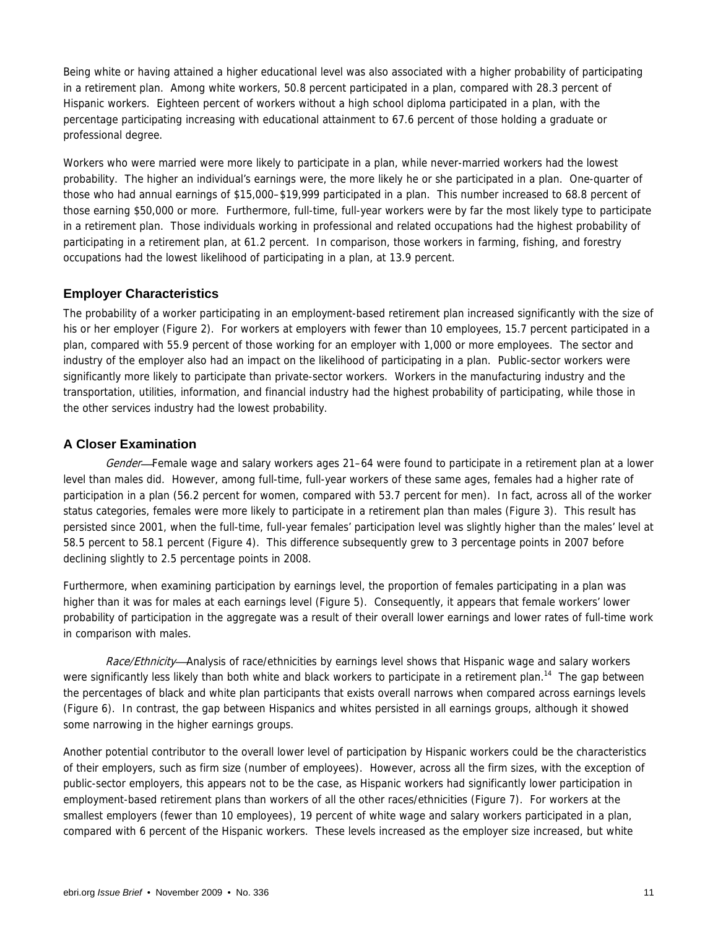Being white or having attained a higher educational level was also associated with a higher probability of participating in a retirement plan. Among white workers, 50.8 percent participated in a plan, compared with 28.3 percent of Hispanic workers. Eighteen percent of workers without a high school diploma participated in a plan, with the percentage participating increasing with educational attainment to 67.6 percent of those holding a graduate or professional degree.

Workers who were married were more likely to participate in a plan, while never-married workers had the lowest probability. The higher an individual's earnings were, the more likely he or she participated in a plan. One-quarter of those who had annual earnings of \$15,000–\$19,999 participated in a plan. This number increased to 68.8 percent of those earning \$50,000 or more. Furthermore, full-time, full-year workers were by far the most likely type to participate in a retirement plan. Those individuals working in professional and related occupations had the highest probability of participating in a retirement plan, at 61.2 percent. In comparison, those workers in farming, fishing, and forestry occupations had the lowest likelihood of participating in a plan, at 13.9 percent.

### **Employer Characteristics**

The probability of a worker participating in an employment-based retirement plan increased significantly with the size of his or her employer (Figure 2). For workers at employers with fewer than 10 employees, 15.7 percent participated in a plan, compared with 55.9 percent of those working for an employer with 1,000 or more employees. The sector and industry of the employer also had an impact on the likelihood of participating in a plan. Public-sector workers were significantly more likely to participate than private-sector workers. Workers in the manufacturing industry and the transportation, utilities, information, and financial industry had the highest probability of participating, while those in the other services industry had the lowest probability.

### **A Closer Examination**

Gender-Female wage and salary workers ages 21–64 were found to participate in a retirement plan at a lower level than males did. However, among full-time, full-year workers of these same ages, females had a higher rate of participation in a plan (56.2 percent for women, compared with 53.7 percent for men). In fact, across all of the worker status categories, females were more likely to participate in a retirement plan than males (Figure 3). This result has persisted since 2001, when the full-time, full-year females' participation level was slightly higher than the males' level at 58.5 percent to 58.1 percent (Figure 4). This difference subsequently grew to 3 percentage points in 2007 before declining slightly to 2.5 percentage points in 2008.

Furthermore, when examining participation by earnings level, the proportion of females participating in a plan was higher than it was for males at each earnings level (Figure 5). Consequently, it appears that female workers' lower probability of participation in the aggregate was a result of their overall lower earnings and lower rates of full-time work in comparison with males.

Race/Ethnicity—Analysis of race/ethnicities by earnings level shows that Hispanic wage and salary workers were significantly less likely than both white and black workers to participate in a retirement plan.<sup>14</sup> The gap between the percentages of black and white plan participants that exists overall narrows when compared across earnings levels (Figure 6). In contrast, the gap between Hispanics and whites persisted in all earnings groups, although it showed some narrowing in the higher earnings groups.

Another potential contributor to the overall lower level of participation by Hispanic workers could be the characteristics of their employers, such as firm size (number of employees). However, across all the firm sizes, with the exception of public-sector employers, this appears not to be the case, as Hispanic workers had significantly lower participation in employment-based retirement plans than workers of all the other races/ethnicities (Figure 7). For workers at the smallest employers (fewer than 10 employees), 19 percent of white wage and salary workers participated in a plan, compared with 6 percent of the Hispanic workers. These levels increased as the employer size increased, but white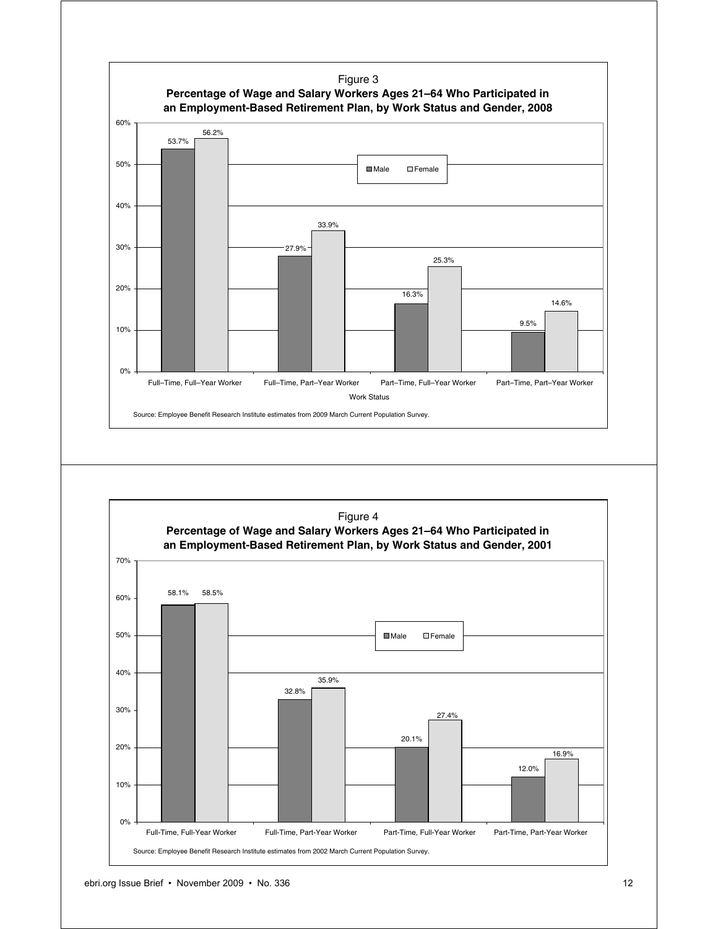

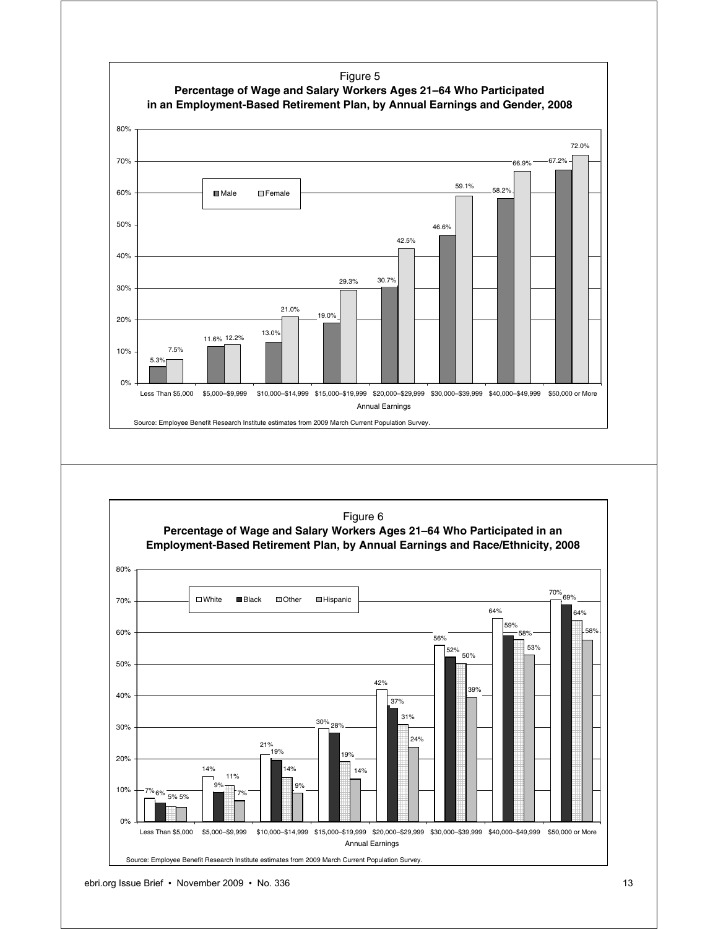

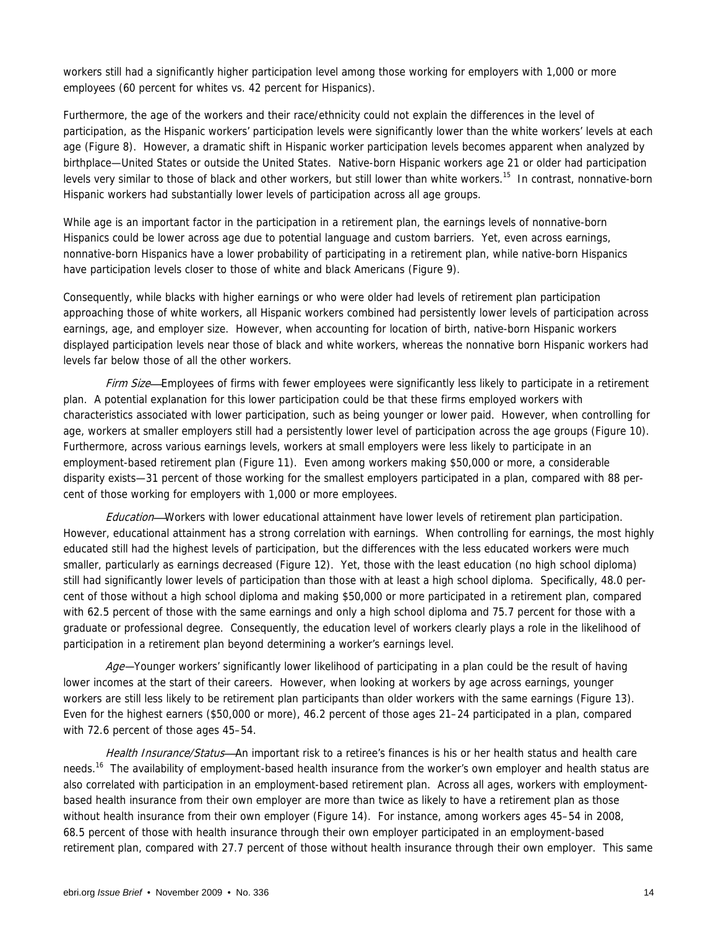workers still had a significantly higher participation level among those working for employers with 1,000 or more employees (60 percent for whites vs. 42 percent for Hispanics).

Furthermore, the age of the workers and their race/ethnicity could not explain the differences in the level of participation, as the Hispanic workers' participation levels were significantly lower than the white workers' levels at each age (Figure 8). However, a dramatic shift in Hispanic worker participation levels becomes apparent when analyzed by birthplace—United States or outside the United States. Native-born Hispanic workers age 21 or older had participation levels very similar to those of black and other workers, but still lower than white workers.<sup>15</sup> In contrast, nonnative-born Hispanic workers had substantially lower levels of participation across all age groups.

While age is an important factor in the participation in a retirement plan, the earnings levels of nonnative-born Hispanics could be lower across age due to potential language and custom barriers. Yet, even across earnings, nonnative-born Hispanics have a lower probability of participating in a retirement plan, while native-born Hispanics have participation levels closer to those of white and black Americans (Figure 9).

Consequently, while blacks with higher earnings or who were older had levels of retirement plan participation approaching those of white workers, all Hispanic workers combined had persistently lower levels of participation across earnings, age, and employer size. However, when accounting for location of birth, native-born Hispanic workers displayed participation levels near those of black and white workers, whereas the nonnative born Hispanic workers had levels far below those of all the other workers.

Firm Size—Employees of firms with fewer employees were significantly less likely to participate in a retirement plan. A potential explanation for this lower participation could be that these firms employed workers with characteristics associated with lower participation, such as being younger or lower paid. However, when controlling for age, workers at smaller employers still had a persistently lower level of participation across the age groups (Figure 10). Furthermore, across various earnings levels, workers at small employers were less likely to participate in an employment-based retirement plan (Figure 11). Even among workers making \$50,000 or more, a considerable disparity exists—31 percent of those working for the smallest employers participated in a plan, compared with 88 percent of those working for employers with 1,000 or more employees.

Education—Workers with lower educational attainment have lower levels of retirement plan participation. However, educational attainment has a strong correlation with earnings. When controlling for earnings, the most highly educated still had the highest levels of participation, but the differences with the less educated workers were much smaller, particularly as earnings decreased (Figure 12). Yet, those with the least education (no high school diploma) still had significantly lower levels of participation than those with at least a high school diploma. Specifically, 48.0 percent of those without a high school diploma and making \$50,000 or more participated in a retirement plan, compared with 62.5 percent of those with the same earnings and only a high school diploma and 75.7 percent for those with a graduate or professional degree. Consequently, the education level of workers clearly plays a role in the likelihood of participation in a retirement plan beyond determining a worker's earnings level.

Age—Younger workers' significantly lower likelihood of participating in a plan could be the result of having lower incomes at the start of their careers. However, when looking at workers by age across earnings, younger workers are still less likely to be retirement plan participants than older workers with the same earnings (Figure 13). Even for the highest earners (\$50,000 or more), 46.2 percent of those ages 21–24 participated in a plan, compared with 72.6 percent of those ages 45–54.

Health Insurance/Status—An important risk to a retiree's finances is his or her health status and health care needs.<sup>16</sup> The availability of employment-based health insurance from the worker's own employer and health status are also correlated with participation in an employment-based retirement plan. Across all ages, workers with employmentbased health insurance from their own employer are more than twice as likely to have a retirement plan as those without health insurance from their own employer (Figure 14). For instance, among workers ages 45–54 in 2008, 68.5 percent of those with health insurance through their own employer participated in an employment-based retirement plan, compared with 27.7 percent of those without health insurance through their own employer. This same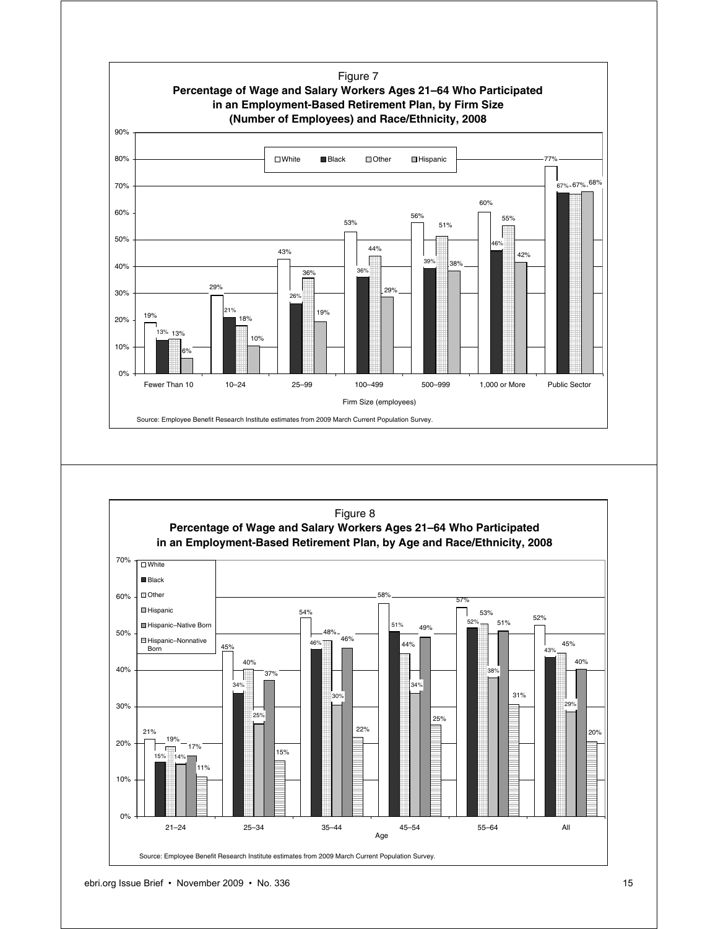

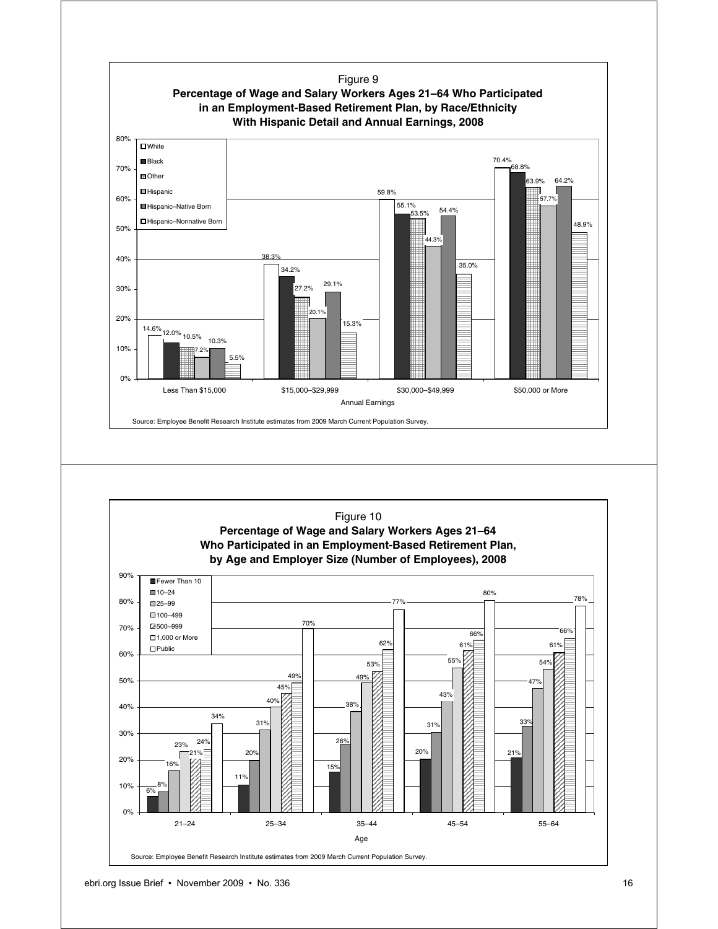

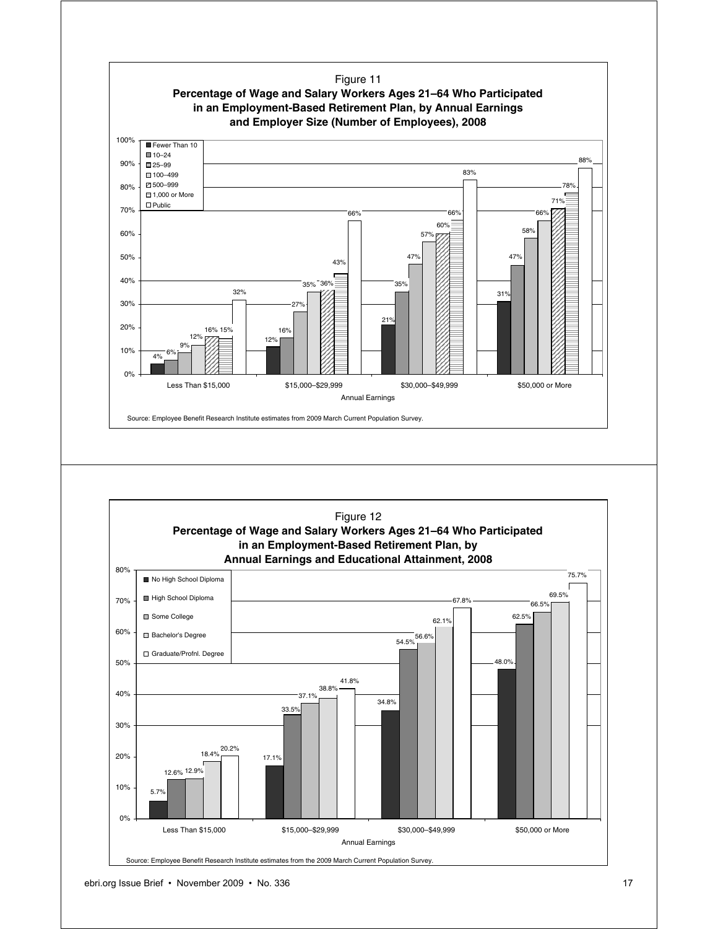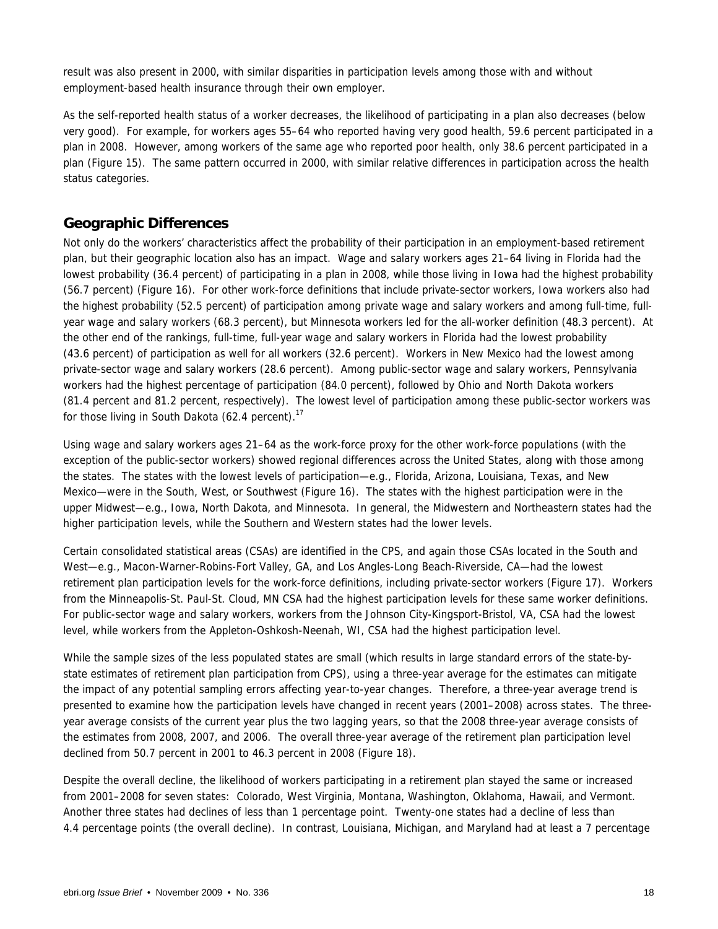result was also present in 2000, with similar disparities in participation levels among those with and without employment-based health insurance through their own employer.

As the self-reported health status of a worker decreases, the likelihood of participating in a plan also decreases (below very good). For example, for workers ages 55–64 who reported having very good health, 59.6 percent participated in a plan in 2008. However, among workers of the same age who reported poor health, only 38.6 percent participated in a plan (Figure 15). The same pattern occurred in 2000, with similar relative differences in participation across the health status categories.

### **Geographic Differences**

Not only do the workers' characteristics affect the probability of their participation in an employment-based retirement plan, but their geographic location also has an impact. Wage and salary workers ages 21–64 living in Florida had the lowest probability (36.4 percent) of participating in a plan in 2008, while those living in Iowa had the highest probability (56.7 percent) (Figure 16). For other work-force definitions that include private-sector workers, Iowa workers also had the highest probability (52.5 percent) of participation among private wage and salary workers and among full-time, fullyear wage and salary workers (68.3 percent), but Minnesota workers led for the all-worker definition (48.3 percent). At the other end of the rankings, full-time, full-year wage and salary workers in Florida had the lowest probability (43.6 percent) of participation as well for all workers (32.6 percent). Workers in New Mexico had the lowest among private-sector wage and salary workers (28.6 percent). Among public-sector wage and salary workers, Pennsylvania workers had the highest percentage of participation (84.0 percent), followed by Ohio and North Dakota workers (81.4 percent and 81.2 percent, respectively). The lowest level of participation among these public-sector workers was for those living in South Dakota (62.4 percent).<sup>17</sup>

Using wage and salary workers ages 21–64 as the work-force proxy for the other work-force populations (with the exception of the public-sector workers) showed regional differences across the United States, along with those among the states. The states with the lowest levels of participation—e.g., Florida, Arizona, Louisiana, Texas, and New Mexico—were in the South, West, or Southwest (Figure 16). The states with the highest participation were in the upper Midwest—e.g., Iowa, North Dakota, and Minnesota. In general, the Midwestern and Northeastern states had the higher participation levels, while the Southern and Western states had the lower levels.

Certain consolidated statistical areas (CSAs) are identified in the CPS, and again those CSAs located in the South and West—e.g., Macon-Warner-Robins-Fort Valley, GA, and Los Angles-Long Beach-Riverside, CA—had the lowest retirement plan participation levels for the work-force definitions, including private-sector workers (Figure 17). Workers from the Minneapolis-St. Paul-St. Cloud, MN CSA had the highest participation levels for these same worker definitions. For public-sector wage and salary workers, workers from the Johnson City-Kingsport-Bristol, VA, CSA had the lowest level, while workers from the Appleton-Oshkosh-Neenah, WI, CSA had the highest participation level.

While the sample sizes of the less populated states are small (which results in large standard errors of the state-bystate estimates of retirement plan participation from CPS), using a three-year average for the estimates can mitigate the impact of any potential sampling errors affecting year-to-year changes. Therefore, a three-year average trend is presented to examine how the participation levels have changed in recent years (2001–2008) across states. The threeyear average consists of the current year plus the two lagging years, so that the 2008 three-year average consists of the estimates from 2008, 2007, and 2006. The overall three-year average of the retirement plan participation level declined from 50.7 percent in 2001 to 46.3 percent in 2008 (Figure 18).

Despite the overall decline, the likelihood of workers participating in a retirement plan stayed the same or increased from 2001–2008 for seven states: Colorado, West Virginia, Montana, Washington, Oklahoma, Hawaii, and Vermont. Another three states had declines of less than 1 percentage point. Twenty-one states had a decline of less than 4.4 percentage points (the overall decline). In contrast, Louisiana, Michigan, and Maryland had at least a 7 percentage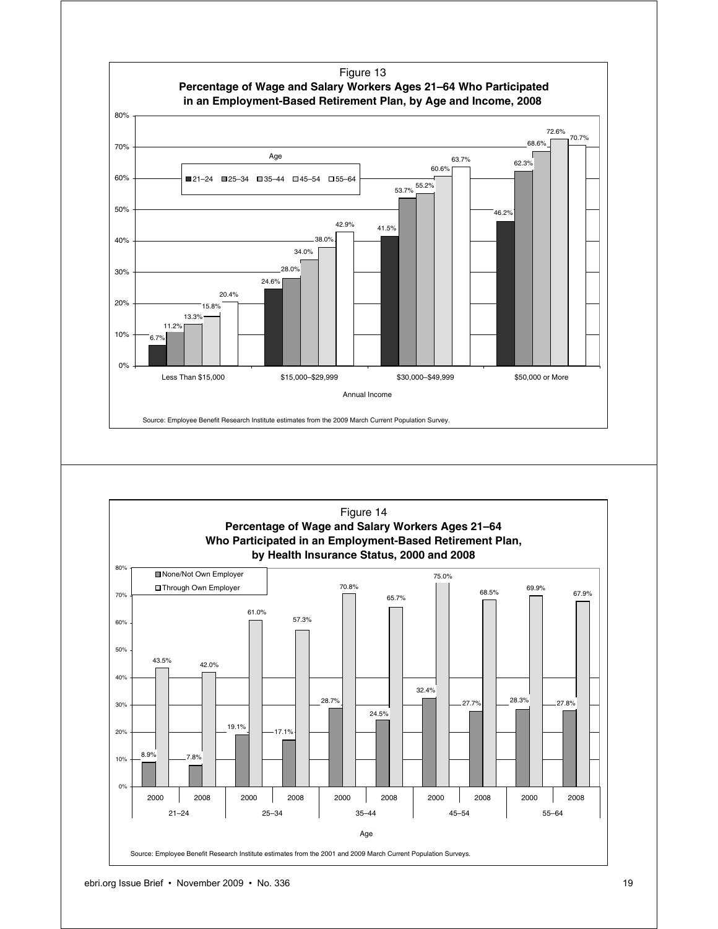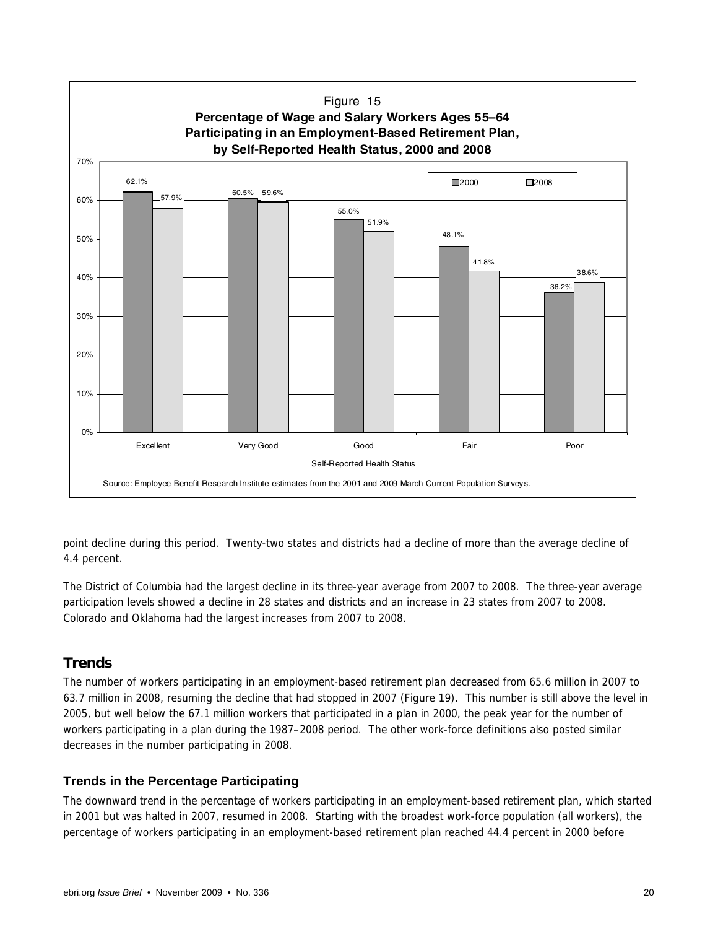

point decline during this period. Twenty-two states and districts had a decline of more than the average decline of 4.4 percent.

The District of Columbia had the largest decline in its three-year average from 2007 to 2008. The three-year average participation levels showed a decline in 28 states and districts and an increase in 23 states from 2007 to 2008. Colorado and Oklahoma had the largest increases from 2007 to 2008.

### **Trends**

The number of workers participating in an employment-based retirement plan decreased from 65.6 million in 2007 to 63.7 million in 2008, resuming the decline that had stopped in 2007 (Figure 19). This number is still above the level in 2005, but well below the 67.1 million workers that participated in a plan in 2000, the peak year for the number of workers participating in a plan during the 1987–2008 period. The other work-force definitions also posted similar decreases in the number participating in 2008.

### **Trends in the Percentage Participating**

The downward trend in the percentage of workers participating in an employment-based retirement plan, which started in 2001 but was halted in 2007, resumed in 2008. Starting with the broadest work-force population (all workers), the percentage of workers participating in an employment-based retirement plan reached 44.4 percent in 2000 before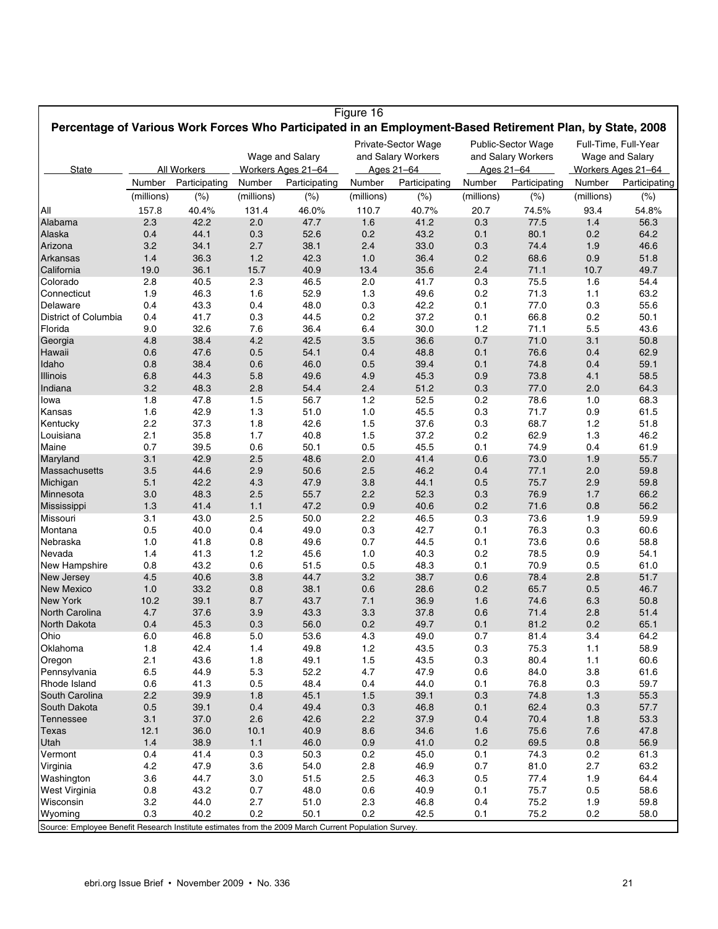|                                                                                                           |            |               |            |                    | Figure 16  |                     |            |                           |            |                      |
|-----------------------------------------------------------------------------------------------------------|------------|---------------|------------|--------------------|------------|---------------------|------------|---------------------------|------------|----------------------|
| Percentage of Various Work Forces Who Participated in an Employment-Based Retirement Plan, by State, 2008 |            |               |            |                    |            |                     |            |                           |            |                      |
|                                                                                                           |            |               |            |                    |            | Private-Sector Wage |            | <b>Public-Sector Wage</b> |            | Full-Time, Full-Year |
|                                                                                                           |            |               |            | Wage and Salary    |            | and Salary Workers  |            | and Salary Workers        |            | Wage and Salary      |
| State                                                                                                     |            | All Workers   |            | Workers Ages 21-64 |            | Ages 21-64          | Ages 21-64 |                           |            | Workers Ages 21-64   |
|                                                                                                           | Number     | Participating | Number     | Participating      | Number     | Participating       | Number     | Participating             | Number     | Participating        |
|                                                                                                           | (millions) | (%)           | (millions) | (%)                | (millions) | (%)                 | (millions) | $(\%)$                    | (millions) | $(\%)$               |
| All                                                                                                       | 157.8      | 40.4%         | 131.4      | 46.0%              | 110.7      | 40.7%               | 20.7       | 74.5%                     | 93.4       | 54.8%                |
| Alabama                                                                                                   | 2.3        | 42.2          | 2.0        | 47.7               | 1.6        | 41.2                | 0.3        | 77.5                      | 1.4        | 56.3                 |
| Alaska                                                                                                    | 0.4        | 44.1          | 0.3        | 52.6               | 0.2        | 43.2                | 0.1        | 80.1                      | 0.2        | 64.2                 |
| Arizona                                                                                                   | 3.2        | 34.1          | 2.7        | 38.1               | 2.4        | 33.0                | 0.3        | 74.4                      | 1.9        | 46.6                 |
| Arkansas                                                                                                  | 1.4        | 36.3          | 1.2        | 42.3               | 1.0        | 36.4                | 0.2        | 68.6                      | 0.9        | 51.8                 |
| California                                                                                                | 19.0       | 36.1          | 15.7       | 40.9               | 13.4       | 35.6                | 2.4        | 71.1                      | 10.7       | 49.7                 |
| Colorado                                                                                                  | 2.8        | 40.5          | 2.3        | 46.5               | 2.0        | 41.7                | 0.3        | 75.5                      | 1.6        | 54.4                 |
| Connecticut                                                                                               | 1.9        | 46.3          | 1.6        | 52.9               | 1.3        | 49.6                | 0.2        | 71.3                      | 1.1        | 63.2                 |
| Delaware                                                                                                  | 0.4        | 43.3          | 0.4        | 48.0               | 0.3        | 42.2                | 0.1        | 77.0                      | 0.3        | 55.6                 |
| District of Columbia                                                                                      | 0.4        | 41.7<br>32.6  | 0.3        | 44.5               | 0.2        | 37.2<br>30.0        | 0.1        | 66.8                      | 0.2        | 50.1<br>43.6         |
| Florida<br>Georgia                                                                                        | 9.0<br>4.8 | 38.4          | 7.6<br>4.2 | 36.4<br>42.5       | 6.4<br>3.5 | 36.6                | 1.2<br>0.7 | 71.1<br>71.0              | 5.5<br>3.1 | 50.8                 |
| Hawaii                                                                                                    | 0.6        | 47.6          | 0.5        | 54.1               | 0.4        | 48.8                | 0.1        | 76.6                      | 0.4        | 62.9                 |
| Idaho                                                                                                     | 0.8        | 38.4          | 0.6        | 46.0               | 0.5        | 39.4                | 0.1        | 74.8                      | 0.4        | 59.1                 |
| Illinois                                                                                                  | 6.8        | 44.3          | 5.8        | 49.6               | 4.9        | 45.3                | 0.9        | 73.8                      | 4.1        | 58.5                 |
| Indiana                                                                                                   | 3.2        | 48.3          | 2.8        | 54.4               | 2.4        | 51.2                | 0.3        | 77.0                      | 2.0        | 64.3                 |
| Iowa                                                                                                      | 1.8        | 47.8          | 1.5        | 56.7               | 1.2        | 52.5                | 0.2        | 78.6                      | 1.0        | 68.3                 |
| Kansas                                                                                                    | 1.6        | 42.9          | 1.3        | 51.0               | 1.0        | 45.5                | 0.3        | 71.7                      | 0.9        | 61.5                 |
| Kentucky                                                                                                  | 2.2        | 37.3          | 1.8        | 42.6               | 1.5        | 37.6                | 0.3        | 68.7                      | 1.2        | 51.8                 |
| Louisiana                                                                                                 | 2.1        | 35.8          | 1.7        | 40.8               | 1.5        | 37.2                | 0.2        | 62.9                      | 1.3        | 46.2                 |
| Maine                                                                                                     | 0.7        | 39.5          | 0.6        | 50.1               | 0.5        | 45.5                | 0.1        | 74.9                      | 0.4        | 61.9                 |
| Maryland                                                                                                  | 3.1        | 42.9          | 2.5        | 48.6               | 2.0        | 41.4                | 0.6        | 73.0                      | 1.9        | 55.7                 |
| Massachusetts                                                                                             | 3.5        | 44.6          | 2.9        | 50.6               | 2.5        | 46.2                | 0.4        | 77.1                      | 2.0        | 59.8                 |
| Michigan                                                                                                  | 5.1        | 42.2          | 4.3        | 47.9               | 3.8        | 44.1                | 0.5        | 75.7                      | 2.9        | 59.8                 |
| Minnesota                                                                                                 | 3.0<br>1.3 | 48.3<br>41.4  | 2.5<br>1.1 | 55.7<br>47.2       | 2.2<br>0.9 | 52.3<br>40.6        | 0.3<br>0.2 | 76.9<br>71.6              | 1.7<br>0.8 | 66.2<br>56.2         |
| Mississippi<br>Missouri                                                                                   | 3.1        | 43.0          | 2.5        | 50.0               | 2.2        | 46.5                | 0.3        | 73.6                      | 1.9        | 59.9                 |
| Montana                                                                                                   | 0.5        | 40.0          | 0.4        | 49.0               | 0.3        | 42.7                | 0.1        | 76.3                      | 0.3        | 60.6                 |
| Nebraska                                                                                                  | 1.0        | 41.8          | 0.8        | 49.6               | 0.7        | 44.5                | 0.1        | 73.6                      | 0.6        | 58.8                 |
| Nevada                                                                                                    | 1.4        | 41.3          | 1.2        | 45.6               | 1.0        | 40.3                | 0.2        | 78.5                      | 0.9        | 54.1                 |
| New Hampshire                                                                                             | 0.8        | 43.2          | 0.6        | 51.5               | 0.5        | 48.3                | 0.1        | 70.9                      | 0.5        | 61.0                 |
| New Jersey                                                                                                | 4.5        | 40.6          | 3.8        | 44.7               | 3.2        | 38.7                | 0.6        | 78.4                      | 2.8        | 51.7                 |
| <b>New Mexico</b>                                                                                         | 1.0        | 33.2          | 0.8        | 38.1               | 0.6        | 28.6                | 0.2        | 65.7                      | 0.5        | 46.7                 |
| <b>New York</b>                                                                                           | 10.2       | 39.1          | 8.7        | 43.7               | 7.1        | 36.9                | 1.6        | 74.6                      | 6.3        | 50.8                 |
| North Carolina                                                                                            | 4.7        | 37.6          | 3.9        | 43.3               | 3.3        | 37.8                | 0.6        | 71.4                      | 2.8        | 51.4                 |
| North Dakota                                                                                              | 0.4        | 45.3          | 0.3        | 56.0               | 0.2        | 49.7                | 0.1        | 81.2                      | 0.2        | 65.1                 |
| Ohio                                                                                                      | 6.0        | 46.8          | 5.0        | 53.6               | 4.3        | 49.0                | 0.7        | 81.4                      | 3.4        | 64.2                 |
| Oklahoma                                                                                                  | 1.8        | 42.4          | 1.4        | 49.8               | $1.2$      | 43.5                | 0.3        | 75.3                      | 1.1        | 58.9                 |
| Oregon<br>Pennsylvania                                                                                    | 2.1<br>6.5 | 43.6<br>44.9  | 1.8<br>5.3 | 49.1<br>52.2       | 1.5<br>4.7 | 43.5<br>47.9        | 0.3<br>0.6 | 80.4<br>84.0              | 1.1<br>3.8 | 60.6<br>61.6         |
| Rhode Island                                                                                              | 0.6        | 41.3          | 0.5        | 48.4               | 0.4        | 44.0                | 0.1        | 76.8                      | 0.3        | 59.7                 |
| South Carolina                                                                                            | 2.2        | 39.9          | 1.8        | 45.1               | 1.5        | 39.1                | 0.3        | 74.8                      | 1.3        | 55.3                 |
| South Dakota                                                                                              | 0.5        | 39.1          | 0.4        | 49.4               | 0.3        | 46.8                | 0.1        | 62.4                      | 0.3        | 57.7                 |
| Tennessee                                                                                                 | 3.1        | 37.0          | 2.6        | 42.6               | 2.2        | 37.9                | 0.4        | 70.4                      | 1.8        | 53.3                 |
| <b>Texas</b>                                                                                              | 12.1       | 36.0          | 10.1       | 40.9               | 8.6        | 34.6                | 1.6        | 75.6                      | 7.6        | 47.8                 |
| Utah                                                                                                      | 1.4        | 38.9          | 1.1        | 46.0               | 0.9        | 41.0                | 0.2        | 69.5                      | 0.8        | 56.9                 |
| Vermont                                                                                                   | 0.4        | 41.4          | 0.3        | 50.3               | 0.2        | 45.0                | 0.1        | 74.3                      | 0.2        | 61.3                 |
| Virginia                                                                                                  | 4.2        | 47.9          | 3.6        | 54.0               | 2.8        | 46.9                | 0.7        | 81.0                      | 2.7        | 63.2                 |
| Washington                                                                                                | 3.6        | 44.7          | 3.0        | 51.5               | 2.5        | 46.3                | 0.5        | 77.4                      | 1.9        | 64.4                 |
| West Virginia                                                                                             | 0.8        | 43.2          | 0.7        | 48.0               | 0.6        | 40.9                | 0.1        | 75.7                      | 0.5        | 58.6                 |
| Wisconsin                                                                                                 | 3.2        | 44.0          | 2.7        | 51.0               | 2.3        | 46.8                | 0.4        | 75.2                      | 1.9        | 59.8                 |
| Wyoming                                                                                                   | 0.3        | 40.2          | 0.2        | 50.1               | 0.2        | 42.5                | 0.1        | 75.2                      | 0.2        | 58.0                 |
| Source: Employee Benefit Research Institute estimates from the 2009 March Current Population Survey.      |            |               |            |                    |            |                     |            |                           |            |                      |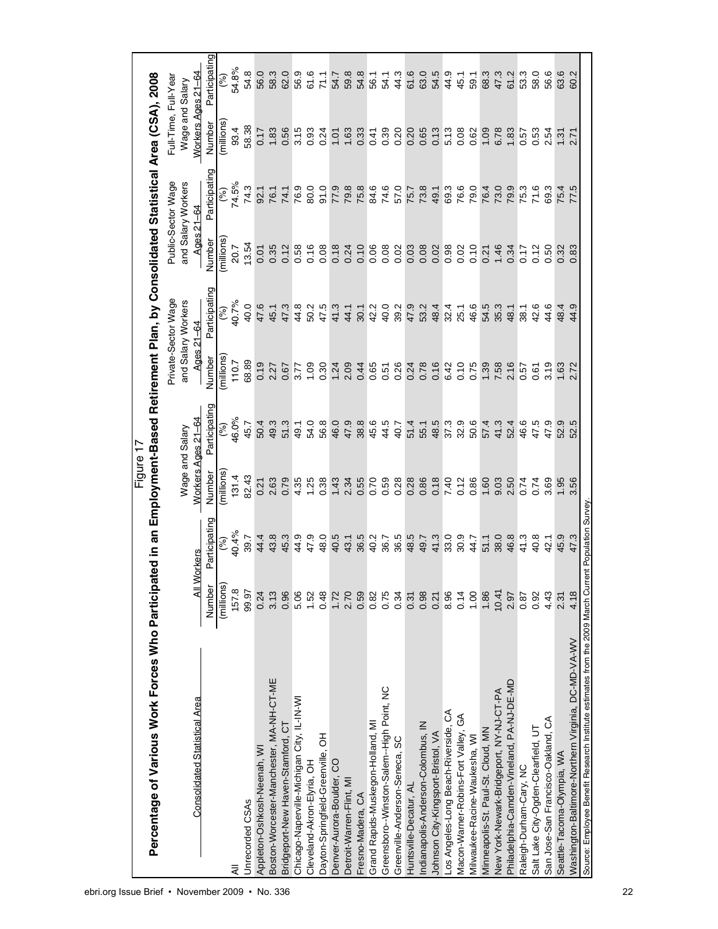|                                                                                                     |             |               | Figure 17          |               |              |                                                                                           |                           |                    |                      |               |
|-----------------------------------------------------------------------------------------------------|-------------|---------------|--------------------|---------------|--------------|-------------------------------------------------------------------------------------------|---------------------------|--------------------|----------------------|---------------|
| Percentage of Various Work Forces Who Participa                                                     |             |               |                    |               |              | ited in an Employment-Based Retirement Plan, by Consolidated Statistical Area (CSA), 2008 |                           |                    |                      |               |
|                                                                                                     |             |               |                    |               |              | Private-Sector Wage                                                                       |                           | Public-Sector Wage | Full-Time, Full-Yeaı |               |
|                                                                                                     |             |               | Wage and Salary    |               |              | and Salary Workers                                                                        |                           | and Salary Workers | Wage and Salary      |               |
| Consolidated Statistical Area                                                                       | All Workers |               | Workers Ages 21-64 |               | Ages 21-64   |                                                                                           | Ages 21-64                |                    | Workers Ages 21–64   |               |
|                                                                                                     | Number      | Participating | Number             | Participating | Number       | Participating                                                                             | Number                    | Participating      | Number               | Participating |
|                                                                                                     | (millions)  | (%)           | millions           | (%)           | millions     | (%)                                                                                       | millions                  | (%)                | millions             | $\mathcal{S}$ |
| ₹                                                                                                   | 157.8       | 40.4%         | 131.4              | 46.0%         | 110.7        | 40.7%                                                                                     | 20.7                      | 74.5%              | 93.4                 | 54.8%         |
| Unrecorded CSAs                                                                                     | 99.97       | 39.7          | 82.43              | 45.7          | 68.89        | 40.0                                                                                      | 13.54                     | 74.3               | 58.38                | 54.8          |
| Appleton-Oshkosh-Neenah, W                                                                          | 0.24        | 44.4          | 0.21               | 50.4          | 0.19         | 47.6                                                                                      | 0.01                      | 92.1               | 0.17                 | 56.0          |
| Boston-Worcester-Manchester, MA-NH-CT-ME                                                            | 3.13        | 43.8          | 2.63               | 49.3          | 2.27         | 45.1                                                                                      | 0.35                      | 76.1               | 1.83                 | 58.3          |
| Bridgeport-New Haven-Stamford, CT                                                                   | 0.96        | 45.3          | 0.79               | 51.3          | 0.67         | 47.3                                                                                      | 0.12                      | 74.1               | 0.56                 | 62.0          |
| Chicago-Naperville-Michigan City, IL-IN-WI                                                          | 5.06        | 44.9          | 4.35               | 49.1          | 3.77         | 44.8                                                                                      | 0.58                      | 76.9               | 3.15                 | 56.9          |
| Cleveland-Akron-Elyria, OH                                                                          | 1.52        | 47.9          | 1.25               | 54.0          | 1.09         | 50.2                                                                                      | 0.16                      | 80.0               | 0.93                 | 61.6          |
| Dayton-Springfield-Greenville, OH                                                                   | 0.48        | 48.0          | 0.38               | 56.8          | 0.30         | 47.5                                                                                      | 0.08                      | 91.0               | 0.24                 | 71.1          |
| Denver-Aurora-Boulder, CO                                                                           | 1.72        | 40.5          | 1.43               | 46.0          | 1.24         | 41.3                                                                                      | 0.18                      | 77.9               | 10.1                 | 54.7          |
| Detroit-Warren-Flint, MI                                                                            | 2.70        | 43.1          | 2.34               | 47.9          | 2.09         | 44.1                                                                                      | 0.24                      | 79.8               | 1.63                 | 59.8          |
| Fresno-Madera, CA                                                                                   | 0.59        | 36.5          | 0.55               | 38.8          | 0.44         | 30.1                                                                                      | 0.10                      | 75.8               | 0.33                 | 54.8          |
| Grand Rapids-Muskegon-Holland, MI                                                                   | 0.82        | 40.2          | 0.70               | 45.6          | 0.65         | 42.2                                                                                      | 0.06                      | 84.6               | 0.41                 | 56.1          |
| Greensboro--Winston-Salem-High Point, NC                                                            | 0.75        | 36.7          | 0.59               | 44.5          | 0.51         | 40.0                                                                                      | 0.08                      | 74.6               | 0.39                 | 54.1          |
| Greenville-Anderson-Seneca, SC                                                                      | 0.34        | 36.5          | 0.28               | 40.7          | 0.26         | 39.2                                                                                      | 0.02                      | 57.0               | 0.20                 | 44.3          |
| Huntsville-Decatur, AL                                                                              | 0.31        | 48.5<br>49.7  | 0.28<br>0.86       | 51.4          | 0.24         | 47.9                                                                                      | 0.03                      | 75.7               | 0.20                 | 61.6          |
| Indianapolis-Anderson-Colombus, IN                                                                  | 0.98        |               |                    | 55.1          | 0.78         | 53.2                                                                                      |                           | 73.8               | 0.65                 | 63.0          |
| Johnson City-Kingsport-Bristol, VA                                                                  | 0.21        | 41.3          | 0.18               | 48.5<br>37.3  | 0.16         | $48.1$<br>$43.1$<br>$45.1$                                                                | 8<br>0.02<br>0.03<br>0.02 | 49.1               | 0.13                 | 54.5          |
| Los Angeles-Long Beach-Riverside, CA                                                                | 8.96        | 33.0          | 7.40               |               | 6.42<br>0.10 |                                                                                           |                           | 69.3               | 5.13                 | 44.9          |
| Macon-Warner-Robins-Fort Valley, GA                                                                 | 0.14        | 30.9          | 0.12               | 32.9          |              |                                                                                           |                           | 76.6               |                      | 45.1          |
| Milwaukee-Racine-Waukesha, WI                                                                       | 1.00        | 44.7          | 0.86               | 50.6          | 0.75         | 46.6                                                                                      | 0.10                      | 79.0               | 0.62                 | 59.1          |
| Minneapolis-St. Paul-St. Cloud, MN                                                                  | 1.86        | 51.1          | 1.60               | 57.4          | 1.39         | 54.5                                                                                      | 0.21                      | 76.4               | 1.09                 | 68.3          |
| New York-Newark-Bridgeport, NY-NJ-CT-PA                                                             | 10.41       | 38.0          | 9.03               | 41.3          | 7.58         | 35.3                                                                                      | 1.46                      | 73.0               | 6.78                 | 47.3          |
| Philadelphia-Camden-Vineland, PA-NJ-DE-MD                                                           | 2.97        | 46.8          | 2.50               | 52.4          | 2.16         | 48.1                                                                                      | 0.34                      | 79.9               | 1.83                 | 61.2          |
| Raleigh-Durham-Cary, NC                                                                             | 0.87        | 41.3          | 0.74               | 46.6          | 0.57         | 38.1                                                                                      | 0.17                      | 75.3               | 0.57                 | 53.3          |
| Salt Lake City-Ogden-Clearfield, UT                                                                 | 0.92        | 40.8          | 0.74               | 47.5          | 0.61         | 42.6                                                                                      | 0.12                      | 71.6               | 0.53                 | 58.0          |
| San Jose-San Francisco-Oakland, CA                                                                  | 4.43        | 42.1          | 3.69               | 47.9          | 3.19         | 44.6                                                                                      | 0.50                      | 69.3               | 2.54                 | 56.6          |
| Seattle-Tacoma-Olympia, WA                                                                          | 2.31        | 45.9          | 1.95               | 52.9          | 1.63         | 48.4                                                                                      | 0.32                      | 75.4               | 1.31                 | 63.6          |
| Washington-Baltimore-Northern Virginia, DC-MD-VA-WV                                                 | 4.18        | 47.3          | 3.56               | 52.5          | 2.72         | 44.9                                                                                      | 0.83                      | 77.5               |                      | 60.2          |
| Source: Employee Benefit Research Institute estimates from the 2009 March Current Population Survey |             |               |                    |               |              |                                                                                           |                           |                    |                      |               |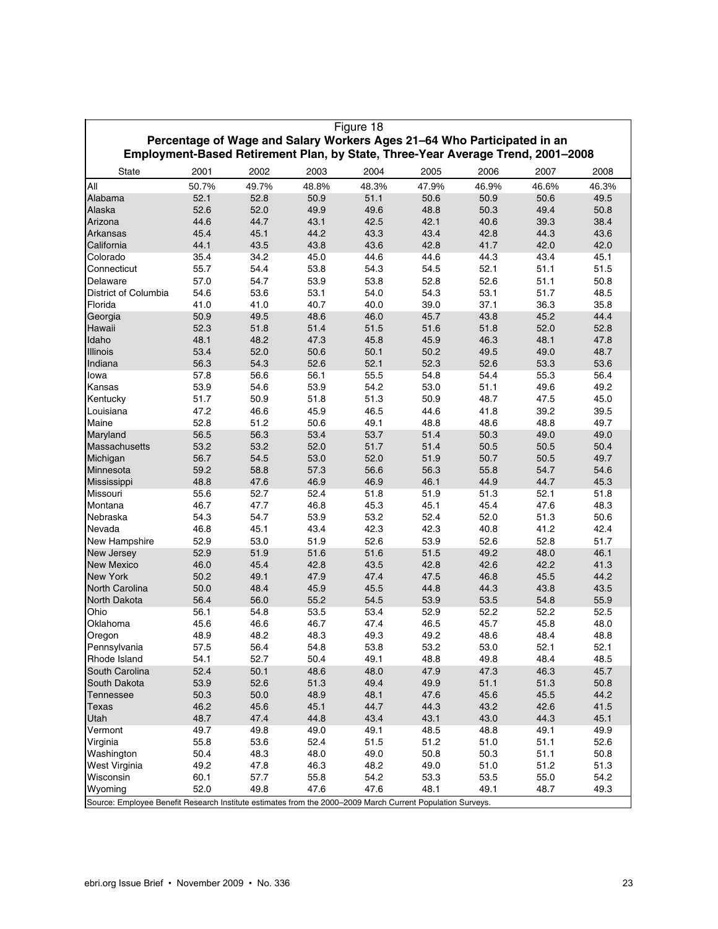|                                                                                                            |       |       |       | Figure 18 |                                                                                                                                                            |       |       |       |
|------------------------------------------------------------------------------------------------------------|-------|-------|-------|-----------|------------------------------------------------------------------------------------------------------------------------------------------------------------|-------|-------|-------|
|                                                                                                            |       |       |       |           | Percentage of Wage and Salary Workers Ages 21-64 Who Participated in an<br>Employment-Based Retirement Plan, by State, Three-Year Average Trend, 2001-2008 |       |       |       |
| <b>State</b>                                                                                               | 2001  | 2002  | 2003  | 2004      | 2005                                                                                                                                                       | 2006  | 2007  | 2008  |
| All                                                                                                        | 50.7% | 49.7% | 48.8% | 48.3%     | 47.9%                                                                                                                                                      | 46.9% | 46.6% | 46.3% |
| Alabama                                                                                                    | 52.1  | 52.8  | 50.9  | 51.1      | 50.6                                                                                                                                                       | 50.9  | 50.6  | 49.5  |
| Alaska                                                                                                     | 52.6  | 52.0  | 49.9  | 49.6      | 48.8                                                                                                                                                       | 50.3  | 49.4  | 50.8  |
| Arizona                                                                                                    | 44.6  | 44.7  | 43.1  | 42.5      | 42.1                                                                                                                                                       | 40.6  | 39.3  | 38.4  |
| Arkansas                                                                                                   | 45.4  | 45.1  | 44.2  | 43.3      | 43.4                                                                                                                                                       | 42.8  | 44.3  | 43.6  |
| California                                                                                                 | 44.1  | 43.5  | 43.8  | 43.6      | 42.8                                                                                                                                                       | 41.7  | 42.0  | 42.0  |
| Colorado                                                                                                   | 35.4  | 34.2  | 45.0  | 44.6      | 44.6                                                                                                                                                       | 44.3  | 43.4  | 45.1  |
| Connecticut                                                                                                | 55.7  | 54.4  | 53.8  | 54.3      | 54.5                                                                                                                                                       | 52.1  | 51.1  | 51.5  |
| Delaware                                                                                                   | 57.0  | 54.7  | 53.9  | 53.8      | 52.8                                                                                                                                                       | 52.6  | 51.1  | 50.8  |
| District of Columbia                                                                                       | 54.6  | 53.6  | 53.1  | 54.0      | 54.3                                                                                                                                                       | 53.1  | 51.7  | 48.5  |
| Florida                                                                                                    | 41.0  | 41.0  | 40.7  | 40.0      | 39.0                                                                                                                                                       | 37.1  | 36.3  | 35.8  |
| Georgia                                                                                                    | 50.9  | 49.5  | 48.6  | 46.0      | 45.7                                                                                                                                                       | 43.8  | 45.2  | 44.4  |
| Hawaii                                                                                                     | 52.3  | 51.8  | 51.4  | 51.5      | 51.6                                                                                                                                                       | 51.8  | 52.0  | 52.8  |
| Idaho                                                                                                      | 48.1  | 48.2  | 47.3  | 45.8      | 45.9                                                                                                                                                       | 46.3  | 48.1  | 47.8  |
| <b>Illinois</b>                                                                                            | 53.4  | 52.0  | 50.6  | 50.1      | 50.2                                                                                                                                                       | 49.5  | 49.0  | 48.7  |
| Indiana                                                                                                    | 56.3  | 54.3  | 52.6  | 52.1      | 52.3                                                                                                                                                       | 52.6  | 53.3  | 53.6  |
| lowa                                                                                                       | 57.8  | 56.6  | 56.1  | 55.5      | 54.8                                                                                                                                                       | 54.4  | 55.3  | 56.4  |
| Kansas                                                                                                     | 53.9  | 54.6  | 53.9  | 54.2      | 53.0                                                                                                                                                       | 51.1  | 49.6  | 49.2  |
| Kentucky                                                                                                   | 51.7  | 50.9  | 51.8  | 51.3      | 50.9                                                                                                                                                       | 48.7  | 47.5  | 45.0  |
| Louisiana                                                                                                  | 47.2  | 46.6  | 45.9  | 46.5      | 44.6                                                                                                                                                       | 41.8  | 39.2  | 39.5  |
| Maine                                                                                                      | 52.8  | 51.2  | 50.6  | 49.1      | 48.8                                                                                                                                                       | 48.6  | 48.8  | 49.7  |
| Maryland                                                                                                   | 56.5  | 56.3  | 53.4  | 53.7      | 51.4                                                                                                                                                       | 50.3  | 49.0  | 49.0  |
| Massachusetts                                                                                              | 53.2  | 53.2  | 52.0  | 51.7      | 51.4                                                                                                                                                       | 50.5  | 50.5  | 50.4  |
| Michigan                                                                                                   | 56.7  | 54.5  | 53.0  | 52.0      | 51.9                                                                                                                                                       | 50.7  | 50.5  | 49.7  |
| Minnesota                                                                                                  | 59.2  | 58.8  | 57.3  | 56.6      | 56.3                                                                                                                                                       | 55.8  | 54.7  | 54.6  |
| Mississippi                                                                                                | 48.8  | 47.6  | 46.9  | 46.9      | 46.1                                                                                                                                                       | 44.9  | 44.7  | 45.3  |
| Missouri                                                                                                   | 55.6  | 52.7  | 52.4  | 51.8      | 51.9                                                                                                                                                       | 51.3  | 52.1  | 51.8  |
| Montana                                                                                                    | 46.7  | 47.7  | 46.8  | 45.3      | 45.1                                                                                                                                                       | 45.4  | 47.6  | 48.3  |
| Nebraska                                                                                                   | 54.3  | 54.7  | 53.9  | 53.2      | 52.4                                                                                                                                                       | 52.0  | 51.3  | 50.6  |
| Nevada                                                                                                     | 46.8  | 45.1  | 43.4  | 42.3      | 42.3                                                                                                                                                       | 40.8  | 41.2  | 42.4  |
| New Hampshire                                                                                              | 52.9  | 53.0  | 51.9  | 52.6      | 53.9                                                                                                                                                       | 52.6  | 52.8  | 51.7  |
| New Jersey                                                                                                 | 52.9  | 51.9  | 51.6  | 51.6      | 51.5                                                                                                                                                       | 49.2  | 48.0  | 46.1  |
| <b>New Mexico</b>                                                                                          | 46.0  | 45.4  | 42.8  | 43.5      | 42.8                                                                                                                                                       | 42.6  | 42.2  | 41.3  |
| <b>New York</b>                                                                                            | 50.2  | 49.1  | 47.9  | 47.4      | 47.5                                                                                                                                                       | 46.8  | 45.5  | 44.2  |
| North Carolina                                                                                             | 50.0  | 48.4  | 45.9  | 45.5      | 44.8                                                                                                                                                       | 44.3  | 43.8  | 43.5  |
| North Dakota                                                                                               | 56.4  | 56.0  | 55.2  | 54.5      | 53.9                                                                                                                                                       | 53.5  | 54.8  | 55.9  |
| Ohio                                                                                                       | 56.1  | 54.8  | 53.5  | 53.4      | 52.9                                                                                                                                                       | 52.2  | 52.2  | 52.5  |
| Oklahoma                                                                                                   | 45.6  | 46.6  | 46.7  | 47.4      | 46.5                                                                                                                                                       | 45.7  | 45.8  | 48.0  |
| Oregon                                                                                                     | 48.9  | 48.2  | 48.3  | 49.3      | 49.2                                                                                                                                                       | 48.6  | 48.4  | 48.8  |
| Pennsylvania                                                                                               | 57.5  | 56.4  | 54.8  | 53.8      | 53.2                                                                                                                                                       | 53.0  | 52.1  | 52.1  |
| Rhode Island                                                                                               | 54.1  | 52.7  | 50.4  | 49.1      | 48.8                                                                                                                                                       | 49.8  | 48.4  | 48.5  |
| South Carolina                                                                                             | 52.4  | 50.1  | 48.6  | 48.0      | 47.9                                                                                                                                                       | 47.3  | 46.3  | 45.7  |
| South Dakota                                                                                               | 53.9  | 52.6  | 51.3  | 49.4      | 49.9                                                                                                                                                       | 51.1  | 51.3  | 50.8  |
| Tennessee                                                                                                  | 50.3  | 50.0  | 48.9  | 48.1      | 47.6                                                                                                                                                       | 45.6  | 45.5  | 44.2  |
| <b>Texas</b>                                                                                               | 46.2  | 45.6  | 45.1  | 44.7      | 44.3                                                                                                                                                       | 43.2  | 42.6  | 41.5  |
| Utah                                                                                                       | 48.7  | 47.4  | 44.8  | 43.4      | 43.1                                                                                                                                                       | 43.0  | 44.3  | 45.1  |
| Vermont                                                                                                    | 49.7  | 49.8  | 49.0  | 49.1      | 48.5                                                                                                                                                       | 48.8  | 49.1  | 49.9  |
| Virginia                                                                                                   | 55.8  | 53.6  | 52.4  | 51.5      | 51.2                                                                                                                                                       | 51.0  | 51.1  | 52.6  |
| Washington                                                                                                 | 50.4  | 48.3  | 48.0  | 49.0      | 50.8                                                                                                                                                       | 50.3  | 51.1  | 50.8  |
| West Virginia                                                                                              | 49.2  | 47.8  | 46.3  | 48.2      | 49.0                                                                                                                                                       | 51.0  | 51.2  | 51.3  |
| Wisconsin                                                                                                  | 60.1  | 57.7  | 55.8  | 54.2      | 53.3                                                                                                                                                       | 53.5  | 55.0  | 54.2  |
| Wyoming                                                                                                    | 52.0  | 49.8  | 47.6  | 47.6      | 48.1                                                                                                                                                       | 49.1  | 48.7  | 49.3  |
| Source: Employee Benefit Research Institute estimates from the 2000-2009 March Current Population Surveys. |       |       |       |           |                                                                                                                                                            |       |       |       |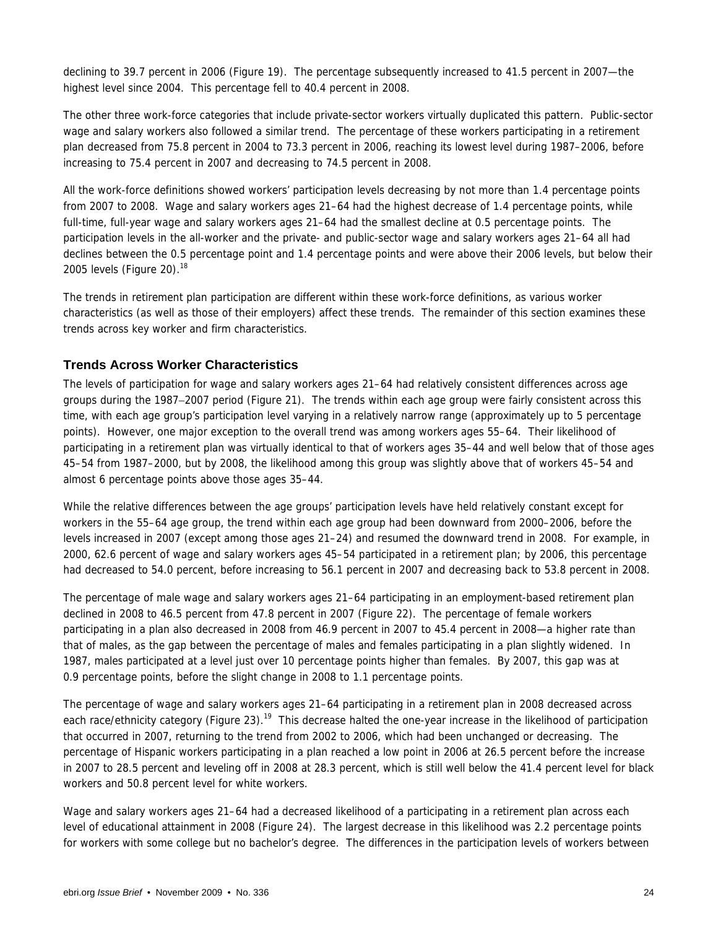declining to 39.7 percent in 2006 (Figure 19). The percentage subsequently increased to 41.5 percent in 2007—the highest level since 2004. This percentage fell to 40.4 percent in 2008.

The other three work-force categories that include private-sector workers virtually duplicated this pattern. Public-sector wage and salary workers also followed a similar trend. The percentage of these workers participating in a retirement plan decreased from 75.8 percent in 2004 to 73.3 percent in 2006, reaching its lowest level during 1987–2006, before increasing to 75.4 percent in 2007 and decreasing to 74.5 percent in 2008.

All the work-force definitions showed workers' participation levels decreasing by not more than 1.4 percentage points from 2007 to 2008. Wage and salary workers ages 21–64 had the highest decrease of 1.4 percentage points, while full-time, full-year wage and salary workers ages 21–64 had the smallest decline at 0.5 percentage points. The participation levels in the all-worker and the private- and public-sector wage and salary workers ages 21–64 all had declines between the 0.5 percentage point and 1.4 percentage points and were above their 2006 levels, but below their 2005 levels (Figure 20). $18$ 

The trends in retirement plan participation are different within these work-force definitions, as various worker characteristics (as well as those of their employers) affect these trends. The remainder of this section examines these trends across key worker and firm characteristics.

### **Trends Across Worker Characteristics**

The levels of participation for wage and salary workers ages 21–64 had relatively consistent differences across age groups during the 1987−2007 period (Figure 21). The trends within each age group were fairly consistent across this time, with each age group's participation level varying in a relatively narrow range (approximately up to 5 percentage points). However, one major exception to the overall trend was among workers ages 55–64. Their likelihood of participating in a retirement plan was virtually identical to that of workers ages 35–44 and well below that of those ages 45–54 from 1987–2000, but by 2008, the likelihood among this group was slightly above that of workers 45–54 and almost 6 percentage points above those ages 35–44.

While the relative differences between the age groups' participation levels have held relatively constant except for workers in the 55–64 age group, the trend within each age group had been downward from 2000–2006, before the levels increased in 2007 (except among those ages 21–24) and resumed the downward trend in 2008. For example, in 2000, 62.6 percent of wage and salary workers ages 45–54 participated in a retirement plan; by 2006, this percentage had decreased to 54.0 percent, before increasing to 56.1 percent in 2007 and decreasing back to 53.8 percent in 2008.

The percentage of male wage and salary workers ages 21–64 participating in an employment-based retirement plan declined in 2008 to 46.5 percent from 47.8 percent in 2007 (Figure 22). The percentage of female workers participating in a plan also decreased in 2008 from 46.9 percent in 2007 to 45.4 percent in 2008—a higher rate than that of males, as the gap between the percentage of males and females participating in a plan slightly widened. In 1987, males participated at a level just over 10 percentage points higher than females. By 2007, this gap was at 0.9 percentage points, before the slight change in 2008 to 1.1 percentage points.

The percentage of wage and salary workers ages 21–64 participating in a retirement plan in 2008 decreased across each race/ethnicity category (Figure 23).<sup>19</sup> This decrease halted the one-year increase in the likelihood of participation that occurred in 2007, returning to the trend from 2002 to 2006, which had been unchanged or decreasing. The percentage of Hispanic workers participating in a plan reached a low point in 2006 at 26.5 percent before the increase in 2007 to 28.5 percent and leveling off in 2008 at 28.3 percent, which is still well below the 41.4 percent level for black workers and 50.8 percent level for white workers.

Wage and salary workers ages 21–64 had a decreased likelihood of a participating in a retirement plan across each level of educational attainment in 2008 (Figure 24). The largest decrease in this likelihood was 2.2 percentage points for workers with some college but no bachelor's degree. The differences in the participation levels of workers between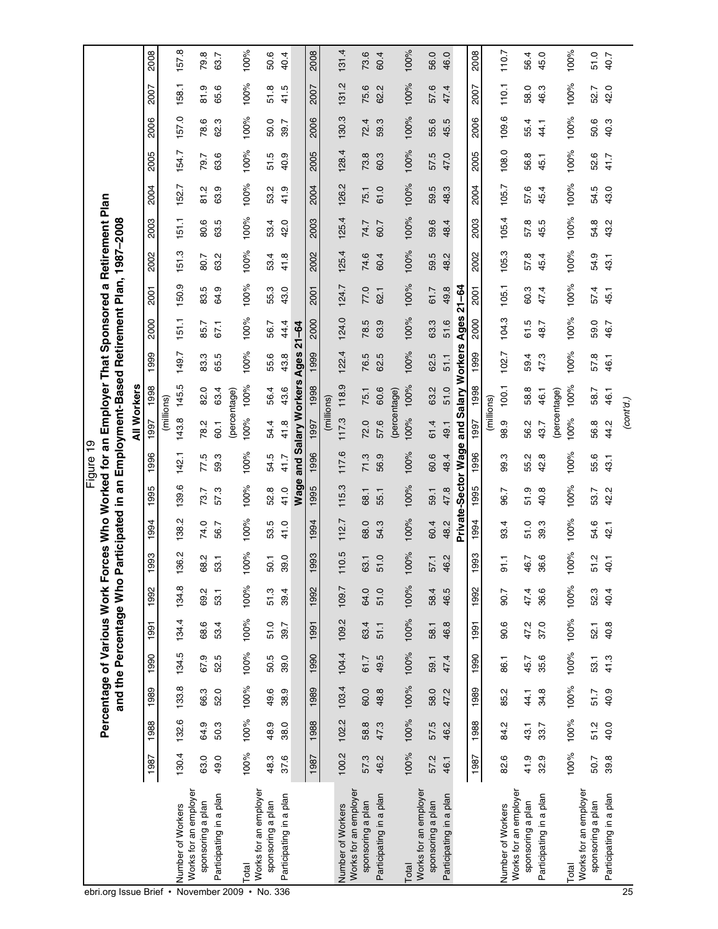|                                            |       |       | Percentage of Various Work Forces Who Worked for an Employer That Sponsored a Retirement Plan |       |       | and the Percentage Who P |         |       |                     | Figure 19 | articipated in an Employment-Based Retirement Plan, 1987-2008 |       |       |             |           |       |       |       |       |                     |       |       |
|--------------------------------------------|-------|-------|-----------------------------------------------------------------------------------------------|-------|-------|--------------------------|---------|-------|---------------------|-----------|---------------------------------------------------------------|-------|-------|-------------|-----------|-------|-------|-------|-------|---------------------|-------|-------|
|                                            |       |       |                                                                                               |       |       |                          |         |       |                     |           | <b>All Workers</b>                                            |       |       |             |           |       |       |       |       |                     |       |       |
|                                            | 1987  | 1988  | 1989                                                                                          | 1990  | 1991  | 1992                     | 993     | 994   | 1995                | 1996      | 1997                                                          | 1998  | 1999  | 2000        | 2001      | 2002  | 2003  | 2004  | 2005  | 2006                | 2007  | 2008  |
|                                            |       |       |                                                                                               |       |       |                          |         |       |                     |           | (millions)                                                    |       |       |             |           |       |       |       |       |                     |       |       |
| Works for an employer<br>Number of Workers | 130.4 | 132.6 | 133.8                                                                                         | 134.5 | 134.4 | 134.8                    | 36.2    | 138.2 | 139.6               | 142.1     | 143.8                                                         | 145.5 | 149.7 | 151.1       | 150.9     | 151.3 | 151.1 | 152.7 | 154.7 | 157.0               | 158.1 | 157.8 |
| sponsoring a plan                          | 63.0  | 64.9  | 66.3                                                                                          | 67.9  | 68.6  | 69.2                     | 68.2    | 74.0  | 73.7                | 77.5      | 78.2                                                          | 82.0  | 83.3  | 85.7        | 83.5      | 80.7  | 80.6  | 81.2  | 79.7  | 78.6                | 81.9  | 79.8  |
| Participating in a plan                    | 49.0  | 50.3  | 52.0                                                                                          | 52.5  | 53.4  | 53.1                     | 53.1    | 56.7  | 57.3                | 59.3      | 60.1                                                          | 63.4  | 65.5  | 67.1        | 64.9      | 63.2  | 63.5  | 63.9  | 63.6  | ო<br>$\ddot{\rm s}$ | 65.6  | 63.7  |
|                                            |       |       |                                                                                               |       |       |                          |         |       |                     |           | (percentage)                                                  |       |       |             |           |       |       |       |       |                     |       |       |
| Works for an employer<br>Total             | 100%  | 100%  | 100%                                                                                          | 100%  | 100%  | 100%                     | 100%    | 100%  | 100%                | 100%      | 100%                                                          | 100%  | 100%  | 100%        | 100%      | 100%  | 100%  | 100%  | 100%  | 100%                | 100%  | 100%  |
| sponsoring a plan                          | 48.3  | 48.9  | 49.6                                                                                          | 50.5  | 51.0  | 51.3                     | 50.1    | 53.5  | 52.8                | 54.5      | 54.4                                                          | 56.4  | 55.6  | 56.7        | 55.3      | 53.4  | 53.4  | 53.2  | 51.5  | 50.0                | 51.8  | 50.6  |
| Participating in a plan                    | 37.6  | 38.0  | 38.9                                                                                          | 39.0  | 39.7  | 39.4                     | 39.0    | 41.0  | 41.0                | 41.7      | 41.8                                                          | 43.6  | 43.8  | 44.4        | 43.0      | 41.8  | 42.0  | 41.9  | 40.9  | 39.7                | 41.5  | 40.4  |
|                                            |       |       |                                                                                               |       |       |                          |         |       | Wage                |           | and Salary Workers                                            |       | Ages  | $21 - 64$   |           |       |       |       |       |                     |       |       |
|                                            | 1987  | 1988  | 1989                                                                                          | 1990  | 1991  | 1992                     | 993     | 994   | 1995                | 1996      | 1997                                                          | 1998  | 1999  | 2000        | 2001      | 2002  | 2003  | 2004  | 2005  | 2006                | 2007  | 2008  |
|                                            |       |       |                                                                                               |       |       |                          |         |       |                     |           | (millions)                                                    |       |       |             |           |       |       |       |       |                     |       |       |
| Works for an employer<br>Number of Workers | 100.2 | 102.2 | 103.4                                                                                         | 104.4 | 109.2 | 109.7                    | 110.5   | 112.7 | 115.3               | 117.6     | 117.3                                                         | 118.9 | 122.4 | 124.0       | 124.7     | 125.4 | 125.4 | 126.2 | 128.4 | 130.3               | 131.2 | 131.4 |
| sponsoring a plan                          | 57.3  | 58.8  | 60.0                                                                                          | 61.7  | 63.4  | 64.0                     | 63.1    | 68.0  | 68.1                | 71.3      | 72.0                                                          | 75.1  | 76.5  | 78.5        | 77.0      | 74.6  | 74.7  | 75.1  | 73.8  | 72.4                | 75.6  | 73.6  |
| Participating in a plan                    | 46.2  | 47.3  | 48.8                                                                                          | 49.5  | 51.1  | 51.0                     | 51.0    | 54.3  | 55.1                | 56.9      | 57.6                                                          | 60.6  | 62.5  | 63.9        | 62.1      | 60.4  | 60.7  | 61.0  | 60.3  | 59.3                | 62.2  | 60.4  |
|                                            |       |       |                                                                                               |       |       |                          |         |       |                     |           | (percentage)                                                  |       |       |             |           |       |       |       |       |                     |       |       |
| Works for an employer<br>Total             | 100%  | 100%  | 100%                                                                                          | 100%  | 100%  | 100%                     | 100%    | 100%  | 100%                | 100%      | 100%                                                          | 100%  | 100%  | 100%        | 100%      | 100%  | 100%  | 100%  | 100%  | 100%                | 100%  | 100%  |
| sponsoring a plan                          | 57.2  | 57.5  | 58.0                                                                                          | 59.1  | 58.1  | 58.4                     | 57.1    | 60.4  | 59.1                | 60.6      | 61.4                                                          | 63.2  | 62.5  | 63.3        | 61.7      | 59.5  | 59.6  | 59.5  | 57.5  | 55.6                | 57.6  | 56.0  |
| Participating in a plan                    | 46.1  | 46.2  | 47.2                                                                                          | 47.4  | 46.8  | 46.5                     | 46.2    | 48.2  | 47.8                | 48.4      | 49.1                                                          | 51.0  | 51.1  | 51.6        | 49.8      | 48.2  | 48.4  | 48.3  | 47.0  | 5<br>45.            | 47.4  | 46.0  |
|                                            |       |       |                                                                                               |       |       |                          |         |       | Private-Sector Wage |           | and Salary Workers                                            |       |       | <b>Ages</b> | $21 - 64$ |       |       |       |       |                     |       |       |
|                                            | 1987  | 1988  | 1989                                                                                          | 1990  | 1991  | 1992                     | 993     | 1994  | 1995                | 1996      | 1997                                                          | 1998  | 1999  | 2000        | 2001      | 2002  | 2003  | 2004  | 2005  | 2006                | 2007  | 2008  |
|                                            |       |       |                                                                                               |       |       |                          |         |       |                     |           | (millions)                                                    |       |       |             |           |       |       |       |       |                     |       |       |
| Works for an employer<br>Number of Workers | 82.6  | 84.2  | 85.2                                                                                          | 86.1  | 90.6  | 90.7                     | $-1.16$ | 93.4  | 96.7                | 99.3      | 98.9                                                          | 100.1 | 102.7 | 104.3       | 105.1     | 105.3 | 105.4 | 105.7 | 108.0 | 109.6               | 110.1 | 110.7 |
| sponsoring a plan                          | 41.9  | 43.1  | 44.1                                                                                          | 45.7  | 47.2  | 47.4                     | 46.7    | 51.0  | 51.9                | 55.2      | 56.2                                                          | 58.8  | 59.4  | 61.5        | 60.3      | 57.8  | 57.8  | 57.6  | 56.8  | 55.4                | 58.0  | 56.4  |
| Participating in a plan                    | 32.9  | 33.7  | 34.8                                                                                          | 35.6  | 37.0  | 36.6                     | 36.6    | 39.3  | 40.8                | 42.8      | 43.7                                                          | 46.1  | 47.3  | 48.7        | 47.4      | 45.4  | 45.5  | 45.4  | 45.1  | 44.1                | 46.3  | 45.0  |
|                                            |       |       |                                                                                               |       |       |                          |         |       |                     |           | (percentage)                                                  |       |       |             |           |       |       |       |       |                     |       |       |
| Total                                      | 100%  | 100%  | 100%                                                                                          | 100%  | 100%  | 100%                     | 100%    | 100%  | 100%                | 100%      | 100%                                                          | 100%  | 100%  | 100%        | 100%      | 100%  | 100%  | 100%  | 100%  | 100%                | 100%  | 100%  |
| Works for an employer<br>sponsoring a plan | 50.7  | 51.2  | 51.7                                                                                          | 53.1  | 52.1  | 52.3                     | 51.2    | 54.6  | 53.7                | 55.6      | 56.8                                                          | 58.7  | 57.8  | 59.0        | 57.4      | 54.9  | 54.8  | 54.5  | 52.6  | 50.6                | 52.7  | 51.0  |
| Participating in a plan                    | 39.8  | 40.0  | 40.9                                                                                          | 41.3  | 40.8  | 40.4                     | 40.1    | 42.1  | 42.2                | 43.1      | 44.2                                                          | 46.1  | 46.1  | 46.7        | 45.1      | 43.1  | 43.2  | 43.0  | 41.7  | 40.3                | 42.0  | 40.7  |
|                                            |       |       |                                                                                               |       |       |                          |         |       |                     |           | (cont'd.)                                                     |       |       |             |           |       |       |       |       |                     |       |       |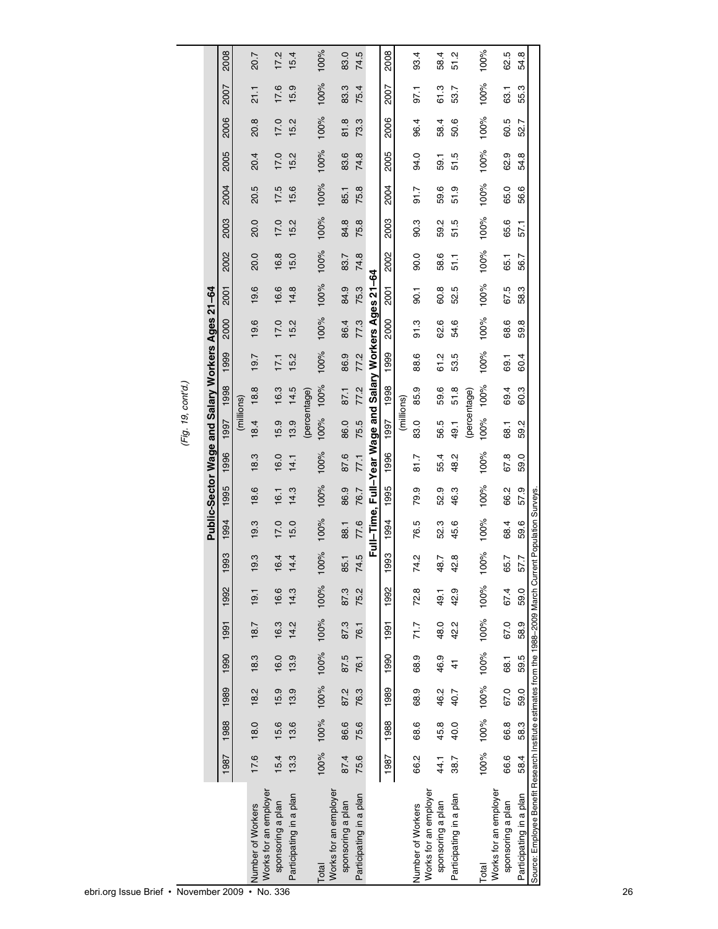|                                                                                                            |      |      |      |               |      |      |               |      |                                                         |      | ן ישי ישי ישי (י |      |      |      |      |      |      |      |      |      |      |      |
|------------------------------------------------------------------------------------------------------------|------|------|------|---------------|------|------|---------------|------|---------------------------------------------------------|------|------------------|------|------|------|------|------|------|------|------|------|------|------|
|                                                                                                            |      |      |      |               |      |      |               |      | Public-Sector Wage and Salary Workers Ages 21-64        |      |                  |      |      |      |      |      |      |      |      |      |      |      |
|                                                                                                            | 1987 | 1988 | 1989 | 1990          | 1991 | 1992 | 993           | 1994 | 1995                                                    | 1996 | 1997 1998        |      | 1999 | 2000 | 2001 | 2002 | 2003 | 2004 | 2005 | 2006 | 2007 | 2008 |
|                                                                                                            |      |      |      |               |      |      |               |      |                                                         |      | (millions)       |      |      |      |      |      |      |      |      |      |      |      |
| Number of Workers                                                                                          | 17.6 | 18.0 | 18.2 | 18.3          | 18.7 | 19.1 | 9.3           | 19.3 | 18.6                                                    | 18.3 | 18.4             | 18.8 | 19.7 | 19.6 | 19.6 | 20.0 | 20.0 | 20.5 | 20.4 | 20.8 | 21.1 | 20.7 |
| Works for an employer<br>sponsoring a plan                                                                 | 15.4 | 15.6 | 15.9 | 16.0          | 16.3 | 16.6 | 6.4           | 17.0 | 16.1                                                    | 16.0 | 15.9             | 16.3 | 17.1 | 17.0 | 16.6 | 16.8 | 17.0 | 17.5 | 17.0 | 17.0 | 17.6 | 17.2 |
| Participating in a plan                                                                                    | 13.3 | 13.6 | 13.9 | 13.9          | 14.2 | 14.3 | 4.4           | 15.0 | 14.3                                                    | 14.1 | 13.9             | 14.5 | 15.2 | 15.2 | 14.8 | 15.0 | 15.2 | 15.6 | 15.2 | 15.2 | 15.9 | 15.4 |
|                                                                                                            |      |      |      |               |      |      |               |      |                                                         |      | (percentage)     |      |      |      |      |      |      |      |      |      |      |      |
| Total                                                                                                      | 100% | 100% | 100% | 100% 100%     |      | 100% | 100%          | 100% | 100%                                                    | 100% | 100%             | 100% | 100% | 100% | 100% | 100% | 100% | 100% | 100% | 100% | 100% | 100% |
| Works for an employer                                                                                      |      |      |      |               |      |      |               |      |                                                         |      |                  |      |      |      |      |      |      |      |      |      |      |      |
| sponsoring a plan                                                                                          | 87.4 | 86.6 | 87.2 | 87.5          | 87.3 | 87.3 | 85.1          | 88.1 | 86.9                                                    | 87.6 | 86.0             | 87.1 | 86.9 | 86.4 | 84.9 | 83.7 | 84.8 | 85.1 | 83.6 | 81.8 | 83.3 | 83.0 |
| Participating in a plan                                                                                    | 75.6 | 75.6 | 76.3 | 76.1          | 76.1 | 75.2 | 74.5          | 77.6 | 76.7                                                    | 77.1 | 75.5             | 77.2 | 77.2 | 77.3 | 75.3 | 74.8 | 75.8 | 75.8 | 74.8 | 73.3 | 75.4 | 74.5 |
|                                                                                                            |      |      |      |               |      |      |               |      | Full-Time, Full-Year Wage and Salary Workers Ages 21-64 |      |                  |      |      |      |      |      |      |      |      |      |      |      |
|                                                                                                            | 1987 | 1988 | 1989 | 1990          | 1991 | 1992 | 1993          | 1994 | 1995                                                    | 1996 | 1997             | 1998 | 1999 | 2000 | 2001 | 2002 | 2003 | 2004 | 2005 | 2006 | 2007 | 2008 |
|                                                                                                            |      |      |      |               |      |      |               |      |                                                         |      | (millions)       |      |      |      |      |      |      |      |      |      |      |      |
| Number of Workers                                                                                          | 66.2 | 68.6 | 68.9 | 68.9          | 717  | 72.8 | $\frac{2}{4}$ | 76.5 | 79.9                                                    | 81.7 | 83.0             | 85.9 | 88.6 | 91.3 | 90.1 | 90.0 | 90.3 | 91.7 | 94.0 | 96.4 | 97.1 | 93.4 |
| Works for an employer                                                                                      |      |      |      |               |      |      |               |      |                                                         |      |                  |      |      |      |      |      |      |      |      |      |      |      |
| sponsoring a plan                                                                                          | 44.1 | 45.8 | 46.2 | 46.9          | 48.0 | 49.1 | 18.7          | 52.3 | 52.9                                                    | 55.4 | 56.5             | 59.6 | 61.2 | 62.6 | 60.8 | 58.6 | 59.2 | 59.6 | 59.1 | 58.4 | 61.3 | 58.4 |
| Participating in a plan                                                                                    | 38.7 | 40.0 | 40.7 | $\frac{4}{3}$ | 42.2 | 42.9 | $\frac{8}{2}$ | 45.6 | 46.3                                                    | 48.2 | 49.1             | 51.8 | 53.5 | 54.6 | 52.5 | 51.1 | 51.5 | 51.9 | 51.5 | 50.6 | 53.7 | 51.2 |
|                                                                                                            |      |      |      |               |      |      |               |      |                                                         |      | (percentage)     |      |      |      |      |      |      |      |      |      |      |      |
| Total                                                                                                      | 100% | 100% | 100% | 100% 100%     |      | 100% | 100%          | 100% | 100%                                                    | 100% | 100%             | 100% | 100% | 100% | 100% | 100% | 100% | 100% | 100% | 100% | 100% | 100% |
| Works for an employer                                                                                      |      |      |      |               |      |      |               |      |                                                         |      |                  |      |      |      |      |      |      |      |      |      |      |      |
| sponsoring a plan                                                                                          | 66.6 | 66.8 | 67.0 | 68.1          | 67.0 | 67.4 | 5.7           | 68.4 | 66.2                                                    | 67.8 | 68.1             | 69.4 | 69.1 | 68.6 | 67.5 | 65.1 | 65.6 | 65.0 | 62.9 | 60.5 | 63.1 | 62.5 |
| Participating in a plan                                                                                    | 58.4 | 58.3 | 59.0 | 59.5          | 58.9 | 59.0 | 57.7          | 59.6 | 57.9                                                    | 59.0 | 59.2             | 60.3 | 60.4 | 59.8 | 58.3 | 56.7 | 57.1 | 56.6 | 54.8 | 52.7 | 55.3 | 54.8 |
| Source: Employee Benefit Research Institute estimates from the 1988-2009 March Current Population Surveys. |      |      |      |               |      |      |               |      |                                                         |      |                  |      |      |      |      |      |      |      |      |      |      |      |
|                                                                                                            |      |      |      |               |      |      |               |      |                                                         |      |                  |      |      |      |      |      |      |      |      |      |      |      |

(Fig. 19, cont'd.) *(Fig. 19, cont'd.)*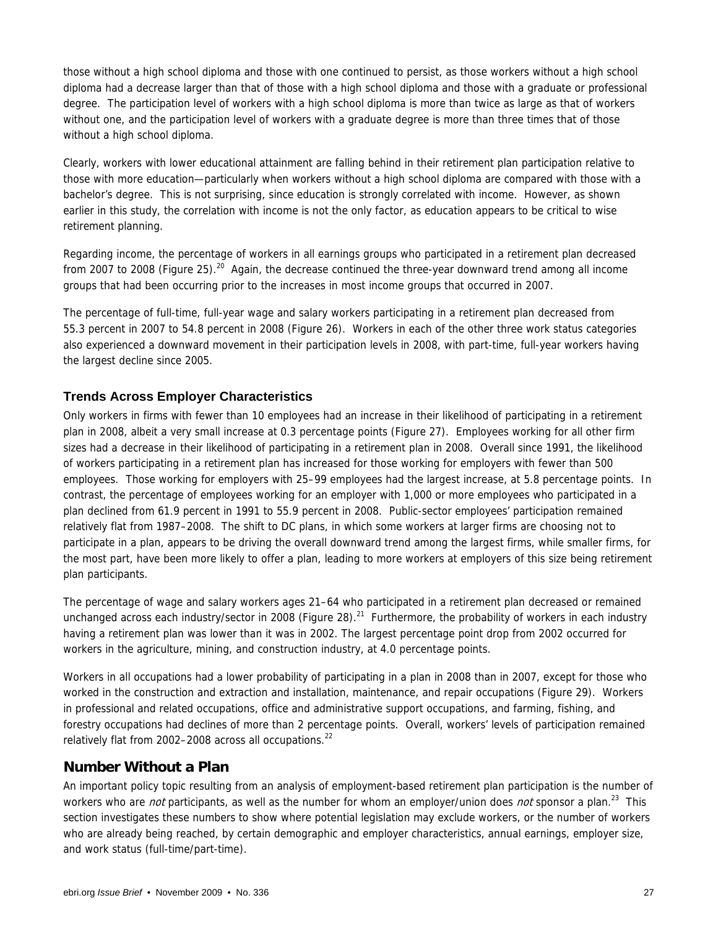those without a high school diploma and those with one continued to persist, as those workers without a high school diploma had a decrease larger than that of those with a high school diploma and those with a graduate or professional degree. The participation level of workers with a high school diploma is more than twice as large as that of workers without one, and the participation level of workers with a graduate degree is more than three times that of those without a high school diploma.

Clearly, workers with lower educational attainment are falling behind in their retirement plan participation relative to those with more education—particularly when workers without a high school diploma are compared with those with a bachelor's degree. This is not surprising, since education is strongly correlated with income. However, as shown earlier in this study, the correlation with income is not the only factor, as education appears to be critical to wise retirement planning.

Regarding income, the percentage of workers in all earnings groups who participated in a retirement plan decreased from 2007 to 2008 (Figure 25).<sup>20</sup> Again, the decrease continued the three-year downward trend among all income groups that had been occurring prior to the increases in most income groups that occurred in 2007.

The percentage of full-time, full-year wage and salary workers participating in a retirement plan decreased from 55.3 percent in 2007 to 54.8 percent in 2008 (Figure 26). Workers in each of the other three work status categories also experienced a downward movement in their participation levels in 2008, with part-time, full-year workers having the largest decline since 2005.

### **Trends Across Employer Characteristics**

Only workers in firms with fewer than 10 employees had an increase in their likelihood of participating in a retirement plan in 2008, albeit a very small increase at 0.3 percentage points (Figure 27). Employees working for all other firm sizes had a decrease in their likelihood of participating in a retirement plan in 2008. Overall since 1991, the likelihood of workers participating in a retirement plan has increased for those working for employers with fewer than 500 employees. Those working for employers with 25–99 employees had the largest increase, at 5.8 percentage points. In contrast, the percentage of employees working for an employer with 1,000 or more employees who participated in a plan declined from 61.9 percent in 1991 to 55.9 percent in 2008. Public-sector employees' participation remained relatively flat from 1987–2008. The shift to DC plans, in which some workers at larger firms are choosing not to participate in a plan, appears to be driving the overall downward trend among the largest firms, while smaller firms, for the most part, have been more likely to offer a plan, leading to more workers at employers of this size being retirement plan participants.

The percentage of wage and salary workers ages 21–64 who participated in a retirement plan decreased or remained unchanged across each industry/sector in 2008 (Figure 28).<sup>21</sup> Furthermore, the probability of workers in each industry having a retirement plan was lower than it was in 2002. The largest percentage point drop from 2002 occurred for workers in the agriculture, mining, and construction industry, at 4.0 percentage points.

Workers in all occupations had a lower probability of participating in a plan in 2008 than in 2007, except for those who worked in the construction and extraction and installation, maintenance, and repair occupations (Figure 29). Workers in professional and related occupations, office and administrative support occupations, and farming, fishing, and forestry occupations had declines of more than 2 percentage points. Overall, workers' levels of participation remained relatively flat from 2002–2008 across all occupations.<sup>22</sup>

### **Number Without a Plan**

An important policy topic resulting from an analysis of employment-based retirement plan participation is the number of workers who are *not* participants, as well as the number for whom an employer/union does *not* sponsor a plan.<sup>23</sup> This section investigates these numbers to show where potential legislation may exclude workers, or the number of workers who are already being reached, by certain demographic and employer characteristics, annual earnings, employer size, and work status (full-time/part-time).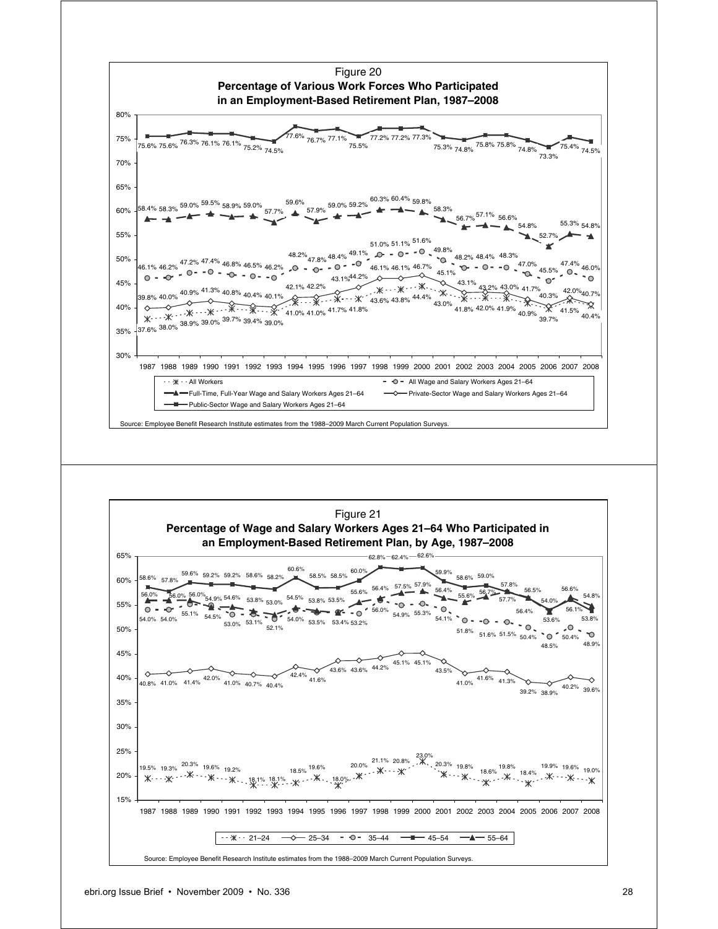

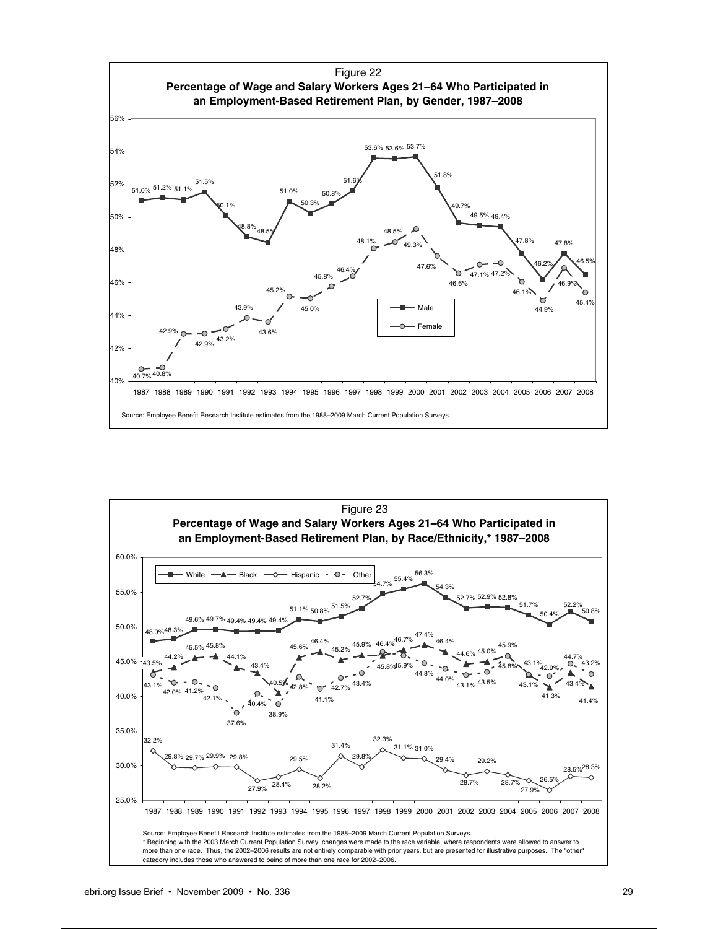

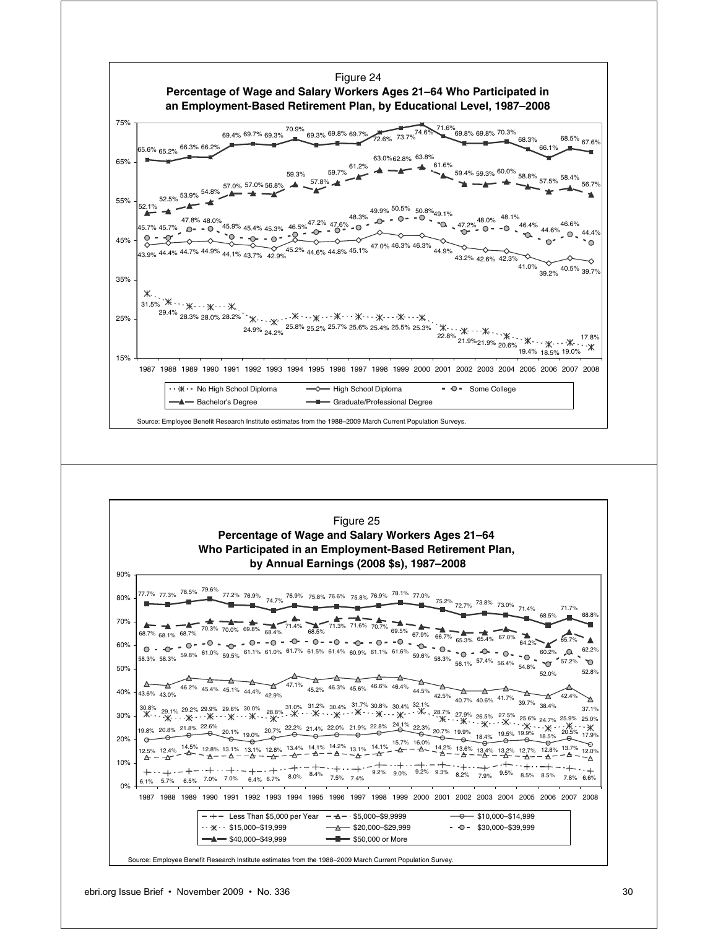

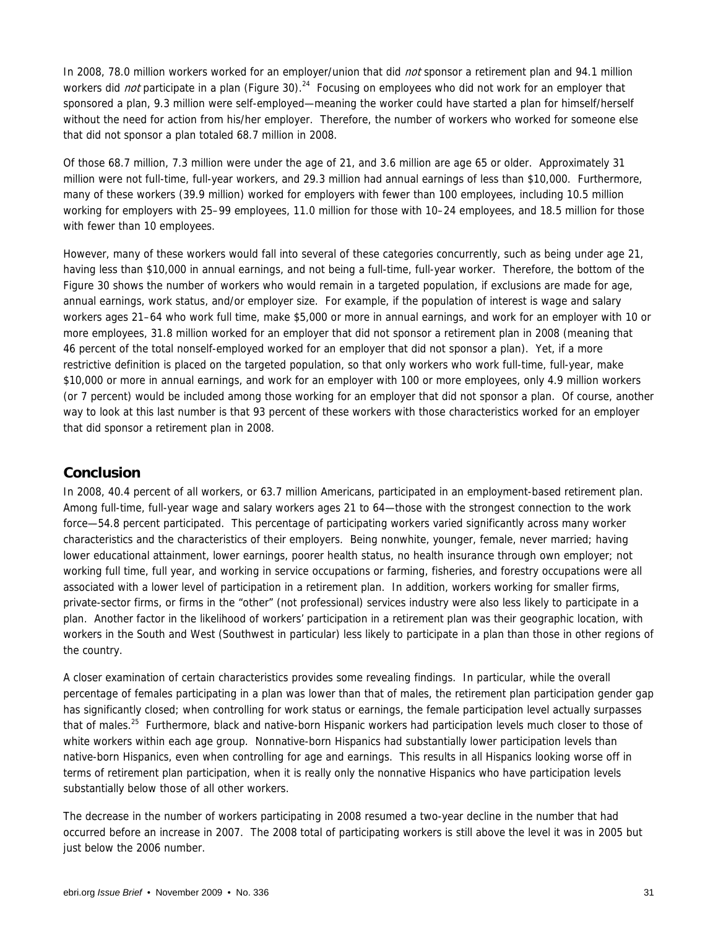In 2008, 78.0 million workers worked for an employer/union that did not sponsor a retirement plan and 94.1 million workers did *not* participate in a plan (Figure 30).<sup>24</sup> Focusing on employees who did not work for an employer that sponsored a plan, 9.3 million were self-employed—meaning the worker could have started a plan for himself/herself without the need for action from his/her employer. Therefore, the number of workers who worked for someone else that did not sponsor a plan totaled 68.7 million in 2008.

Of those 68.7 million, 7.3 million were under the age of 21, and 3.6 million are age 65 or older. Approximately 31 million were not full-time, full-year workers, and 29.3 million had annual earnings of less than \$10,000. Furthermore, many of these workers (39.9 million) worked for employers with fewer than 100 employees, including 10.5 million working for employers with 25–99 employees, 11.0 million for those with 10–24 employees, and 18.5 million for those with fewer than 10 employees.

However, many of these workers would fall into several of these categories concurrently, such as being under age 21, having less than \$10,000 in annual earnings, and not being a full-time, full-year worker. Therefore, the bottom of the Figure 30 shows the number of workers who would remain in a targeted population, if exclusions are made for age, annual earnings, work status, and/or employer size. For example, if the population of interest is wage and salary workers ages 21–64 who work full time, make \$5,000 or more in annual earnings, and work for an employer with 10 or more employees, 31.8 million worked for an employer that did not sponsor a retirement plan in 2008 (meaning that 46 percent of the total nonself-employed worked for an employer that did not sponsor a plan). Yet, if a more restrictive definition is placed on the targeted population, so that only workers who work full-time, full-year, make \$10,000 or more in annual earnings, and work for an employer with 100 or more employees, only 4.9 million workers (or 7 percent) would be included among those working for an employer that did not sponsor a plan. Of course, another way to look at this last number is that 93 percent of these workers with those characteristics worked for an employer that did sponsor a retirement plan in 2008.

### **Conclusion**

In 2008, 40.4 percent of all workers, or 63.7 million Americans, participated in an employment-based retirement plan. Among full-time, full-year wage and salary workers ages 21 to 64—those with the strongest connection to the work force—54.8 percent participated. This percentage of participating workers varied significantly across many worker characteristics and the characteristics of their employers. Being nonwhite, younger, female, never married; having lower educational attainment, lower earnings, poorer health status, no health insurance through own employer; not working full time, full year, and working in service occupations or farming, fisheries, and forestry occupations were all associated with a lower level of participation in a retirement plan. In addition, workers working for smaller firms, private-sector firms, or firms in the "other" (not professional) services industry were also less likely to participate in a plan. Another factor in the likelihood of workers' participation in a retirement plan was their geographic location, with workers in the South and West (Southwest in particular) less likely to participate in a plan than those in other regions of the country.

A closer examination of certain characteristics provides some revealing findings. In particular, while the overall percentage of females participating in a plan was lower than that of males, the retirement plan participation gender gap has significantly closed; when controlling for work status or earnings, the female participation level actually surpasses that of males.<sup>25</sup> Furthermore, black and native-born Hispanic workers had participation levels much closer to those of white workers within each age group. Nonnative-born Hispanics had substantially lower participation levels than native-born Hispanics, even when controlling for age and earnings. This results in all Hispanics looking worse off in terms of retirement plan participation, when it is really only the nonnative Hispanics who have participation levels substantially below those of all other workers.

The decrease in the number of workers participating in 2008 resumed a two-year decline in the number that had occurred before an increase in 2007. The 2008 total of participating workers is still above the level it was in 2005 but just below the 2006 number.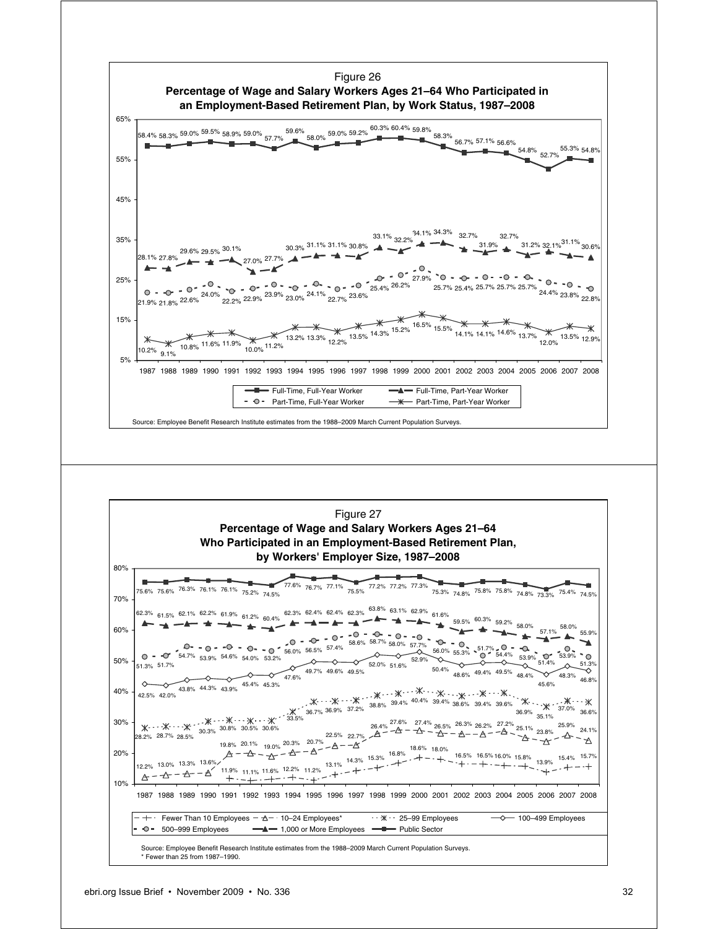

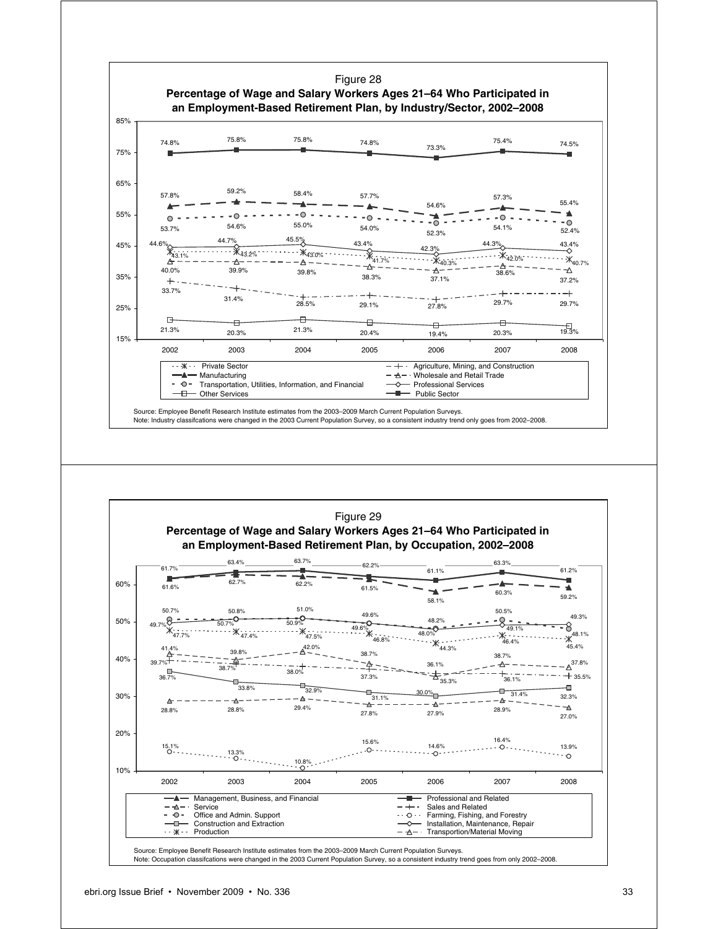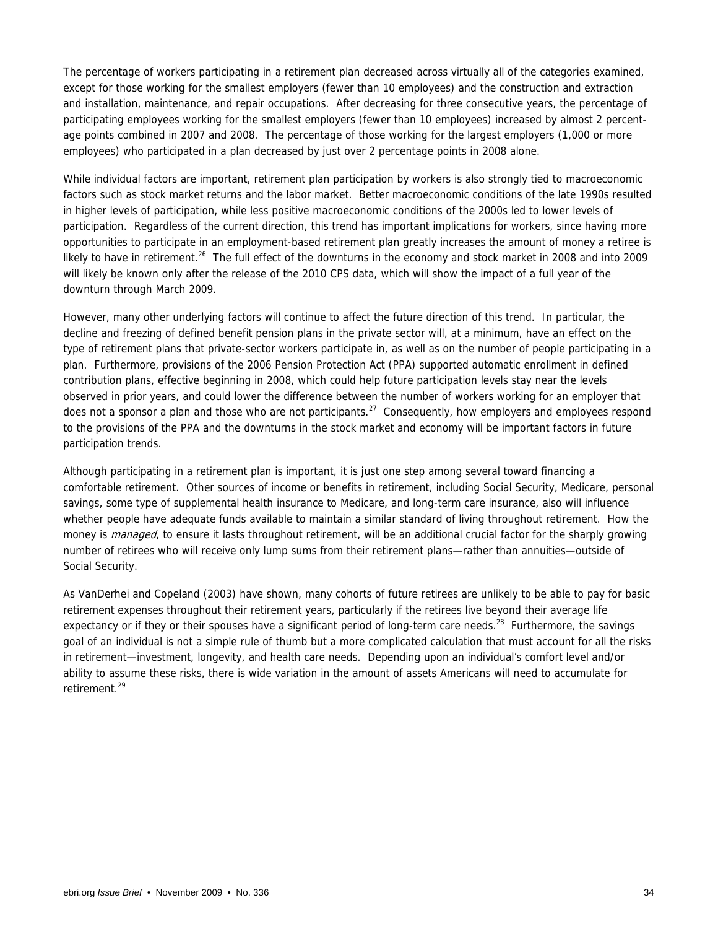The percentage of workers participating in a retirement plan decreased across virtually all of the categories examined, except for those working for the smallest employers (fewer than 10 employees) and the construction and extraction and installation, maintenance, and repair occupations. After decreasing for three consecutive years, the percentage of participating employees working for the smallest employers (fewer than 10 employees) increased by almost 2 percentage points combined in 2007 and 2008. The percentage of those working for the largest employers (1,000 or more employees) who participated in a plan decreased by just over 2 percentage points in 2008 alone.

While individual factors are important, retirement plan participation by workers is also strongly tied to macroeconomic factors such as stock market returns and the labor market. Better macroeconomic conditions of the late 1990s resulted in higher levels of participation, while less positive macroeconomic conditions of the 2000s led to lower levels of participation. Regardless of the current direction, this trend has important implications for workers, since having more opportunities to participate in an employment-based retirement plan greatly increases the amount of money a retiree is likely to have in retirement.<sup>26</sup> The full effect of the downturns in the economy and stock market in 2008 and into 2009 will likely be known only after the release of the 2010 CPS data, which will show the impact of a full year of the downturn through March 2009.

However, many other underlying factors will continue to affect the future direction of this trend. In particular, the decline and freezing of defined benefit pension plans in the private sector will, at a minimum, have an effect on the type of retirement plans that private-sector workers participate in, as well as on the number of people participating in a plan. Furthermore, provisions of the 2006 Pension Protection Act (PPA) supported automatic enrollment in defined contribution plans, effective beginning in 2008, which could help future participation levels stay near the levels observed in prior years, and could lower the difference between the number of workers working for an employer that does not a sponsor a plan and those who are not participants.<sup>27</sup> Consequently, how employers and employees respond to the provisions of the PPA and the downturns in the stock market and economy will be important factors in future participation trends.

Although participating in a retirement plan is important, it is just one step among several toward financing a comfortable retirement. Other sources of income or benefits in retirement, including Social Security, Medicare, personal savings, some type of supplemental health insurance to Medicare, and long-term care insurance, also will influence whether people have adequate funds available to maintain a similar standard of living throughout retirement. How the money is *managed*, to ensure it lasts throughout retirement, will be an additional crucial factor for the sharply growing number of retirees who will receive only lump sums from their retirement plans—rather than annuities—outside of Social Security.

As VanDerhei and Copeland (2003) have shown, many cohorts of future retirees are unlikely to be able to pay for basic retirement expenses throughout their retirement years, particularly if the retirees live beyond their average life expectancy or if they or their spouses have a significant period of long-term care needs.<sup>28</sup> Furthermore, the savings goal of an individual is not a simple rule of thumb but a more complicated calculation that must account for all the risks in retirement—investment, longevity, and health care needs. Depending upon an individual's comfort level and/or ability to assume these risks, there is wide variation in the amount of assets Americans will need to accumulate for retirement.<sup>29</sup>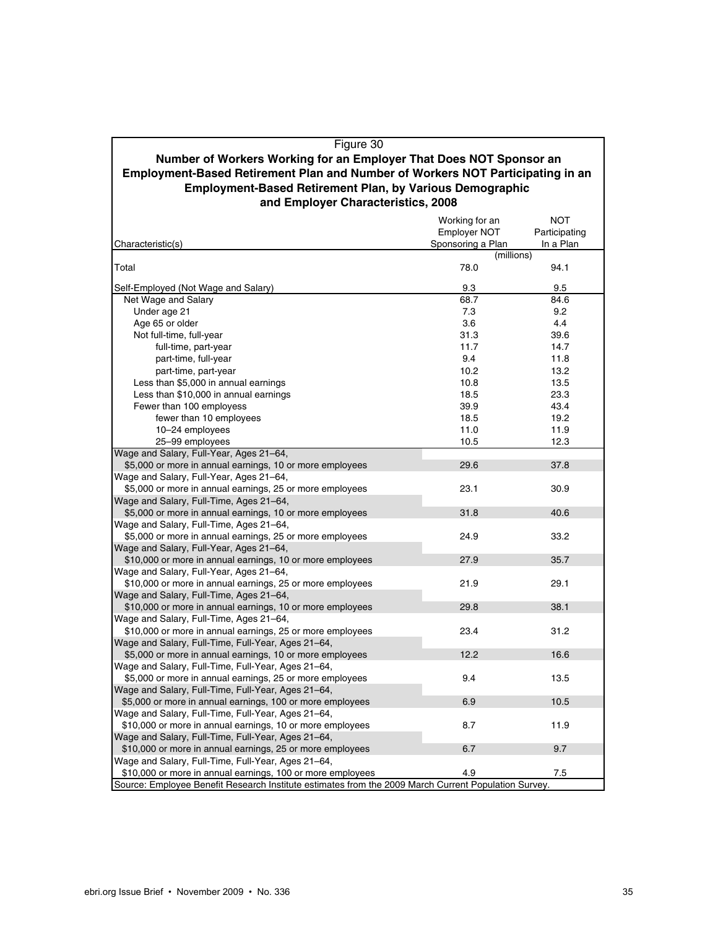### Figure 30 **Employment-Based Retirement Plan and Number of Workers NOT Participating in an Employment-Based Retirement Plan, by Various Demographic Number of Workers Working for an Employer That Does NOT Sponsor an and Employer Characteristics, 2008**

|                                                                                                      | Working for an      | <b>NOT</b>    |
|------------------------------------------------------------------------------------------------------|---------------------|---------------|
|                                                                                                      | <b>Employer NOT</b> | Participating |
| Characteristic(s)                                                                                    | Sponsoring a Plan   | In a Plan     |
|                                                                                                      | (millions)          |               |
| Total                                                                                                | 78.0                | 94.1          |
| Self-Employed (Not Wage and Salary)                                                                  | 9.3                 | 9.5           |
| Net Wage and Salary                                                                                  | 68.7                | 84.6          |
| Under age 21                                                                                         | 7.3                 | 9.2           |
| Age 65 or older                                                                                      | 3.6                 | 4.4           |
| Not full-time, full-year                                                                             | 31.3                | 39.6          |
| full-time, part-year                                                                                 | 11.7                | 14.7          |
| part-time, full-year                                                                                 | 9.4                 | 11.8          |
| part-time, part-year                                                                                 | 10.2                | 13.2          |
| Less than \$5,000 in annual earnings                                                                 | 10.8                | 13.5          |
|                                                                                                      | 18.5                | 23.3          |
| Less than \$10,000 in annual earnings                                                                |                     |               |
| Fewer than 100 employess                                                                             | 39.9                | 43.4          |
| fewer than 10 employees                                                                              | 18.5                | 19.2          |
| 10-24 employees                                                                                      | 11.0                | 11.9          |
| 25-99 employees                                                                                      | 10.5                | 12.3          |
| Wage and Salary, Full-Year, Ages 21-64,                                                              |                     |               |
| \$5,000 or more in annual earnings, 10 or more employees                                             | 29.6                | 37.8          |
| Wage and Salary, Full-Year, Ages 21-64,                                                              |                     |               |
| \$5,000 or more in annual earnings, 25 or more employees                                             | 23.1                | 30.9          |
| Wage and Salary, Full-Time, Ages 21-64,                                                              |                     |               |
| \$5,000 or more in annual earnings, 10 or more employees                                             | 31.8                | 40.6          |
| Wage and Salary, Full-Time, Ages 21–64,                                                              |                     |               |
| \$5,000 or more in annual earnings, 25 or more employees                                             | 24.9                | 33.2          |
| Wage and Salary, Full-Year, Ages 21-64,                                                              |                     |               |
| \$10,000 or more in annual earnings, 10 or more employees                                            | 27.9                | 35.7          |
| Wage and Salary, Full-Year, Ages 21–64,                                                              |                     |               |
| \$10,000 or more in annual earnings, 25 or more employees                                            | 21.9                | 29.1          |
| Wage and Salary, Full-Time, Ages 21-64,                                                              |                     |               |
| \$10,000 or more in annual earnings, 10 or more employees                                            | 29.8                | 38.1          |
| Wage and Salary, Full-Time, Ages 21–64,                                                              |                     |               |
| \$10,000 or more in annual earnings, 25 or more employees                                            | 23.4                | 31.2          |
| Wage and Salary, Full-Time, Full-Year, Ages 21-64,                                                   |                     |               |
| \$5,000 or more in annual earnings, 10 or more employees                                             | 12.2                | 16.6          |
| Wage and Salary, Full-Time, Full-Year, Ages 21-64,                                                   |                     |               |
| \$5,000 or more in annual earnings, 25 or more employees                                             | 9.4                 | 13.5          |
| Wage and Salary, Full-Time, Full-Year, Ages 21–64,                                                   |                     |               |
| \$5,000 or more in annual earnings, 100 or more employees                                            | 6.9                 | 10.5          |
| Wage and Salary, Full-Time, Full-Year, Ages 21-64,                                                   |                     |               |
| \$10,000 or more in annual earnings, 10 or more employees                                            | 8.7                 | 11.9          |
| Wage and Salary, Full-Time, Full-Year, Ages 21-64,                                                   |                     |               |
| \$10,000 or more in annual earnings, 25 or more employees                                            | 6.7                 | 9.7           |
| Wage and Salary, Full-Time, Full-Year, Ages 21-64,                                                   |                     |               |
| \$10,000 or more in annual earnings, 100 or more employees                                           | 4.9                 | 7.5           |
| Source: Employee Benefit Research Institute estimates from the 2009 March Current Population Survey. |                     |               |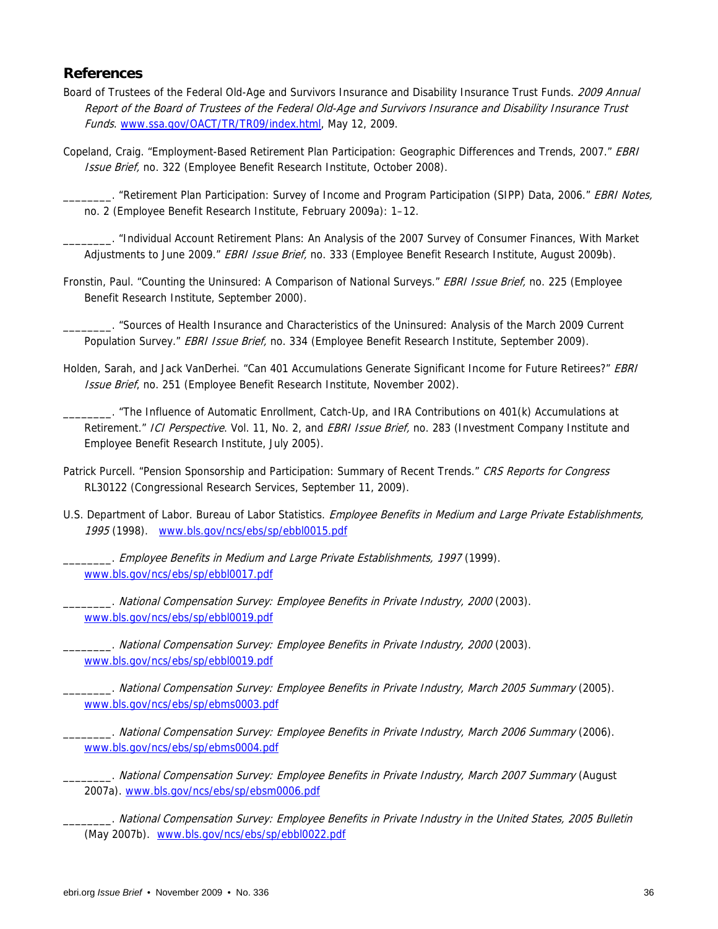### **References**

- Board of Trustees of the Federal Old-Age and Survivors Insurance and Disability Insurance Trust Funds. 2009 Annual Report of the Board of Trustees of the Federal Old-Age and Survivors Insurance and Disability Insurance Trust Funds. www.ssa.gov/OACT/TR/TR09/index.html, May 12, 2009.
- Copeland, Craig. "Employment-Based Retirement Plan Participation: Geographic Differences and Trends, 2007." EBRI Issue Brief, no. 322 (Employee Benefit Research Institute, October 2008).

. "Retirement Plan Participation: Survey of Income and Program Participation (SIPP) Data, 2006." EBRI Notes, no. 2 (Employee Benefit Research Institute, February 2009a): 1–12.

\_\_\_\_\_\_\_\_. "Individual Account Retirement Plans: An Analysis of the 2007 Survey of Consumer Finances, With Market Adjustments to June 2009." EBRI Issue Brief, no. 333 (Employee Benefit Research Institute, August 2009b).

Fronstin, Paul. "Counting the Uninsured: A Comparison of National Surveys." EBRI Issue Brief, no. 225 (Employee Benefit Research Institute, September 2000).

\_\_\_\_\_\_\_\_. "Sources of Health Insurance and Characteristics of the Uninsured: Analysis of the March 2009 Current Population Survey." EBRI Issue Brief, no. 334 (Employee Benefit Research Institute, September 2009).

Holden, Sarah, and Jack VanDerhei. "Can 401 Accumulations Generate Significant Income for Future Retirees?" EBRI Issue Brief, no. 251 (Employee Benefit Research Institute, November 2002).

\_\_\_\_\_\_\_\_. "The Influence of Automatic Enrollment, Catch-Up, and IRA Contributions on 401(k) Accumulations at Retirement." ICI Perspective. Vol. 11, No. 2, and EBRI Issue Brief, no. 283 (Investment Company Institute and Employee Benefit Research Institute, July 2005).

- Patrick Purcell. "Pension Sponsorship and Participation: Summary of Recent Trends." CRS Reports for Congress RL30122 (Congressional Research Services, September 11, 2009).
- U.S. Department of Labor. Bureau of Labor Statistics. Employee Benefits in Medium and Large Private Establishments, 1995 (1998). www.bls.gov/ncs/ebs/sp/ebbl0015.pdf

\_\_\_\_\_\_\_\_. Employee Benefits in Medium and Large Private Establishments, 1997 (1999). www.bls.gov/ncs/ebs/sp/ebbl0017.pdf

\_\_\_\_\_\_\_\_. National Compensation Survey: Employee Benefits in Private Industry, 2000 (2003). www.bls.gov/ncs/ebs/sp/ebbl0019.pdf

\_\_\_\_\_\_\_\_. National Compensation Survey: Employee Benefits in Private Industry, 2000 (2003). www.bls.gov/ncs/ebs/sp/ebbl0019.pdf

\_\_\_\_\_\_\_\_. National Compensation Survey: Employee Benefits in Private Industry, March 2005 Summary (2005). www.bls.gov/ncs/ebs/sp/ebms0003.pdf

\_\_\_\_\_\_\_\_. National Compensation Survey: Employee Benefits in Private Industry, March 2006 Summary (2006). www.bls.gov/ncs/ebs/sp/ebms0004.pdf

\_\_\_\_\_\_\_\_. National Compensation Survey: Employee Benefits in Private Industry, March 2007 Summary (August 2007a). www.bls.gov/ncs/ebs/sp/ebsm0006.pdf

\_\_\_\_\_\_\_\_. National Compensation Survey: Employee Benefits in Private Industry in the United States, 2005 Bulletin (May 2007b). www.bls.gov/ncs/ebs/sp/ebbl0022.pdf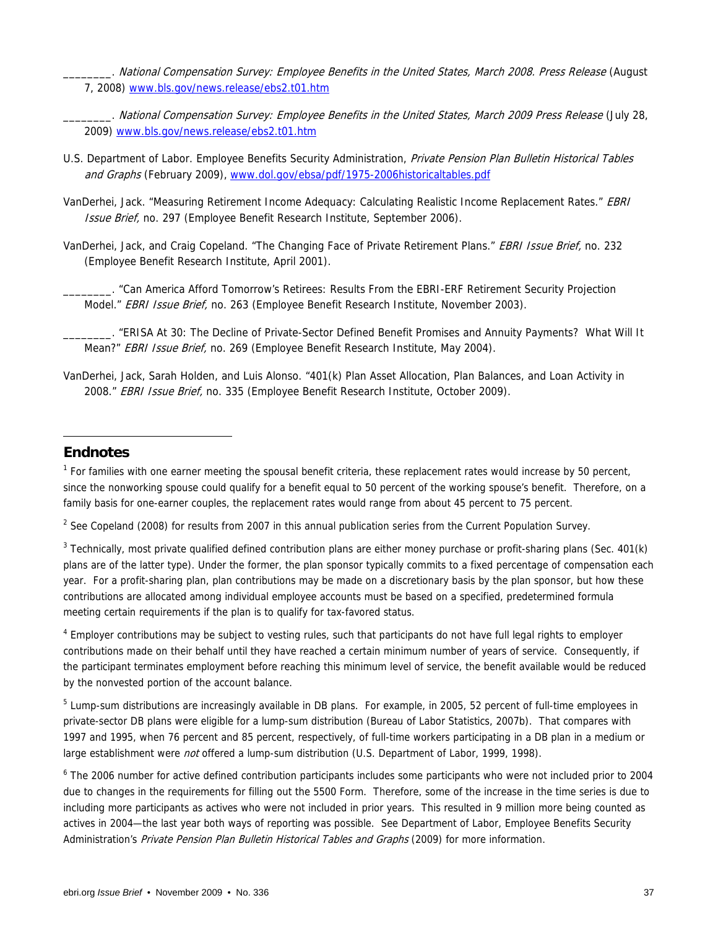- . National Compensation Survey: Employee Benefits in the United States, March 2008. Press Release (August 7, 2008) www.bls.gov/news.release/ebs2.t01.htm
- \_\_\_\_\_\_\_\_. National Compensation Survey: Employee Benefits in the United States, March 2009 Press Release (July 28, 2009) www.bls.gov/news.release/ebs2.t01.htm
- U.S. Department of Labor. Employee Benefits Security Administration, Private Pension Plan Bulletin Historical Tables and Graphs (February 2009), www.dol.gov/ebsa/pdf/1975-2006historicaltables.pdf
- VanDerhei, Jack. "Measuring Retirement Income Adequacy: Calculating Realistic Income Replacement Rates." EBRI Issue Brief, no. 297 (Employee Benefit Research Institute, September 2006).
- VanDerhei, Jack, and Craig Copeland. "The Changing Face of Private Retirement Plans." EBRI Issue Brief, no. 232 (Employee Benefit Research Institute, April 2001).

\_\_\_\_\_\_\_\_. "Can America Afford Tomorrow's Retirees: Results From the EBRI-ERF Retirement Security Projection Model." EBRI Issue Brief, no. 263 (Employee Benefit Research Institute, November 2003).

- \_\_\_\_\_\_\_\_. "ERISA At 30: The Decline of Private-Sector Defined Benefit Promises and Annuity Payments? What Will It Mean?" EBRI Issue Brief, no. 269 (Employee Benefit Research Institute, May 2004).
- VanDerhei, Jack, Sarah Holden, and Luis Alonso. "401(k) Plan Asset Allocation, Plan Balances, and Loan Activity in 2008." EBRI Issue Brief, no. 335 (Employee Benefit Research Institute, October 2009).

### **Endnotes**

-

<sup>1</sup> For families with one earner meeting the spousal benefit criteria, these replacement rates would increase by 50 percent, since the nonworking spouse could qualify for a benefit equal to 50 percent of the working spouse's benefit. Therefore, on a family basis for one-earner couples, the replacement rates would range from about 45 percent to 75 percent.

<sup>2</sup> See Copeland (2008) for results from 2007 in this annual publication series from the Current Population Survey.

 $3$  Technically, most private qualified defined contribution plans are either money purchase or profit-sharing plans (Sec. 401(k) plans are of the latter type). Under the former, the plan sponsor typically commits to a fixed percentage of compensation each year. For a profit-sharing plan, plan contributions may be made on a discretionary basis by the plan sponsor, but how these contributions are allocated among individual employee accounts must be based on a specified, predetermined formula meeting certain requirements if the plan is to qualify for tax-favored status.

<sup>4</sup> Employer contributions may be subject to vesting rules, such that participants do not have full legal rights to employer contributions made on their behalf until they have reached a certain minimum number of years of service. Consequently, if the participant terminates employment before reaching this minimum level of service, the benefit available would be reduced by the nonvested portion of the account balance.

 $5$  Lump-sum distributions are increasingly available in DB plans. For example, in 2005, 52 percent of full-time employees in private-sector DB plans were eligible for a lump-sum distribution (Bureau of Labor Statistics, 2007b). That compares with 1997 and 1995, when 76 percent and 85 percent, respectively, of full-time workers participating in a DB plan in a medium or large establishment were *not* offered a lump-sum distribution (U.S. Department of Labor, 1999, 1998).

<sup>6</sup> The 2006 number for active defined contribution participants includes some participants who were not included prior to 2004 due to changes in the requirements for filling out the 5500 Form. Therefore, some of the increase in the time series is due to including more participants as actives who were not included in prior years. This resulted in 9 million more being counted as actives in 2004—the last year both ways of reporting was possible. See Department of Labor, Employee Benefits Security Administration's Private Pension Plan Bulletin Historical Tables and Graphs (2009) for more information.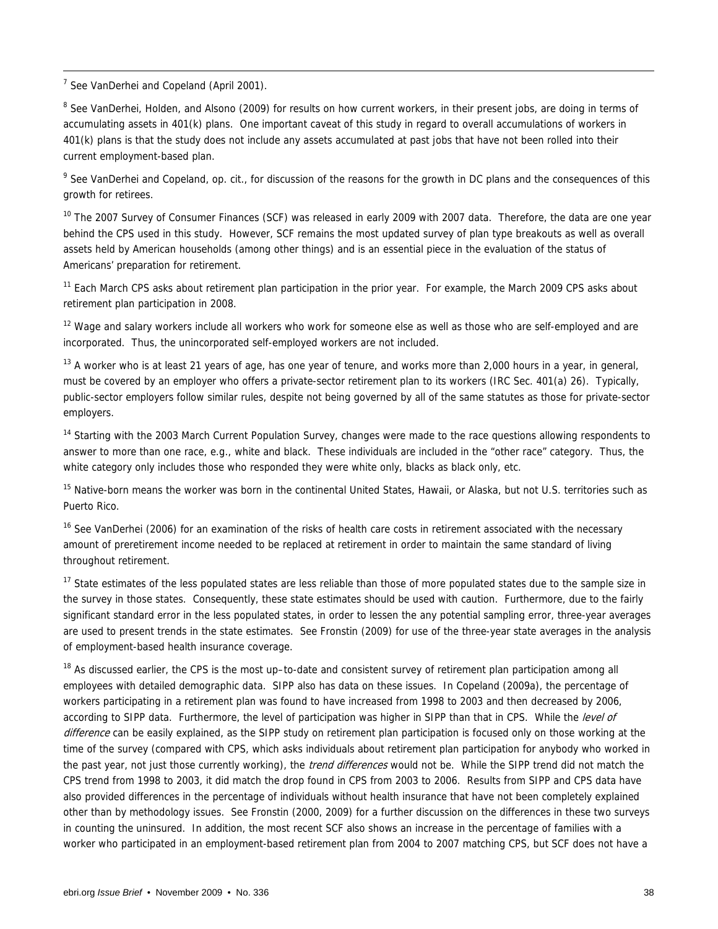$\frac{1}{7}$ See VanDerhei and Copeland (April 2001).

<sup>8</sup> See VanDerhei, Holden, and Alsono (2009) for results on how current workers, in their present jobs, are doing in terms of accumulating assets in 401(k) plans. One important caveat of this study in regard to overall accumulations of workers in 401(k) plans is that the study does not include any assets accumulated at past jobs that have not been rolled into their current employment-based plan.

<sup>9</sup> See VanDerhei and Copeland, op. cit., for discussion of the reasons for the growth in DC plans and the consequences of this growth for retirees.

<sup>10</sup> The 2007 Survey of Consumer Finances (SCF) was released in early 2009 with 2007 data. Therefore, the data are one year behind the CPS used in this study. However, SCF remains the most updated survey of plan type breakouts as well as overall assets held by American households (among other things) and is an essential piece in the evaluation of the status of Americans' preparation for retirement.

<sup>11</sup> Each March CPS asks about retirement plan participation in the prior year. For example, the March 2009 CPS asks about retirement plan participation in 2008.

<sup>12</sup> Wage and salary workers include all workers who work for someone else as well as those who are self-employed and are incorporated. Thus, the unincorporated self-employed workers are not included.

 $13$  A worker who is at least 21 years of age, has one year of tenure, and works more than 2,000 hours in a year, in general, must be covered by an employer who offers a private-sector retirement plan to its workers (IRC Sec. 401(a) 26). Typically, public-sector employers follow similar rules, despite not being governed by all of the same statutes as those for private-sector employers.

<sup>14</sup> Starting with the 2003 March Current Population Survey, changes were made to the race questions allowing respondents to answer to more than one race, e.g., white and black. These individuals are included in the "other race" category. Thus, the white category only includes those who responded they were white only, blacks as black only, etc.

<sup>15</sup> Native-born means the worker was born in the continental United States, Hawaii, or Alaska, but not U.S. territories such as Puerto Rico.

<sup>16</sup> See VanDerhei (2006) for an examination of the risks of health care costs in retirement associated with the necessary amount of preretirement income needed to be replaced at retirement in order to maintain the same standard of living throughout retirement.

<sup>17</sup> State estimates of the less populated states are less reliable than those of more populated states due to the sample size in the survey in those states. Consequently, these state estimates should be used with caution. Furthermore, due to the fairly significant standard error in the less populated states, in order to lessen the any potential sampling error, three-year averages are used to present trends in the state estimates. See Fronstin (2009) for use of the three-year state averages in the analysis of employment-based health insurance coverage.

<sup>18</sup> As discussed earlier, the CPS is the most up–to-date and consistent survey of retirement plan participation among all employees with detailed demographic data. SIPP also has data on these issues. In Copeland (2009a), the percentage of workers participating in a retirement plan was found to have increased from 1998 to 2003 and then decreased by 2006, according to SIPP data. Furthermore, the level of participation was higher in SIPP than that in CPS. While the level of difference can be easily explained, as the SIPP study on retirement plan participation is focused only on those working at the time of the survey (compared with CPS, which asks individuals about retirement plan participation for anybody who worked in the past year, not just those currently working), the *trend differences* would not be. While the SIPP trend did not match the CPS trend from 1998 to 2003, it did match the drop found in CPS from 2003 to 2006. Results from SIPP and CPS data have also provided differences in the percentage of individuals without health insurance that have not been completely explained other than by methodology issues. See Fronstin (2000, 2009) for a further discussion on the differences in these two surveys in counting the uninsured. In addition, the most recent SCF also shows an increase in the percentage of families with a worker who participated in an employment-based retirement plan from 2004 to 2007 matching CPS, but SCF does not have a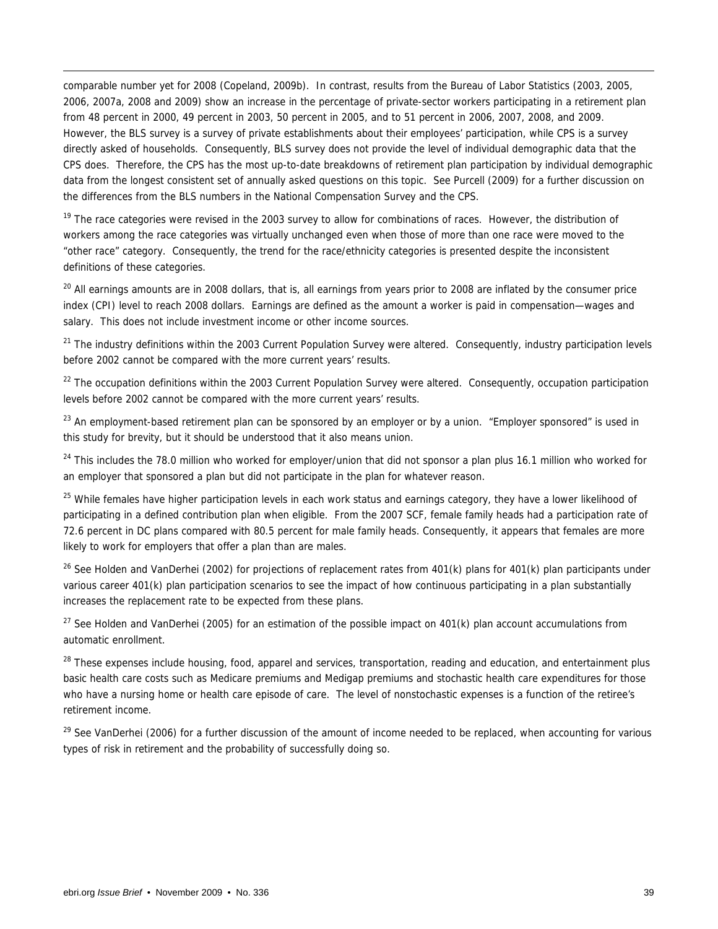comparable number yet for 2008 (Copeland, 2009b). In contrast, results from the Bureau of Labor Statistics (2003, 2005, 2006, 2007a, 2008 and 2009) show an increase in the percentage of private-sector workers participating in a retirement plan from 48 percent in 2000, 49 percent in 2003, 50 percent in 2005, and to 51 percent in 2006, 2007, 2008, and 2009. However, the BLS survey is a survey of private establishments about their employees' participation, while CPS is a survey directly asked of households. Consequently, BLS survey does not provide the level of individual demographic data that the CPS does. Therefore, the CPS has the most up-to-date breakdowns of retirement plan participation by individual demographic data from the longest consistent set of annually asked questions on this topic. See Purcell (2009) for a further discussion on the differences from the BLS numbers in the National Compensation Survey and the CPS.

<sup>19</sup> The race categories were revised in the 2003 survey to allow for combinations of races. However, the distribution of workers among the race categories was virtually unchanged even when those of more than one race were moved to the "other race" category. Consequently, the trend for the race/ethnicity categories is presented despite the inconsistent definitions of these categories.

<sup>20</sup> All earnings amounts are in 2008 dollars, that is, all earnings from years prior to 2008 are inflated by the consumer price index (CPI) level to reach 2008 dollars. Earnings are defined as the amount a worker is paid in compensation—wages and salary. This does not include investment income or other income sources.

 $21$  The industry definitions within the 2003 Current Population Survey were altered. Consequently, industry participation levels before 2002 cannot be compared with the more current years' results.

<sup>22</sup> The occupation definitions within the 2003 Current Population Survey were altered. Consequently, occupation participation levels before 2002 cannot be compared with the more current years' results.

<sup>23</sup> An employment-based retirement plan can be sponsored by an employer or by a union. "Employer sponsored" is used in this study for brevity, but it should be understood that it also means union.

<sup>24</sup> This includes the 78.0 million who worked for employer/union that did not sponsor a plan plus 16.1 million who worked for an employer that sponsored a plan but did not participate in the plan for whatever reason.

<sup>25</sup> While females have higher participation levels in each work status and earnings category, they have a lower likelihood of participating in a defined contribution plan when eligible. From the 2007 SCF, female family heads had a participation rate of 72.6 percent in DC plans compared with 80.5 percent for male family heads. Consequently, it appears that females are more likely to work for employers that offer a plan than are males.

<sup>26</sup> See Holden and VanDerhei (2002) for projections of replacement rates from 401(k) plans for 401(k) plan participants under various career 401(k) plan participation scenarios to see the impact of how continuous participating in a plan substantially increases the replacement rate to be expected from these plans.

 $27$  See Holden and VanDerhei (2005) for an estimation of the possible impact on 401(k) plan account accumulations from automatic enrollment.

<sup>28</sup> These expenses include housing, food, apparel and services, transportation, reading and education, and entertainment plus basic health care costs such as Medicare premiums and Medigap premiums and stochastic health care expenditures for those who have a nursing home or health care episode of care. The level of nonstochastic expenses is a function of the retiree's retirement income.

<sup>29</sup> See VanDerhei (2006) for a further discussion of the amount of income needed to be replaced, when accounting for various types of risk in retirement and the probability of successfully doing so.

1